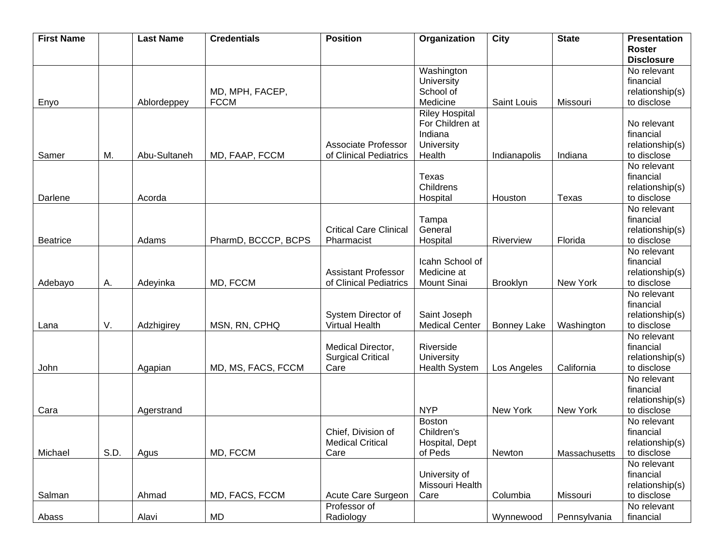| <b>First Name</b> |      | <b>Last Name</b> | <b>Credentials</b>  | <b>Position</b>               | Organization          | City               | <b>State</b>  | <b>Presentation</b> |
|-------------------|------|------------------|---------------------|-------------------------------|-----------------------|--------------------|---------------|---------------------|
|                   |      |                  |                     |                               |                       |                    |               | <b>Roster</b>       |
|                   |      |                  |                     |                               |                       |                    |               | <b>Disclosure</b>   |
|                   |      |                  |                     |                               | Washington            |                    |               | No relevant         |
|                   |      |                  |                     |                               | University            |                    |               | financial           |
|                   |      |                  | MD, MPH, FACEP,     |                               | School of             |                    |               | relationship(s)     |
| Enyo              |      | Ablordeppey      | <b>FCCM</b>         |                               | Medicine              | Saint Louis        | Missouri      | to disclose         |
|                   |      |                  |                     |                               | <b>Riley Hospital</b> |                    |               |                     |
|                   |      |                  |                     |                               | For Children at       |                    |               | No relevant         |
|                   |      |                  |                     |                               | Indiana               |                    |               | financial           |
|                   |      |                  |                     | <b>Associate Professor</b>    | University            |                    |               | relationship(s)     |
| Samer             | M.   | Abu-Sultaneh     | MD, FAAP, FCCM      | of Clinical Pediatrics        | Health                | Indianapolis       | Indiana       | to disclose         |
|                   |      |                  |                     |                               |                       |                    |               | No relevant         |
|                   |      |                  |                     |                               | Texas                 |                    |               | financial           |
|                   |      |                  |                     |                               | Childrens             |                    |               |                     |
|                   |      |                  |                     |                               |                       |                    |               | relationship(s)     |
| Darlene           |      | Acorda           |                     |                               | Hospital              | Houston            | <b>Texas</b>  | to disclose         |
|                   |      |                  |                     |                               |                       |                    |               | No relevant         |
|                   |      |                  |                     |                               | Tampa                 |                    |               | financial           |
|                   |      |                  |                     | <b>Critical Care Clinical</b> | General               |                    |               | relationship(s)     |
| <b>Beatrice</b>   |      | Adams            | PharmD, BCCCP, BCPS | Pharmacist                    | Hospital              | Riverview          | Florida       | to disclose         |
|                   |      |                  |                     |                               |                       |                    |               | No relevant         |
|                   |      |                  |                     |                               | Icahn School of       |                    |               | financial           |
|                   |      |                  |                     | <b>Assistant Professor</b>    | Medicine at           |                    |               | relationship(s)     |
| Adebayo           | Α.   | Adeyinka         | MD, FCCM            | of Clinical Pediatrics        | <b>Mount Sinai</b>    | Brooklyn           | New York      | to disclose         |
|                   |      |                  |                     |                               |                       |                    |               | No relevant         |
|                   |      |                  |                     |                               |                       |                    |               | financial           |
|                   |      |                  |                     | System Director of            | Saint Joseph          |                    |               | relationship(s)     |
| Lana              | V.   | Adzhigirey       | MSN, RN, CPHQ       | <b>Virtual Health</b>         | <b>Medical Center</b> | <b>Bonney Lake</b> | Washington    | to disclose         |
|                   |      |                  |                     |                               |                       |                    |               | No relevant         |
|                   |      |                  |                     | Medical Director,             | Riverside             |                    |               | financial           |
|                   |      |                  |                     | <b>Surgical Critical</b>      | University            |                    |               | relationship(s)     |
| John              |      | Agapian          | MD, MS, FACS, FCCM  | Care                          | <b>Health System</b>  | Los Angeles        | California    | to disclose         |
|                   |      |                  |                     |                               |                       |                    |               | No relevant         |
|                   |      |                  |                     |                               |                       |                    |               | financial           |
|                   |      |                  |                     |                               |                       |                    |               | relationship(s)     |
| Cara              |      | Agerstrand       |                     |                               | <b>NYP</b>            | New York           | New York      | to disclose         |
|                   |      |                  |                     |                               | <b>Boston</b>         |                    |               | No relevant         |
|                   |      |                  |                     | Chief, Division of            | Children's            |                    |               | financial           |
|                   |      |                  |                     | <b>Medical Critical</b>       | Hospital, Dept        |                    |               | relationship(s)     |
| Michael           | S.D. | Agus             | MD, FCCM            | Care                          | of Peds               | Newton             | Massachusetts | to disclose         |
|                   |      |                  |                     |                               |                       |                    |               | No relevant         |
|                   |      |                  |                     |                               | University of         |                    |               | financial           |
|                   |      |                  |                     |                               | Missouri Health       |                    |               | relationship(s)     |
| Salman            |      | Ahmad            | MD, FACS, FCCM      | Acute Care Surgeon            | Care                  | Columbia           | Missouri      | to disclose         |
|                   |      |                  |                     | Professor of                  |                       |                    |               | No relevant         |
| Abass             |      | Alavi            | MD                  | Radiology                     |                       | Wynnewood          | Pennsylvania  | financial           |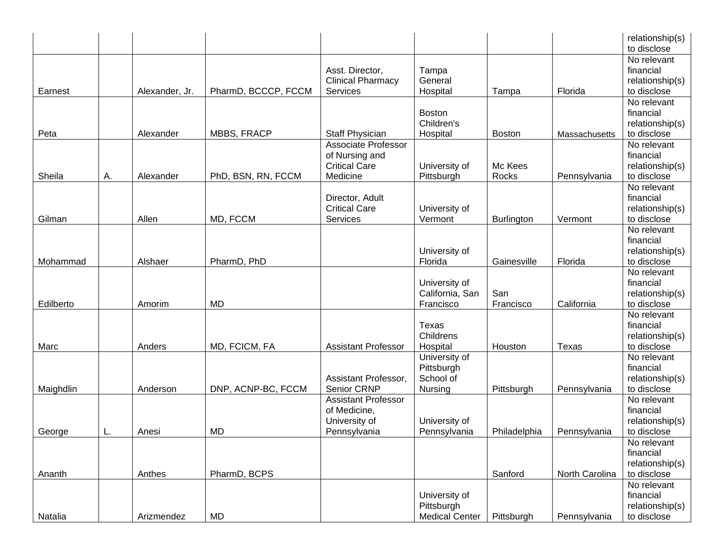|           |    |                |                     |                                                                             |                                                      |                   |                | relationship(s)<br>to disclose                             |
|-----------|----|----------------|---------------------|-----------------------------------------------------------------------------|------------------------------------------------------|-------------------|----------------|------------------------------------------------------------|
| Earnest   |    | Alexander, Jr. | PharmD, BCCCP, FCCM | Asst. Director,<br><b>Clinical Pharmacy</b><br>Services                     | Tampa<br>General<br>Hospital                         | Tampa             | Florida        | No relevant<br>financial<br>relationship(s)<br>to disclose |
| Peta      |    | Alexander      | MBBS, FRACP         | Staff Physician                                                             | <b>Boston</b><br>Children's<br>Hospital              | <b>Boston</b>     | Massachusetts  | No relevant<br>financial<br>relationship(s)<br>to disclose |
| Sheila    | Α. | Alexander      | PhD, BSN, RN, FCCM  | Associate Professor<br>of Nursing and<br><b>Critical Care</b><br>Medicine   | University of<br>Pittsburgh                          | Mc Kees<br>Rocks  | Pennsylvania   | No relevant<br>financial<br>relationship(s)<br>to disclose |
| Gilman    |    | Allen          | MD, FCCM            | Director, Adult<br><b>Critical Care</b><br>Services                         | University of<br>Vermont                             | <b>Burlington</b> | Vermont        | No relevant<br>financial<br>relationship(s)<br>to disclose |
| Mohammad  |    | Alshaer        | PharmD, PhD         |                                                                             | University of<br>Florida                             | Gainesville       | Florida        | No relevant<br>financial<br>relationship(s)<br>to disclose |
| Edilberto |    | Amorim         | <b>MD</b>           |                                                                             | University of<br>California, San<br>Francisco        | San<br>Francisco  | California     | No relevant<br>financial<br>relationship(s)<br>to disclose |
| Marc      |    | Anders         | MD, FCICM, FA       | <b>Assistant Professor</b>                                                  | Texas<br>Childrens<br>Hospital                       | Houston           | Texas          | No relevant<br>financial<br>relationship(s)<br>to disclose |
| Maighdlin |    | Anderson       | DNP, ACNP-BC, FCCM  | Assistant Professor,<br>Senior CRNP                                         | University of<br>Pittsburgh<br>School of<br>Nursing  | Pittsburgh        | Pennsylvania   | No relevant<br>financial<br>relationship(s)<br>to disclose |
| George    | L. | Anesi          | <b>MD</b>           | <b>Assistant Professor</b><br>of Medicine,<br>University of<br>Pennsylvania | University of<br>Pennsylvania                        | Philadelphia      | Pennsylvania   | No relevant<br>financial<br>relationship(s)<br>to disclose |
| Ananth    |    | Anthes         | PharmD, BCPS        |                                                                             |                                                      | Sanford           | North Carolina | No relevant<br>financial<br>relationship(s)<br>to disclose |
| Natalia   |    | Arizmendez     | MD                  |                                                                             | University of<br>Pittsburgh<br><b>Medical Center</b> | Pittsburgh        | Pennsylvania   | No relevant<br>financial<br>relationship(s)<br>to disclose |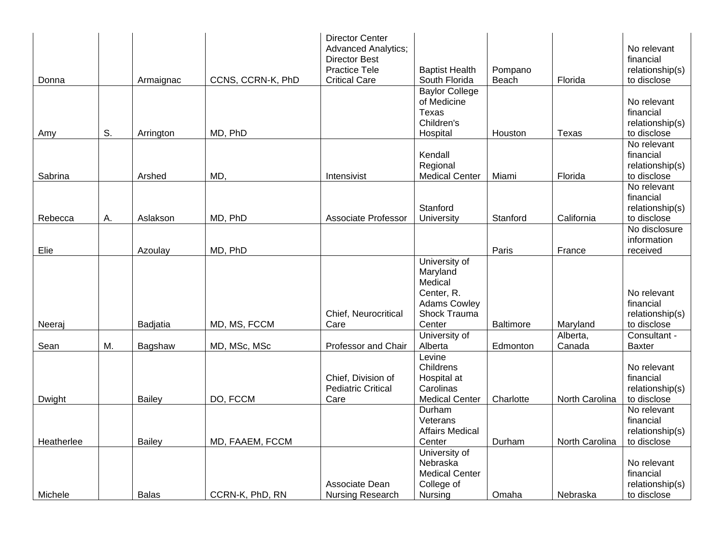| Donna      |    | Armaignac     | CCNS, CCRN-K, PhD | <b>Director Center</b><br><b>Advanced Analytics;</b><br><b>Director Best</b><br><b>Practice Tele</b><br><b>Critical Care</b> | <b>Baptist Health</b><br>South Florida                                                              | Pompano<br>Beach | Florida            | No relevant<br>financial<br>relationship(s)<br>to disclose |
|------------|----|---------------|-------------------|------------------------------------------------------------------------------------------------------------------------------|-----------------------------------------------------------------------------------------------------|------------------|--------------------|------------------------------------------------------------|
|            | S. |               | MD, PhD           |                                                                                                                              | <b>Baylor College</b><br>of Medicine<br>Texas<br>Children's<br>Hospital                             |                  |                    | No relevant<br>financial<br>relationship(s)<br>to disclose |
| Amy        |    | Arrington     |                   |                                                                                                                              |                                                                                                     | Houston          | Texas              | No relevant                                                |
| Sabrina    |    | Arshed        | MD,               | Intensivist                                                                                                                  | Kendall<br>Regional<br><b>Medical Center</b>                                                        | Miami            | Florida            | financial<br>relationship(s)<br>to disclose                |
| Rebecca    | А. | Aslakson      | MD, PhD           | <b>Associate Professor</b>                                                                                                   | Stanford<br>University                                                                              | Stanford         | California         | No relevant<br>financial<br>relationship(s)<br>to disclose |
| Elie       |    | Azoulay       | MD, PhD           |                                                                                                                              |                                                                                                     | Paris            | France             | No disclosure<br>information<br>received                   |
| Neeraj     |    | Badjatia      | MD, MS, FCCM      | Chief, Neurocritical<br>Care                                                                                                 | University of<br>Maryland<br>Medical<br>Center, R.<br><b>Adams Cowley</b><br>Shock Trauma<br>Center | Baltimore        | Maryland           | No relevant<br>financial<br>relationship(s)<br>to disclose |
| Sean       | M. | Bagshaw       | MD, MSc, MSc      | Professor and Chair                                                                                                          | University of<br>Alberta                                                                            | Edmonton         | Alberta,<br>Canada | Consultant -<br><b>Baxter</b>                              |
| Dwight     |    | <b>Bailey</b> | DO, FCCM          | Chief, Division of<br><b>Pediatric Critical</b><br>Care                                                                      | Levine<br>Childrens<br>Hospital at<br>Carolinas<br><b>Medical Center</b>                            | Charlotte        | North Carolina     | No relevant<br>financial<br>relationship(s)<br>to disclose |
| Heatherlee |    | <b>Bailey</b> | MD, FAAEM, FCCM   |                                                                                                                              | Durham<br>Veterans<br><b>Affairs Medical</b><br>Center                                              | Durham           | North Carolina     | No relevant<br>financial<br>relationship(s)<br>to disclose |
| Michele    |    | <b>Balas</b>  | CCRN-K, PhD, RN   | Associate Dean<br>Nursing Research                                                                                           | University of<br>Nebraska<br><b>Medical Center</b><br>College of<br>Nursing                         | Omaha            | Nebraska           | No relevant<br>financial<br>relationship(s)<br>to disclose |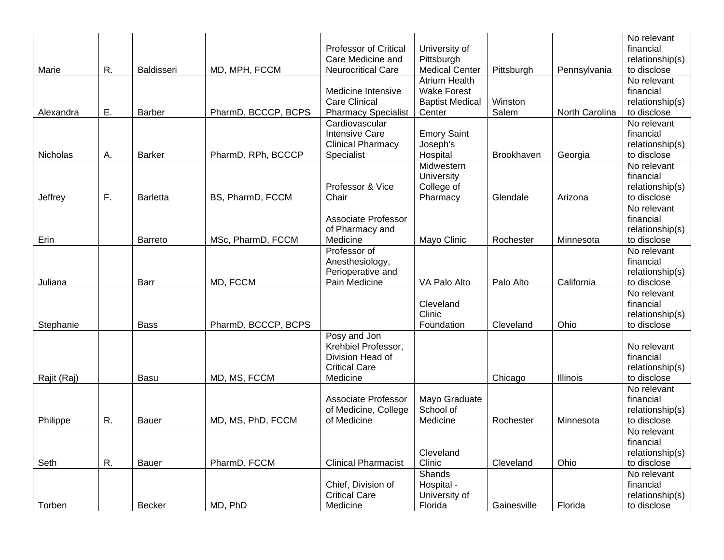|             |    |                 |                     |                              |                        |             |                | No relevant     |
|-------------|----|-----------------|---------------------|------------------------------|------------------------|-------------|----------------|-----------------|
|             |    |                 |                     | <b>Professor of Critical</b> | University of          |             |                | financial       |
|             |    |                 |                     | Care Medicine and            | Pittsburgh             |             |                | relationship(s) |
| Marie       | R. | Baldisseri      | MD, MPH, FCCM       | Neurocritical Care           | <b>Medical Center</b>  | Pittsburgh  | Pennsylvania   | to disclose     |
|             |    |                 |                     |                              | <b>Atrium Health</b>   |             |                | No relevant     |
|             |    |                 |                     | Medicine Intensive           | <b>Wake Forest</b>     |             |                | financial       |
|             |    |                 |                     | <b>Care Clinical</b>         | <b>Baptist Medical</b> | Winston     |                | relationship(s) |
| Alexandra   | Ε. | Barber          | PharmD, BCCCP, BCPS | <b>Pharmacy Specialist</b>   | Center                 | Salem       | North Carolina | to disclose     |
|             |    |                 |                     | Cardiovascular               |                        |             |                | No relevant     |
|             |    |                 |                     | <b>Intensive Care</b>        | <b>Emory Saint</b>     |             |                | financial       |
|             |    |                 |                     | <b>Clinical Pharmacy</b>     | Joseph's               |             |                | relationship(s) |
| Nicholas    | А. | Barker          | PharmD, RPh, BCCCP  | Specialist                   | Hospital               | Brookhaven  | Georgia        | to disclose     |
|             |    |                 |                     |                              | Midwestern             |             |                | No relevant     |
|             |    |                 |                     |                              | University             |             |                | financial       |
|             |    |                 |                     | Professor & Vice             | College of             |             |                | relationship(s) |
| Jeffrey     | F. | <b>Barletta</b> | BS, PharmD, FCCM    | Chair                        | Pharmacy               | Glendale    | Arizona        | to disclose     |
|             |    |                 |                     |                              |                        |             |                | No relevant     |
|             |    |                 |                     | <b>Associate Professor</b>   |                        |             |                | financial       |
|             |    |                 |                     | of Pharmacy and              |                        |             |                | relationship(s) |
| Erin        |    | <b>Barreto</b>  | MSc, PharmD, FCCM   | Medicine                     | Mayo Clinic            | Rochester   | Minnesota      | to disclose     |
|             |    |                 |                     | Professor of                 |                        |             |                | No relevant     |
|             |    |                 |                     | Anesthesiology,              |                        |             |                | financial       |
|             |    |                 |                     | Perioperative and            |                        |             |                | relationship(s) |
| Juliana     |    | Barr            | MD, FCCM            | Pain Medicine                | VA Palo Alto           | Palo Alto   | California     | to disclose     |
|             |    |                 |                     |                              |                        |             |                | No relevant     |
|             |    |                 |                     |                              | Cleveland              |             |                | financial       |
|             |    |                 |                     |                              | Clinic                 |             |                | relationship(s) |
| Stephanie   |    | Bass            | PharmD, BCCCP, BCPS |                              | Foundation             | Cleveland   | Ohio           | to disclose     |
|             |    |                 |                     | Posy and Jon                 |                        |             |                |                 |
|             |    |                 |                     | Krehbiel Professor,          |                        |             |                | No relevant     |
|             |    |                 |                     | Division Head of             |                        |             |                | financial       |
|             |    |                 |                     | <b>Critical Care</b>         |                        |             |                | relationship(s) |
| Rajit (Raj) |    | Basu            | MD, MS, FCCM        | Medicine                     |                        | Chicago     | Illinois       | to disclose     |
|             |    |                 |                     |                              |                        |             |                | No relevant     |
|             |    |                 |                     | Associate Professor          | Mayo Graduate          |             |                | financial       |
|             |    |                 |                     | of Medicine, College         | School of              |             |                | relationship(s) |
| Philippe    | R. | Bauer           | MD, MS, PhD, FCCM   | of Medicine                  | Medicine               | Rochester   | Minnesota      | to disclose     |
|             |    |                 |                     |                              |                        |             |                | No relevant     |
|             |    |                 |                     |                              |                        |             |                | financial       |
|             |    |                 |                     |                              | Cleveland              |             |                | relationship(s) |
| Seth        | R. | Bauer           | PharmD, FCCM        | <b>Clinical Pharmacist</b>   | Clinic                 | Cleveland   | Ohio           | to disclose     |
|             |    |                 |                     |                              | Shands                 |             |                | No relevant     |
|             |    |                 |                     | Chief, Division of           | Hospital -             |             |                | financial       |
|             |    |                 |                     | <b>Critical Care</b>         | University of          |             |                | relationship(s) |
| Torben      |    | Becker          | MD, PhD             | Medicine                     | Florida                | Gainesville | Florida        | to disclose     |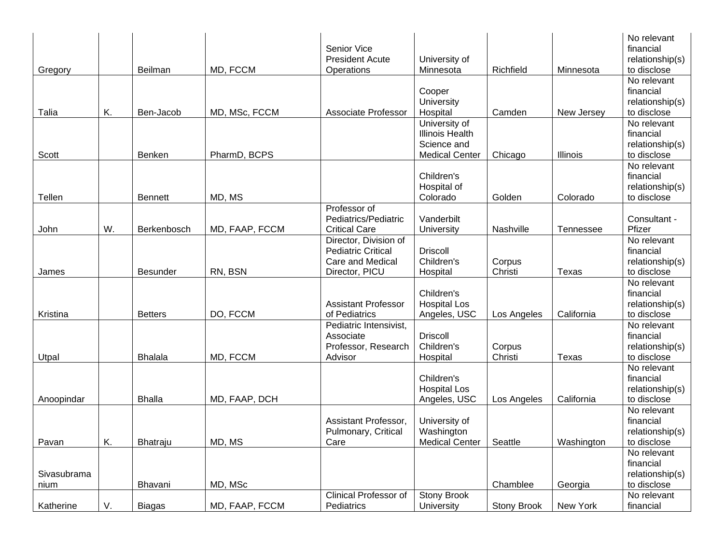|                     |    |                 |                | Senior Vice<br><b>President Acute</b>                                                    | University of                                                                   |                   |                  | No relevant<br>financial<br>relationship(s)                |
|---------------------|----|-----------------|----------------|------------------------------------------------------------------------------------------|---------------------------------------------------------------------------------|-------------------|------------------|------------------------------------------------------------|
| Gregory             |    | Beilman         | MD, FCCM       | Operations                                                                               | Minnesota                                                                       | Richfield         | Minnesota        | to disclose                                                |
| Talia               | Κ. | Ben-Jacob       | MD, MSc, FCCM  | <b>Associate Professor</b>                                                               | Cooper<br>University<br>Hospital                                                | Camden            | New Jersey       | No relevant<br>financial<br>relationship(s)<br>to disclose |
| Scott               |    | Benken          | PharmD, BCPS   |                                                                                          | University of<br><b>Illinois Health</b><br>Science and<br><b>Medical Center</b> | Chicago           | Illinois         | No relevant<br>financial<br>relationship(s)<br>to disclose |
| Tellen              |    | <b>Bennett</b>  | MD, MS         |                                                                                          | Children's<br>Hospital of<br>Colorado                                           | Golden            | Colorado         | No relevant<br>financial<br>relationship(s)<br>to disclose |
| John                | W. | Berkenbosch     | MD, FAAP, FCCM | Professor of<br>Pediatrics/Pediatric<br><b>Critical Care</b>                             | Vanderbilt<br>University                                                        | Nashville         | <b>Tennessee</b> | Consultant -<br>Pfizer                                     |
| James               |    | <b>Besunder</b> | RN, BSN        | Director, Division of<br><b>Pediatric Critical</b><br>Care and Medical<br>Director, PICU | <b>Driscoll</b><br>Children's<br>Hospital                                       | Corpus<br>Christi | Texas            | No relevant<br>financial<br>relationship(s)<br>to disclose |
| Kristina            |    | <b>Betters</b>  | DO, FCCM       | <b>Assistant Professor</b><br>of Pediatrics                                              | Children's<br><b>Hospital Los</b><br>Angeles, USC                               | Los Angeles       | California       | No relevant<br>financial<br>relationship(s)<br>to disclose |
| Utpal               |    | <b>Bhalala</b>  | MD, FCCM       | Pediatric Intensivist,<br>Associate<br>Professor, Research<br>Advisor                    | <b>Driscoll</b><br>Children's<br>Hospital                                       | Corpus<br>Christi | Texas            | No relevant<br>financial<br>relationship(s)<br>to disclose |
| Anoopindar          |    | <b>Bhalla</b>   | MD, FAAP, DCH  |                                                                                          | Children's<br><b>Hospital Los</b><br>Angeles, USC                               | Los Angeles       | California       | No relevant<br>financial<br>relationship(s)<br>to disclose |
| Pavan               | K. | Bhatraju        | MD, MS         | Assistant Professor,<br>Pulmonary, Critical<br>Care                                      | University of<br>Washington<br><b>Medical Center</b>                            | Seattle           | Washington       | No relevant<br>financial<br>relationship(s)<br>to disclose |
| Sivasubrama<br>nium |    | Bhavani         | MD, MSc        |                                                                                          |                                                                                 | Chamblee          | Georgia          | No relevant<br>financial<br>relationship(s)<br>to disclose |
| Katherine           | V. | <b>Biagas</b>   | MD, FAAP, FCCM | Clinical Professor of<br>Pediatrics                                                      | <b>Stony Brook</b><br>University                                                | Stony Brook       | New York         | No relevant<br>financial                                   |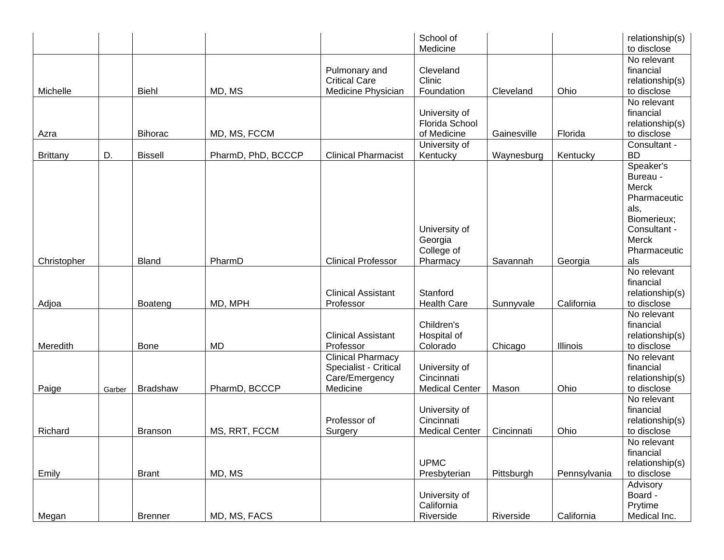|                 |        |                 |                    |                                                                                 | School of<br>Medicine                                |             |              | relationship(s)<br>to disclose                                                                                        |
|-----------------|--------|-----------------|--------------------|---------------------------------------------------------------------------------|------------------------------------------------------|-------------|--------------|-----------------------------------------------------------------------------------------------------------------------|
| Michelle        |        | <b>Biehl</b>    | MD, MS             | Pulmonary and<br><b>Critical Care</b><br>Medicine Physician                     | Cleveland<br>Clinic<br>Foundation                    | Cleveland   | Ohio         | No relevant<br>financial<br>relationship(s)<br>to disclose                                                            |
| Azra            |        | <b>Bihorac</b>  | MD, MS, FCCM       |                                                                                 | University of<br>Florida School<br>of Medicine       | Gainesville | Florida      | No relevant<br>financial<br>relationship(s)<br>to disclose                                                            |
| <b>Brittany</b> | D.     | <b>Bissell</b>  | PharmD, PhD, BCCCP | <b>Clinical Pharmacist</b>                                                      | University of<br>Kentucky                            | Waynesburg  | Kentucky     | Consultant -<br><b>BD</b>                                                                                             |
| Christopher     |        | <b>Bland</b>    | PharmD             | <b>Clinical Professor</b>                                                       | University of<br>Georgia<br>College of<br>Pharmacy   | Savannah    | Georgia      | Speaker's<br>Bureau -<br>Merck<br>Pharmaceutic<br>als,<br>Biomerieux;<br>Consultant -<br>Merck<br>Pharmaceutic<br>als |
|                 |        |                 |                    |                                                                                 |                                                      |             |              | No relevant<br>financial                                                                                              |
| Adjoa           |        | Boateng         | MD, MPH            | <b>Clinical Assistant</b><br>Professor                                          | Stanford<br><b>Health Care</b>                       | Sunnyvale   | California   | relationship(s)<br>to disclose                                                                                        |
| Meredith        |        | <b>Bone</b>     | <b>MD</b>          | <b>Clinical Assistant</b><br>Professor                                          | Children's<br>Hospital of<br>Colorado                | Chicago     | Illinois     | No relevant<br>financial<br>relationship(s)<br>to disclose                                                            |
| Paige           | Garber | <b>Bradshaw</b> | PharmD, BCCCP      | <b>Clinical Pharmacy</b><br>Specialist - Critical<br>Care/Emergency<br>Medicine | University of<br>Cincinnati<br><b>Medical Center</b> | Mason       | Ohio         | No relevant<br>financial<br>relationship(s)<br>to disclose                                                            |
| Richard         |        | <b>Branson</b>  | MS, RRT, FCCM      | Professor of<br>Surgery                                                         | University of<br>Cincinnati<br><b>Medical Center</b> | Cincinnati  | Ohio         | No relevant<br>financial<br>relationship(s)<br>to disclose                                                            |
| Emily           |        | <b>Brant</b>    | MD, MS             |                                                                                 | <b>UPMC</b><br>Presbyterian                          | Pittsburgh  | Pennsylvania | No relevant<br>financial<br>relationship(s)<br>to disclose                                                            |
| Megan           |        | <b>Brenner</b>  | MD, MS, FACS       |                                                                                 | University of<br>California<br>Riverside             | Riverside   | California   | Advisory<br>Board -<br>Prytime<br>Medical Inc.                                                                        |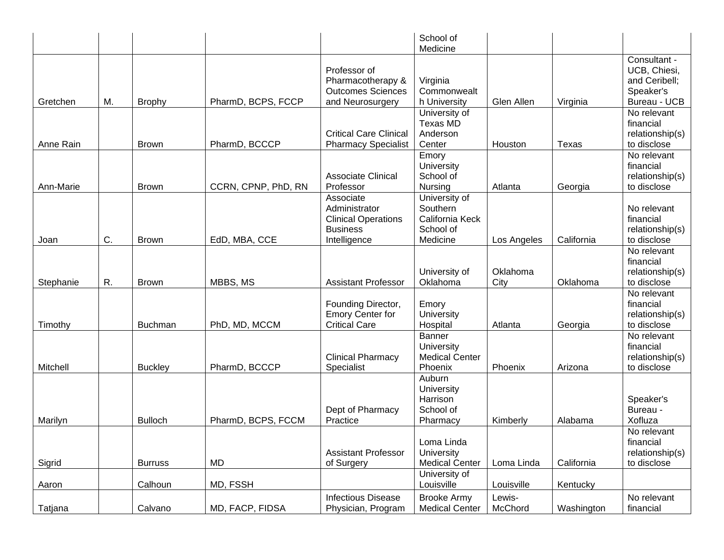|           |    |                |                     |                                                                                             | School of<br>Medicine                                                 |                   |            |                                                                            |
|-----------|----|----------------|---------------------|---------------------------------------------------------------------------------------------|-----------------------------------------------------------------------|-------------------|------------|----------------------------------------------------------------------------|
| Gretchen  | M. | <b>Brophy</b>  | PharmD, BCPS, FCCP  | Professor of<br>Pharmacotherapy &<br><b>Outcomes Sciences</b><br>and Neurosurgery           | Virginia<br>Commonwealt<br>h University                               | Glen Allen        | Virginia   | Consultant -<br>UCB, Chiesi,<br>and Ceribell;<br>Speaker's<br>Bureau - UCB |
| Anne Rain |    | <b>Brown</b>   | PharmD, BCCCP       | <b>Critical Care Clinical</b><br><b>Pharmacy Specialist</b>                                 | University of<br>Texas MD<br>Anderson<br>Center                       | Houston           | Texas      | No relevant<br>financial<br>relationship(s)<br>to disclose                 |
| Ann-Marie |    | <b>Brown</b>   | CCRN, CPNP, PhD, RN | <b>Associate Clinical</b><br>Professor                                                      | Emory<br>University<br>School of<br>Nursing                           | Atlanta           | Georgia    | No relevant<br>financial<br>relationship(s)<br>to disclose                 |
| Joan      | C. | <b>Brown</b>   | EdD, MBA, CCE       | Associate<br>Administrator<br><b>Clinical Operations</b><br><b>Business</b><br>Intelligence | University of<br>Southern<br>California Keck<br>School of<br>Medicine | Los Angeles       | California | No relevant<br>financial<br>relationship(s)<br>to disclose                 |
| Stephanie | R. | <b>Brown</b>   | MBBS, MS            | <b>Assistant Professor</b>                                                                  | University of<br>Oklahoma                                             | Oklahoma<br>City  | Oklahoma   | No relevant<br>financial<br>relationship(s)<br>to disclose                 |
| Timothy   |    | <b>Buchman</b> | PhD, MD, MCCM       | Founding Director,<br><b>Emory Center for</b><br><b>Critical Care</b>                       | Emory<br>University<br>Hospital                                       | Atlanta           | Georgia    | No relevant<br>financial<br>relationship(s)<br>to disclose                 |
| Mitchell  |    | <b>Buckley</b> | PharmD, BCCCP       | <b>Clinical Pharmacy</b><br>Specialist                                                      | Banner<br>University<br><b>Medical Center</b><br>Phoenix              | Phoenix           | Arizona    | No relevant<br>financial<br>relationship(s)<br>to disclose                 |
| Marilyn   |    | <b>Bulloch</b> | PharmD, BCPS, FCCM  | Dept of Pharmacy<br>Practice                                                                | Auburn<br>University<br>Harrison<br>School of<br>Pharmacy             | Kimberly          | Alabama    | Speaker's<br>Bureau -<br>Xofluza                                           |
| Sigrid    |    | <b>Burruss</b> | MD                  | <b>Assistant Professor</b><br>of Surgery                                                    | Loma Linda<br>University<br><b>Medical Center</b>                     | Loma Linda        | California | No relevant<br>financial<br>relationship(s)<br>to disclose                 |
| Aaron     |    | Calhoun        | MD, FSSH            |                                                                                             | University of<br>Louisville                                           | Louisville        | Kentucky   |                                                                            |
| Tatjana   |    | Calvano        | MD, FACP, FIDSA     | <b>Infectious Disease</b><br>Physician, Program                                             | <b>Brooke Army</b><br><b>Medical Center</b>                           | Lewis-<br>McChord | Washington | No relevant<br>financial                                                   |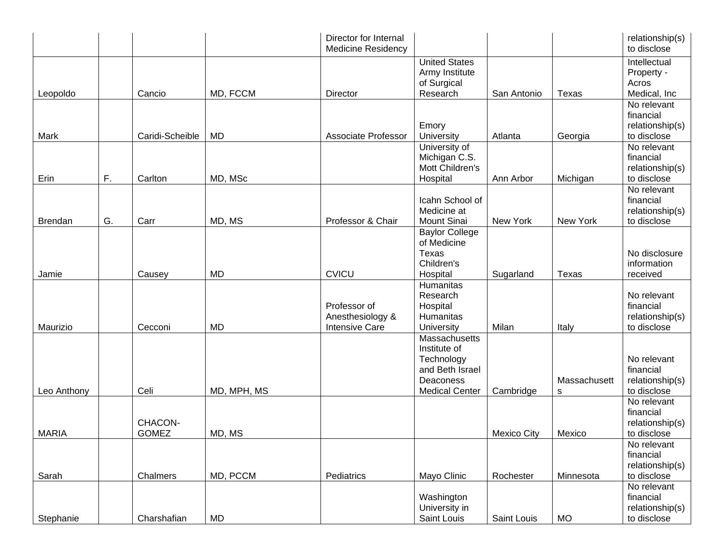|                |    |                         |             | Director for Internal<br><b>Medicine Residency</b>        |                                                                                                      |                    |                   | relationship(s)<br>to disclose                             |
|----------------|----|-------------------------|-------------|-----------------------------------------------------------|------------------------------------------------------------------------------------------------------|--------------------|-------------------|------------------------------------------------------------|
| Leopoldo       |    | Cancio                  | MD, FCCM    | Director                                                  | <b>United States</b><br>Army Institute<br>of Surgical<br>Research                                    | San Antonio        | Texas             | Intellectual<br>Property -<br>Acros<br>Medical, Inc        |
|                |    |                         |             |                                                           | Emory                                                                                                |                    |                   | No relevant<br>financial<br>relationship(s)                |
| Mark           |    | Caridi-Scheible         | <b>MD</b>   | <b>Associate Professor</b>                                | University                                                                                           | Atlanta            | Georgia           | to disclose                                                |
| Erin           | F. | Carlton                 | MD, MSc     |                                                           | University of<br>Michigan C.S.<br>Mott Children's<br>Hospital                                        | Ann Arbor          | Michigan          | No relevant<br>financial<br>relationship(s)<br>to disclose |
| <b>Brendan</b> | G. | Carr                    | MD, MS      | Professor & Chair                                         | Icahn School of<br>Medicine at<br><b>Mount Sinai</b>                                                 | New York           | New York          | No relevant<br>financial<br>relationship(s)<br>to disclose |
| Jamie          |    | Causey                  | MD          | <b>CVICU</b>                                              | <b>Baylor College</b><br>of Medicine<br>Texas<br>Children's<br>Hospital                              | Sugarland          | Texas             | No disclosure<br>information<br>received                   |
| Maurizio       |    | Cecconi                 | <b>MD</b>   | Professor of<br>Anesthesiology &<br><b>Intensive Care</b> | Humanitas<br>Research<br>Hospital<br>Humanitas<br>University                                         | Milan              | Italy             | No relevant<br>financial<br>relationship(s)<br>to disclose |
| Leo Anthony    |    | Celi                    | MD, MPH, MS |                                                           | Massachusetts<br>Institute of<br>Technology<br>and Beth Israel<br>Deaconess<br><b>Medical Center</b> | Cambridge          | Massachusett<br>s | No relevant<br>financial<br>relationship(s)<br>to disclose |
| <b>MARIA</b>   |    | CHACON-<br><b>GOMEZ</b> | MD, MS      |                                                           |                                                                                                      | <b>Mexico City</b> | Mexico            | No relevant<br>financial<br>relationship(s)<br>to disclose |
| Sarah          |    | Chalmers                | MD, PCCM    | Pediatrics                                                | Mayo Clinic                                                                                          | Rochester          | Minnesota         | No relevant<br>financial<br>relationship(s)<br>to disclose |
| Stephanie      |    | Charshafian             | <b>MD</b>   |                                                           | Washington<br>University in<br>Saint Louis                                                           | Saint Louis        | <b>MO</b>         | No relevant<br>financial<br>relationship(s)<br>to disclose |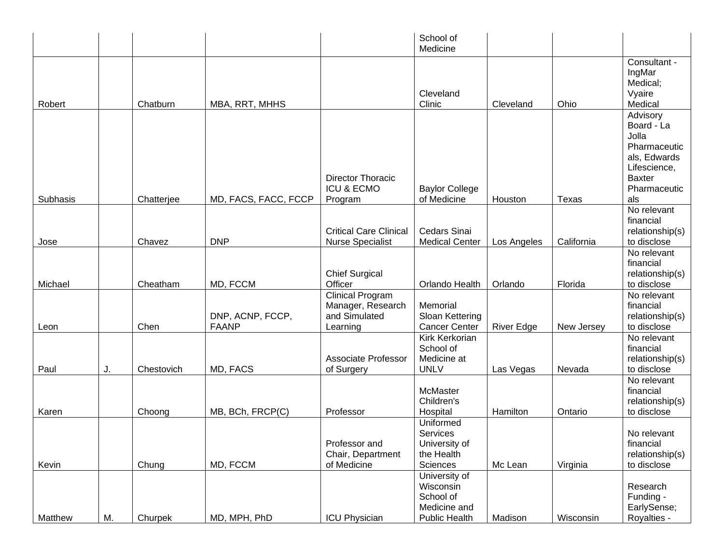|          |    |            |                                  |                                                                           | School of<br>Medicine                                                           |                   |            |                                                                                                                         |
|----------|----|------------|----------------------------------|---------------------------------------------------------------------------|---------------------------------------------------------------------------------|-------------------|------------|-------------------------------------------------------------------------------------------------------------------------|
| Robert   |    | Chatburn   | MBA, RRT, MHHS                   |                                                                           | Cleveland<br>Clinic                                                             | Cleveland         | Ohio       | Consultant -<br>IngMar<br>Medical;<br>Vyaire<br>Medical                                                                 |
| Subhasis |    | Chatterjee | MD, FACS, FACC, FCCP             | <b>Director Thoracic</b><br><b>ICU &amp; ECMO</b><br>Program              | <b>Baylor College</b><br>of Medicine                                            | Houston           | Texas      | Advisory<br>Board - La<br>Jolla<br>Pharmaceutic<br>als, Edwards<br>Lifescience,<br><b>Baxter</b><br>Pharmaceutic<br>als |
|          |    |            |                                  |                                                                           |                                                                                 |                   |            | No relevant<br>financial                                                                                                |
| Jose     |    | Chavez     | <b>DNP</b>                       | <b>Critical Care Clinical</b><br><b>Nurse Specialist</b>                  | <b>Cedars Sinai</b><br><b>Medical Center</b>                                    | Los Angeles       | California | relationship(s)<br>to disclose                                                                                          |
| Michael  |    | Cheatham   | MD, FCCM                         | <b>Chief Surgical</b><br>Officer                                          | Orlando Health                                                                  | Orlando           | Florida    | No relevant<br>financial<br>relationship(s)<br>to disclose                                                              |
| Leon     |    | Chen       | DNP, ACNP, FCCP,<br><b>FAANP</b> | <b>Clinical Program</b><br>Manager, Research<br>and Simulated<br>Learning | Memorial<br>Sloan Kettering<br><b>Cancer Center</b>                             | <b>River Edge</b> | New Jersey | No relevant<br>financial<br>relationship(s)<br>to disclose                                                              |
| Paul     | J. | Chestovich | MD, FACS                         | <b>Associate Professor</b><br>of Surgery                                  | <b>Kirk Kerkorian</b><br>School of<br>Medicine at<br><b>UNLV</b>                | Las Vegas         | Nevada     | No relevant<br>financial<br>relationship(s)<br>to disclose                                                              |
| Karen    |    | Choong     | MB, BCh, FRCP(C)                 | Professor                                                                 | McMaster<br>Children's<br>Hospital                                              | Hamilton          | Ontario    | No relevant<br>financial<br>relationship(s)<br>to disclose                                                              |
| Kevin    |    | Chung      | MD, FCCM                         | Professor and<br>Chair, Department<br>of Medicine                         | Uniformed<br>Services<br>University of<br>the Health<br>Sciences                | Mc Lean           | Virginia   | No relevant<br>financial<br>relationship(s)<br>to disclose                                                              |
| Matthew  | M. | Churpek    | MD, MPH, PhD                     | <b>ICU Physician</b>                                                      | University of<br>Wisconsin<br>School of<br>Medicine and<br><b>Public Health</b> | Madison           | Wisconsin  | Research<br>Funding -<br>EarlySense;<br>Royalties -                                                                     |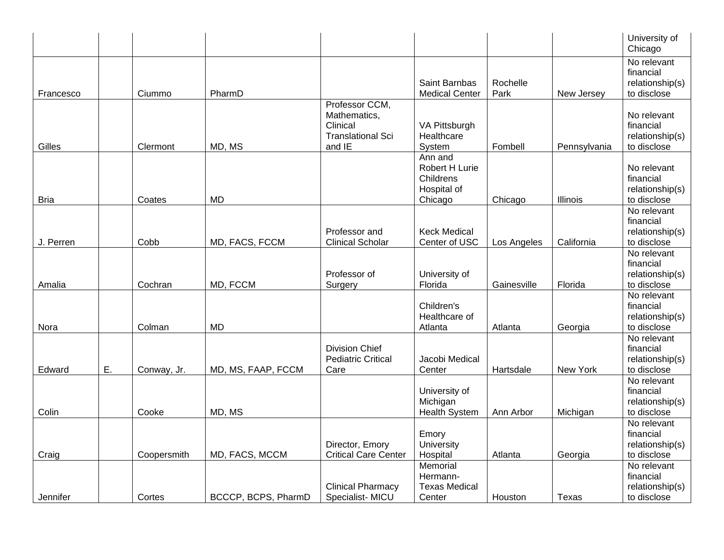|             |    |             |                     |                                                                                  |                                                                  |                  |              | University of<br>Chicago                                   |
|-------------|----|-------------|---------------------|----------------------------------------------------------------------------------|------------------------------------------------------------------|------------------|--------------|------------------------------------------------------------|
| Francesco   |    | Ciummo      | PharmD              |                                                                                  | Saint Barnbas<br><b>Medical Center</b>                           | Rochelle<br>Park | New Jersey   | No relevant<br>financial<br>relationship(s)<br>to disclose |
| Gilles      |    | Clermont    | MD, MS              | Professor CCM,<br>Mathematics,<br>Clinical<br><b>Translational Sci</b><br>and IE | VA Pittsburgh<br>Healthcare<br>System                            | Fombell          | Pennsylvania | No relevant<br>financial<br>relationship(s)<br>to disclose |
| <b>Bria</b> |    | Coates      | <b>MD</b>           |                                                                                  | Ann and<br>Robert H Lurie<br>Childrens<br>Hospital of<br>Chicago | Chicago          | Illinois     | No relevant<br>financial<br>relationship(s)<br>to disclose |
| J. Perren   |    | Cobb        | MD, FACS, FCCM      | Professor and<br><b>Clinical Scholar</b>                                         | <b>Keck Medical</b><br>Center of USC                             | Los Angeles      | California   | No relevant<br>financial<br>relationship(s)<br>to disclose |
| Amalia      |    | Cochran     | MD, FCCM            | Professor of<br>Surgery                                                          | University of<br>Florida                                         | Gainesville      | Florida      | No relevant<br>financial<br>relationship(s)<br>to disclose |
| Nora        |    | Colman      | <b>MD</b>           |                                                                                  | Children's<br>Healthcare of<br>Atlanta                           | Atlanta          | Georgia      | No relevant<br>financial<br>relationship(s)<br>to disclose |
| Edward      | Ε. | Conway, Jr. | MD, MS, FAAP, FCCM  | <b>Division Chief</b><br><b>Pediatric Critical</b><br>Care                       | Jacobi Medical<br>Center                                         | Hartsdale        | New York     | No relevant<br>financial<br>relationship(s)<br>to disclose |
| Colin       |    | Cooke       | MD, MS              |                                                                                  | University of<br>Michigan<br>Health System                       | Ann Arbor        | Michigan     | No relevant<br>financial<br>relationship(s)<br>to disclose |
| Craig       |    | Coopersmith | MD, FACS, MCCM      | Director, Emory<br><b>Critical Care Center</b>                                   | Emory<br>University<br>Hospital                                  | Atlanta          | Georgia      | No relevant<br>financial<br>relationship(s)<br>to disclose |
| Jennifer    |    | Cortes      | BCCCP, BCPS, PharmD | <b>Clinical Pharmacy</b><br>Specialist-MICU                                      | Memorial<br>Hermann-<br><b>Texas Medical</b><br>Center           | Houston          | Texas        | No relevant<br>financial<br>relationship(s)<br>to disclose |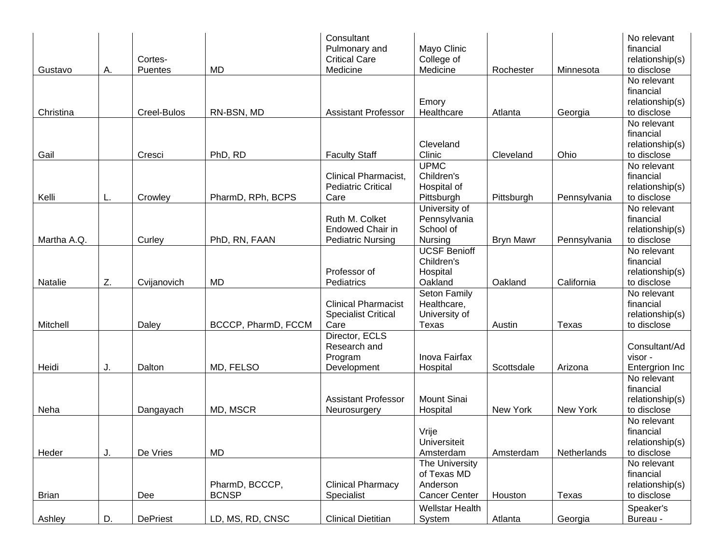| Gustavo      | Α. | Cortes-<br>Puentes | <b>MD</b>                      | Consultant<br>Pulmonary and<br><b>Critical Care</b><br>Medicine       | Mayo Clinic<br>College of<br>Medicine                             | Rochester        | Minnesota    | No relevant<br>financial<br>relationship(s)<br>to disclose |
|--------------|----|--------------------|--------------------------------|-----------------------------------------------------------------------|-------------------------------------------------------------------|------------------|--------------|------------------------------------------------------------|
| Christina    |    | Creel-Bulos        | RN-BSN, MD                     | <b>Assistant Professor</b>                                            | Emory<br>Healthcare                                               | Atlanta          | Georgia      | No relevant<br>financial<br>relationship(s)<br>to disclose |
| Gail         |    | Cresci             | PhD, RD                        | <b>Faculty Staff</b>                                                  | Cleveland<br>Clinic                                               | Cleveland        | Ohio         | No relevant<br>financial<br>relationship(s)<br>to disclose |
| Kelli        | L. | Crowley            | PharmD, RPh, BCPS              | <b>Clinical Pharmacist,</b><br><b>Pediatric Critical</b><br>Care      | <b>UPMC</b><br>Children's<br>Hospital of<br>Pittsburgh            | Pittsburgh       | Pennsylvania | No relevant<br>financial<br>relationship(s)<br>to disclose |
| Martha A.Q.  |    | Curley             | PhD, RN, FAAN                  | Ruth M. Colket<br><b>Endowed Chair in</b><br><b>Pediatric Nursing</b> | University of<br>Pennsylvania<br>School of<br>Nursing             | <b>Bryn Mawr</b> | Pennsylvania | No relevant<br>financial<br>relationship(s)<br>to disclose |
| Natalie      | Z. | Cvijanovich        | <b>MD</b>                      | Professor of<br>Pediatrics                                            | <b>UCSF Benioff</b><br>Children's<br>Hospital<br>Oakland          | Oakland          | California   | No relevant<br>financial<br>relationship(s)<br>to disclose |
| Mitchell     |    | Daley              | BCCCP, PharmD, FCCM            | <b>Clinical Pharmacist</b><br><b>Specialist Critical</b><br>Care      | Seton Family<br>Healthcare,<br>University of<br>Texas             | Austin           | Texas        | No relevant<br>financial<br>relationship(s)<br>to disclose |
| Heidi        | J. | Dalton             | MD, FELSO                      | Director, ECLS<br>Research and<br>Program<br>Development              | Inova Fairfax<br>Hospital                                         | Scottsdale       | Arizona      | Consultant/Ad<br>visor -<br>Entergrion Inc                 |
| Neha         |    | Dangayach          | MD, MSCR                       | <b>Assistant Professor</b><br>Neurosurgery                            | <b>Mount Sinai</b><br>Hospital                                    | New York         | New York     | No relevant<br>financial<br>relationship(s)<br>to disclose |
| Heder        | J. | De Vries           | MD                             |                                                                       | Vrije<br>Universiteit<br>Amsterdam                                | Amsterdam        | Netherlands  | No relevant<br>financial<br>relationship(s)<br>to disclose |
| <b>Brian</b> |    | Dee                | PharmD, BCCCP,<br><b>BCNSP</b> | <b>Clinical Pharmacy</b><br>Specialist                                | The University<br>of Texas MD<br>Anderson<br><b>Cancer Center</b> | Houston          | Texas        | No relevant<br>financial<br>relationship(s)<br>to disclose |
| Ashley       | D. | <b>DePriest</b>    | LD, MS, RD, CNSC               | <b>Clinical Dietitian</b>                                             | <b>Wellstar Health</b><br>System                                  | Atlanta          | Georgia      | Speaker's<br>Bureau -                                      |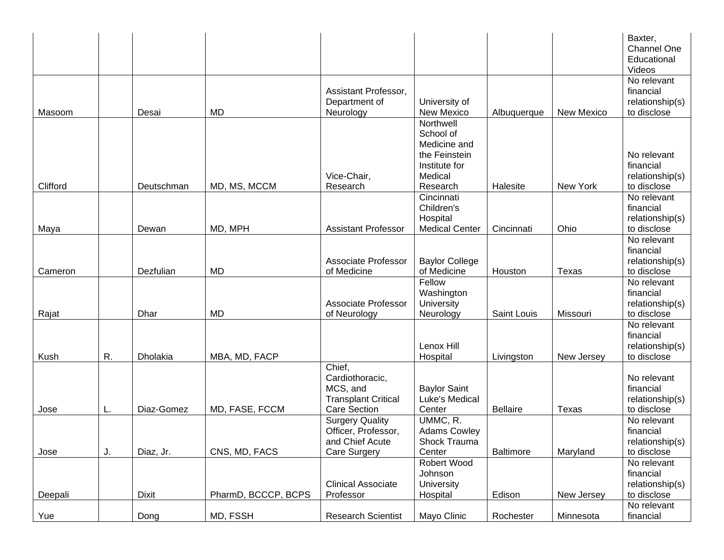|          |    |              |                     |                             |                                       |                 |            | Baxter,                  |
|----------|----|--------------|---------------------|-----------------------------|---------------------------------------|-----------------|------------|--------------------------|
|          |    |              |                     |                             |                                       |                 |            | <b>Channel One</b>       |
|          |    |              |                     |                             |                                       |                 |            | Educational              |
|          |    |              |                     |                             |                                       |                 |            | Videos                   |
|          |    |              |                     |                             |                                       |                 |            | No relevant              |
|          |    |              |                     | Assistant Professor,        |                                       |                 |            | financial                |
|          |    |              |                     | Department of               | University of                         |                 |            | relationship(s)          |
| Masoom   |    | Desai        | <b>MD</b>           | Neurology                   | New Mexico                            | Albuquerque     | New Mexico | to disclose              |
|          |    |              |                     |                             | Northwell<br>School of                |                 |            |                          |
|          |    |              |                     |                             | Medicine and                          |                 |            |                          |
|          |    |              |                     |                             | the Feinstein                         |                 |            | No relevant              |
|          |    |              |                     |                             | Institute for                         |                 |            | financial                |
|          |    |              |                     | Vice-Chair,                 | Medical                               |                 |            | relationship(s)          |
| Clifford |    | Deutschman   | MD, MS, MCCM        | Research                    | Research                              | Halesite        | New York   | to disclose              |
|          |    |              |                     |                             | Cincinnati                            |                 |            | No relevant              |
|          |    |              |                     |                             | Children's                            |                 |            | financial                |
|          |    |              |                     |                             | Hospital                              |                 |            | relationship(s)          |
| Maya     |    | Dewan        | MD, MPH             | <b>Assistant Professor</b>  | <b>Medical Center</b>                 | Cincinnati      | Ohio       | to disclose              |
|          |    |              |                     |                             |                                       |                 |            | No relevant              |
|          |    |              |                     |                             |                                       |                 |            | financial                |
|          |    |              |                     | <b>Associate Professor</b>  | <b>Baylor College</b>                 |                 |            | relationship(s)          |
| Cameron  |    | Dezfulian    | <b>MD</b>           | of Medicine                 | of Medicine                           | Houston         | Texas      | to disclose              |
|          |    |              |                     |                             | Fellow                                |                 |            | No relevant              |
|          |    |              |                     |                             | Washington                            |                 |            | financial                |
|          |    |              |                     | <b>Associate Professor</b>  | University                            |                 |            | relationship(s)          |
| Rajat    |    | Dhar         | <b>MD</b>           | of Neurology                | Neurology                             | Saint Louis     | Missouri   | to disclose              |
|          |    |              |                     |                             |                                       |                 |            | No relevant              |
|          |    |              |                     |                             |                                       |                 |            | financial                |
|          |    |              |                     |                             | Lenox Hill                            |                 |            | relationship(s)          |
| Kush     | R. | Dholakia     | MBA, MD, FACP       |                             | Hospital                              | Livingston      | New Jersey | to disclose              |
|          |    |              |                     | Chief,                      |                                       |                 |            |                          |
|          |    |              |                     | Cardiothoracic,<br>MCS, and |                                       |                 |            | No relevant<br>financial |
|          |    |              |                     | <b>Transplant Critical</b>  | <b>Baylor Saint</b><br>Luke's Medical |                 |            | relationship(s)          |
| Jose     |    | Diaz-Gomez   | MD, FASE, FCCM      | <b>Care Section</b>         | Center                                | <b>Bellaire</b> | Texas      | to disclose              |
|          | L. |              |                     | Surgery Quality             | UMMC, R.                              |                 |            | No relevant              |
|          |    |              |                     | Officer, Professor,         | <b>Adams Cowley</b>                   |                 |            | financial                |
|          |    |              |                     | and Chief Acute             | Shock Trauma                          |                 |            | relationship(s)          |
| Jose     | J. | Diaz, Jr.    | CNS, MD, FACS       | <b>Care Surgery</b>         | Center                                | Baltimore       | Maryland   | to disclose              |
|          |    |              |                     |                             | Robert Wood                           |                 |            | No relevant              |
|          |    |              |                     |                             | Johnson                               |                 |            | financial                |
|          |    |              |                     | <b>Clinical Associate</b>   | University                            |                 |            | relationship(s)          |
| Deepali  |    | <b>Dixit</b> | PharmD, BCCCP, BCPS | Professor                   | Hospital                              | Edison          | New Jersey | to disclose              |
|          |    |              |                     |                             |                                       |                 |            | No relevant              |
| Yue      |    | Dong         | MD, FSSH            | <b>Research Scientist</b>   | Mayo Clinic                           | Rochester       | Minnesota  | financial                |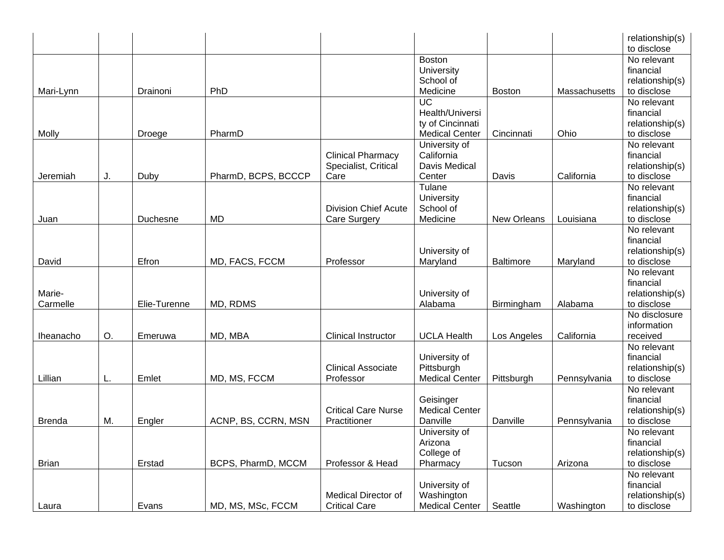|               |    |              |                     |                             |                       |                  |               | relationship(s)<br>to disclose |
|---------------|----|--------------|---------------------|-----------------------------|-----------------------|------------------|---------------|--------------------------------|
|               |    |              |                     |                             | <b>Boston</b>         |                  |               | No relevant                    |
|               |    |              |                     |                             | University            |                  |               | financial                      |
|               |    |              |                     |                             | School of             |                  |               | relationship(s)                |
| Mari-Lynn     |    | Drainoni     | PhD                 |                             | Medicine              | <b>Boston</b>    | Massachusetts | to disclose                    |
|               |    |              |                     |                             | $\overline{UC}$       |                  |               | No relevant                    |
|               |    |              |                     |                             | Health/Universi       |                  |               | financial                      |
|               |    |              |                     |                             | ty of Cincinnati      |                  |               | relationship(s)                |
| Molly         |    | Droege       | PharmD              |                             | <b>Medical Center</b> | Cincinnati       | Ohio          | to disclose                    |
|               |    |              |                     |                             | University of         |                  |               | No relevant                    |
|               |    |              |                     | <b>Clinical Pharmacy</b>    | California            |                  |               | financial                      |
|               |    |              |                     | Specialist, Critical        | Davis Medical         |                  |               | relationship(s)                |
| Jeremiah      | J. | Duby         | PharmD, BCPS, BCCCP | Care                        | Center                | Davis            | California    | to disclose                    |
|               |    |              |                     |                             | Tulane                |                  |               | No relevant                    |
|               |    |              |                     |                             | University            |                  |               | financial                      |
|               |    |              |                     | <b>Division Chief Acute</b> | School of             |                  |               | relationship(s)                |
| Juan          |    | Duchesne     | <b>MD</b>           | <b>Care Surgery</b>         | Medicine              | New Orleans      | Louisiana     | to disclose                    |
|               |    |              |                     |                             |                       |                  |               | No relevant                    |
|               |    |              |                     |                             | University of         |                  |               | financial                      |
| David         |    | Efron        | MD, FACS, FCCM      | Professor                   | Maryland              | <b>Baltimore</b> | Maryland      | relationship(s)<br>to disclose |
|               |    |              |                     |                             |                       |                  |               | No relevant                    |
|               |    |              |                     |                             |                       |                  |               | financial                      |
| Marie-        |    |              |                     |                             | University of         |                  |               | relationship(s)                |
| Carmelle      |    | Elie-Turenne | MD, RDMS            |                             | Alabama               | Birmingham       | Alabama       | to disclose                    |
|               |    |              |                     |                             |                       |                  |               | No disclosure                  |
|               |    |              |                     |                             |                       |                  |               | information                    |
| Iheanacho     | О. | Emeruwa      | MD, MBA             | <b>Clinical Instructor</b>  | <b>UCLA Health</b>    | Los Angeles      | California    | received                       |
|               |    |              |                     |                             |                       |                  |               | No relevant                    |
|               |    |              |                     |                             | University of         |                  |               | financial                      |
|               |    |              |                     | <b>Clinical Associate</b>   | Pittsburgh            |                  |               | relationship(s)                |
| Lillian       | L. | Emlet        | MD, MS, FCCM        | Professor                   | <b>Medical Center</b> | Pittsburgh       | Pennsylvania  | to disclose                    |
|               |    |              |                     |                             |                       |                  |               | No relevant                    |
|               |    |              |                     |                             | Geisinger             |                  |               | financial                      |
|               |    |              |                     | <b>Critical Care Nurse</b>  | <b>Medical Center</b> |                  |               | relationship(s)                |
| <b>Brenda</b> | M. | Engler       | ACNP, BS, CCRN, MSN | Practitioner                | Danville              | Danville         | Pennsylvania  | to disclose                    |
|               |    |              |                     |                             | University of         |                  |               | No relevant                    |
|               |    |              |                     |                             | Arizona               |                  |               | financial                      |
|               |    |              |                     |                             | College of            |                  |               | relationship(s)                |
| <b>Brian</b>  |    | Erstad       | BCPS, PharmD, MCCM  | Professor & Head            | Pharmacy              | Tucson           | Arizona       | to disclose                    |
|               |    |              |                     |                             |                       |                  |               | No relevant                    |
|               |    |              |                     |                             | University of         |                  |               | financial                      |
|               |    |              |                     | <b>Medical Director of</b>  | Washington            |                  |               | relationship(s)                |
| Laura         |    | Evans        | MD, MS, MSc, FCCM   | <b>Critical Care</b>        | <b>Medical Center</b> | Seattle          | Washington    | to disclose                    |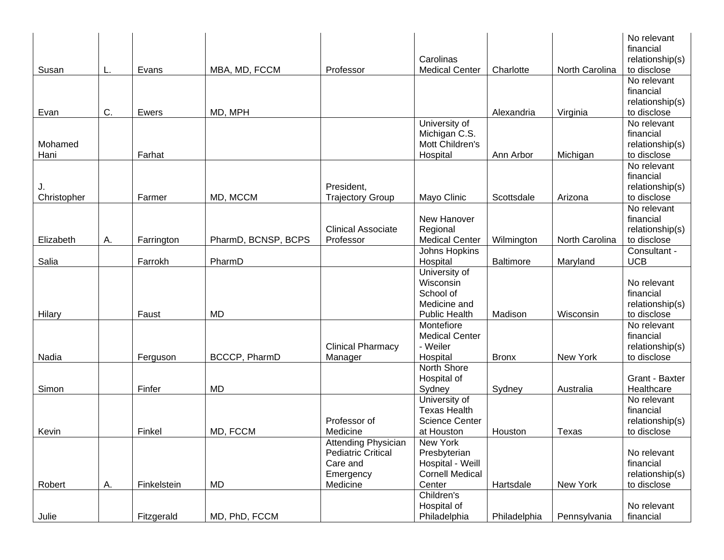|                   |    |             |                      |                                                                                       | Carolinas                                                                        |              |                | No relevant<br>financial<br>relationship(s)                |
|-------------------|----|-------------|----------------------|---------------------------------------------------------------------------------------|----------------------------------------------------------------------------------|--------------|----------------|------------------------------------------------------------|
| Susan             | L. | Evans       | MBA, MD, FCCM        | Professor                                                                             | <b>Medical Center</b>                                                            | Charlotte    | North Carolina | to disclose                                                |
| Evan              | C. | Ewers       | MD, MPH              |                                                                                       |                                                                                  | Alexandria   | Virginia       | No relevant<br>financial<br>relationship(s)<br>to disclose |
| Mohamed<br>Hani   |    | Farhat      |                      |                                                                                       | University of<br>Michigan C.S.<br>Mott Children's<br>Hospital                    | Ann Arbor    | Michigan       | No relevant<br>financial<br>relationship(s)<br>to disclose |
| J.<br>Christopher |    | Farmer      | MD, MCCM             | President,<br><b>Trajectory Group</b>                                                 | Mayo Clinic                                                                      | Scottsdale   | Arizona        | No relevant<br>financial<br>relationship(s)<br>to disclose |
| Elizabeth         | Α. | Farrington  | PharmD, BCNSP, BCPS  | <b>Clinical Associate</b><br>Professor                                                | New Hanover<br>Regional<br><b>Medical Center</b>                                 | Wilmington   | North Carolina | No relevant<br>financial<br>relationship(s)<br>to disclose |
|                   |    |             |                      |                                                                                       | Johns Hopkins                                                                    |              |                | Consultant -                                               |
| Salia             |    | Farrokh     | PharmD               |                                                                                       | Hospital<br>University of                                                        | Baltimore    | Maryland       | <b>UCB</b>                                                 |
| Hilary            |    | Faust       | <b>MD</b>            |                                                                                       | Wisconsin<br>School of<br>Medicine and<br><b>Public Health</b>                   | Madison      | Wisconsin      | No relevant<br>financial<br>relationship(s)<br>to disclose |
| Nadia             |    | Ferguson    | <b>BCCCP, PharmD</b> | <b>Clinical Pharmacy</b><br>Manager                                                   | Montefiore<br><b>Medical Center</b><br>- Weiler<br>Hospital                      | <b>Bronx</b> | New York       | No relevant<br>financial<br>relationship(s)<br>to disclose |
| Simon             |    | Finfer      | <b>MD</b>            |                                                                                       | North Shore<br>Hospital of<br>Sydney                                             | Sydney       | Australia      | Grant - Baxter<br>Healthcare                               |
| Kevin             |    | Finkel      | MD, FCCM             | Professor of<br>Medicine                                                              | University of<br><b>Texas Health</b><br><b>Science Center</b><br>at Houston      | Houston      | Texas          | No relevant<br>financial<br>relationship(s)<br>to disclose |
| Robert            | А. | Finkelstein | MD                   | Attending Physician<br><b>Pediatric Critical</b><br>Care and<br>Emergency<br>Medicine | New York<br>Presbyterian<br>Hospital - Weill<br><b>Cornell Medical</b><br>Center | Hartsdale    | New York       | No relevant<br>financial<br>relationship(s)<br>to disclose |
| Julie             |    | Fitzgerald  | MD, PhD, FCCM        |                                                                                       | Children's<br>Hospital of<br>Philadelphia                                        | Philadelphia | Pennsylvania   | No relevant<br>financial                                   |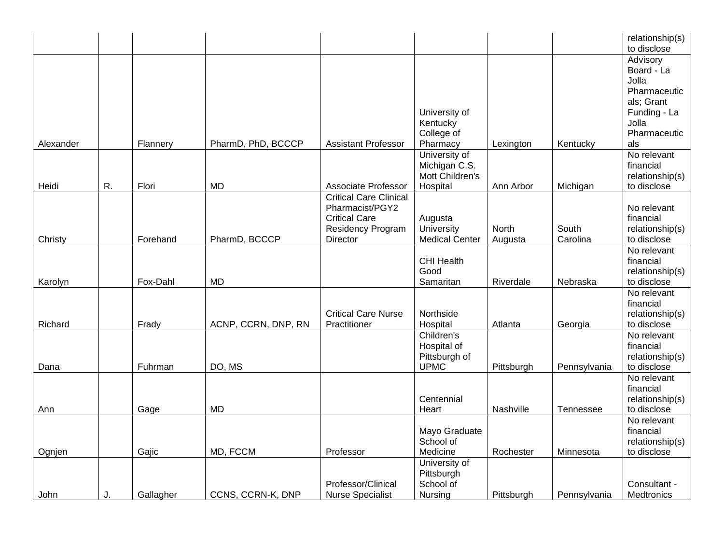|           |    |           |                     |                                                                                                           |                                                               |                  |                   | relationship(s)<br>to disclose                                                                                |
|-----------|----|-----------|---------------------|-----------------------------------------------------------------------------------------------------------|---------------------------------------------------------------|------------------|-------------------|---------------------------------------------------------------------------------------------------------------|
| Alexander |    | Flannery  | PharmD, PhD, BCCCP  | <b>Assistant Professor</b>                                                                                | University of<br>Kentucky<br>College of<br>Pharmacy           | Lexington        | Kentucky          | Advisory<br>Board - La<br>Jolla<br>Pharmaceutic<br>als; Grant<br>Funding - La<br>Jolla<br>Pharmaceutic<br>als |
| Heidi     | R. | Flori     | <b>MD</b>           | Associate Professor                                                                                       | University of<br>Michigan C.S.<br>Mott Children's<br>Hospital | Ann Arbor        | Michigan          | No relevant<br>financial<br>relationship(s)<br>to disclose                                                    |
| Christy   |    | Forehand  | PharmD, BCCCP       | <b>Critical Care Clinical</b><br>Pharmacist/PGY2<br><b>Critical Care</b><br>Residency Program<br>Director | Augusta<br>University<br><b>Medical Center</b>                | North<br>Augusta | South<br>Carolina | No relevant<br>financial<br>relationship(s)<br>to disclose                                                    |
| Karolyn   |    | Fox-Dahl  | <b>MD</b>           |                                                                                                           | <b>CHI Health</b><br>Good<br>Samaritan                        | Riverdale        | Nebraska          | No relevant<br>financial<br>relationship(s)<br>to disclose                                                    |
| Richard   |    | Frady     | ACNP, CCRN, DNP, RN | <b>Critical Care Nurse</b><br>Practitioner                                                                | Northside<br>Hospital                                         | Atlanta          | Georgia           | No relevant<br>financial<br>relationship(s)<br>to disclose                                                    |
| Dana      |    | Fuhrman   | DO, MS              |                                                                                                           | Children's<br>Hospital of<br>Pittsburgh of<br><b>UPMC</b>     | Pittsburgh       | Pennsylvania      | No relevant<br>financial<br>relationship(s)<br>to disclose                                                    |
| Ann       |    | Gage      | <b>MD</b>           |                                                                                                           | Centennial<br>Heart                                           | Nashville        | Tennessee         | No relevant<br>financial<br>relationship(s)<br>to disclose                                                    |
| Ognjen    |    | Gajic     | MD, FCCM            | Professor                                                                                                 | Mayo Graduate<br>School of<br>Medicine                        | Rochester        | Minnesota         | No relevant<br>financial<br>relationship(s)<br>to disclose                                                    |
| John      | J. | Gallagher | CCNS, CCRN-K, DNP   | Professor/Clinical<br><b>Nurse Specialist</b>                                                             | University of<br>Pittsburgh<br>School of<br>Nursing           | Pittsburgh       | Pennsylvania      | Consultant -<br>Medtronics                                                                                    |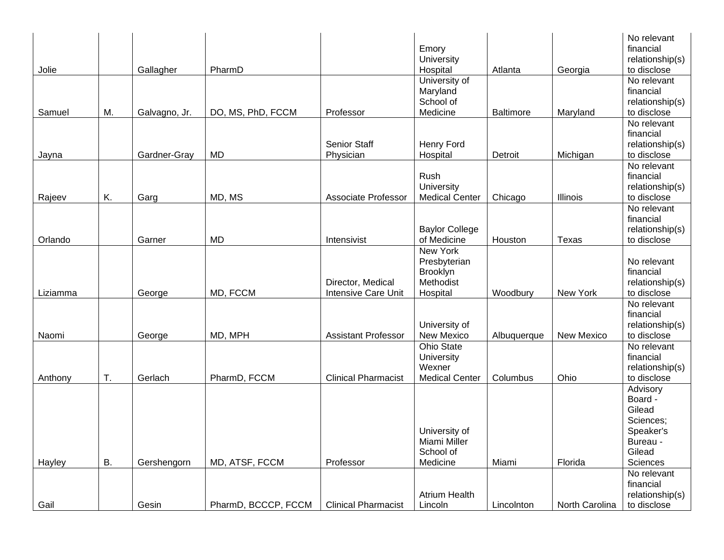|          |    |               |                     |                            |                       |                  |                | No relevant     |
|----------|----|---------------|---------------------|----------------------------|-----------------------|------------------|----------------|-----------------|
|          |    |               |                     |                            | Emory                 |                  |                | financial       |
|          |    |               |                     |                            | University            |                  |                | relationship(s) |
| Jolie    |    | Gallagher     | PharmD              |                            | Hospital              | Atlanta          | Georgia        | to disclose     |
|          |    |               |                     |                            | University of         |                  |                | No relevant     |
|          |    |               |                     |                            | Maryland              |                  |                | financial       |
|          |    |               |                     |                            | School of             |                  |                | relationship(s) |
| Samuel   | М. | Galvagno, Jr. | DO, MS, PhD, FCCM   | Professor                  | Medicine              | <b>Baltimore</b> | Maryland       | to disclose     |
|          |    |               |                     |                            |                       |                  |                | No relevant     |
|          |    |               |                     |                            |                       |                  |                | financial       |
|          |    |               |                     | <b>Senior Staff</b>        | Henry Ford            |                  |                | relationship(s) |
| Jayna    |    | Gardner-Gray  | <b>MD</b>           | Physician                  | Hospital              | Detroit          | Michigan       | to disclose     |
|          |    |               |                     |                            |                       |                  |                | No relevant     |
|          |    |               |                     |                            | Rush                  |                  |                | financial       |
|          |    |               |                     |                            | University            |                  |                | relationship(s) |
| Rajeev   | K. | Garg          | MD, MS              | Associate Professor        | <b>Medical Center</b> | Chicago          | Illinois       | to disclose     |
|          |    |               |                     |                            |                       |                  |                | No relevant     |
|          |    |               |                     |                            |                       |                  |                | financial       |
|          |    |               |                     |                            | <b>Baylor College</b> |                  |                | relationship(s) |
| Orlando  |    | Garner        | <b>MD</b>           | Intensivist                | of Medicine           | Houston          | Texas          | to disclose     |
|          |    |               |                     |                            | <b>New York</b>       |                  |                |                 |
|          |    |               |                     |                            | Presbyterian          |                  |                | No relevant     |
|          |    |               |                     |                            | Brooklyn              |                  |                | financial       |
|          |    |               |                     | Director, Medical          | Methodist             |                  |                | relationship(s) |
| Liziamma |    | George        | MD, FCCM            | <b>Intensive Care Unit</b> | Hospital              | Woodbury         | New York       | to disclose     |
|          |    |               |                     |                            |                       |                  |                | No relevant     |
|          |    |               |                     |                            |                       |                  |                | financial       |
|          |    |               |                     |                            | University of         |                  |                | relationship(s) |
| Naomi    |    | George        | MD, MPH             | <b>Assistant Professor</b> | New Mexico            | Albuquerque      | New Mexico     | to disclose     |
|          |    |               |                     |                            | Ohio State            |                  |                | No relevant     |
|          |    |               |                     |                            | University            |                  |                | financial       |
|          |    |               |                     |                            | Wexner                |                  |                | relationship(s) |
| Anthony  | T. | Gerlach       | PharmD, FCCM        | <b>Clinical Pharmacist</b> | <b>Medical Center</b> | Columbus         | Ohio           | to disclose     |
|          |    |               |                     |                            |                       |                  |                | Advisory        |
|          |    |               |                     |                            |                       |                  |                | Board -         |
|          |    |               |                     |                            |                       |                  |                | Gilead          |
|          |    |               |                     |                            |                       |                  |                | Sciences;       |
|          |    |               |                     |                            | University of         |                  |                | Speaker's       |
|          |    |               |                     |                            | Miami Miller          |                  |                | Bureau -        |
|          |    |               |                     |                            | School of             |                  |                | Gilead          |
| Hayley   | В. | Gershengorn   | MD, ATSF, FCCM      | Professor                  | Medicine              | Miami            | Florida        | Sciences        |
|          |    |               |                     |                            |                       |                  |                | No relevant     |
|          |    |               |                     |                            |                       |                  |                | financial       |
|          |    |               |                     |                            | <b>Atrium Health</b>  |                  |                | relationship(s) |
| Gail     |    | Gesin         | PharmD, BCCCP, FCCM | <b>Clinical Pharmacist</b> | Lincoln               | Lincolnton       | North Carolina | to disclose     |
|          |    |               |                     |                            |                       |                  |                |                 |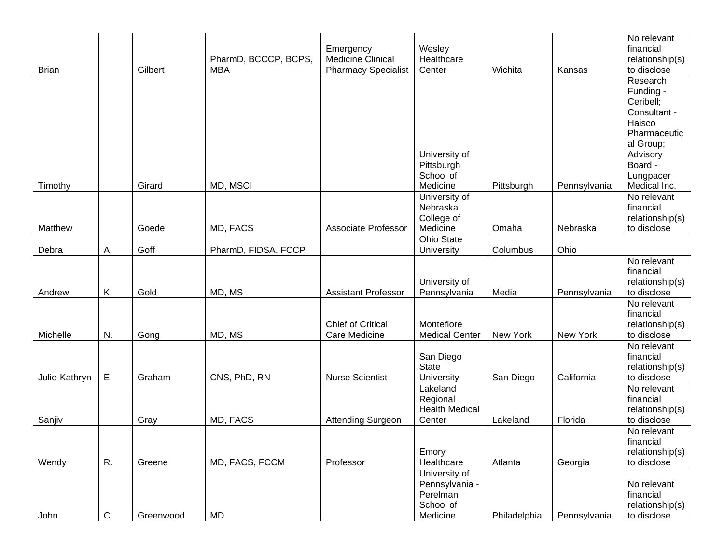| <b>Brian</b>  |    | Gilbert   | PharmD, BCCCP, BCPS,<br><b>MBA</b> | Emergency<br><b>Medicine Clinical</b><br><b>Pharmacy Specialist</b> | Wesley<br>Healthcare<br>Center  | Wichita      | Kansas       | No relevant<br>financial<br>relationship(s)<br>to disclose |
|---------------|----|-----------|------------------------------------|---------------------------------------------------------------------|---------------------------------|--------------|--------------|------------------------------------------------------------|
|               |    |           |                                    |                                                                     |                                 |              |              | Research<br>Funding -<br>Ceribell;                         |
|               |    |           |                                    |                                                                     |                                 |              |              | Consultant -                                               |
|               |    |           |                                    |                                                                     |                                 |              |              | Haisco<br>Pharmaceutic                                     |
|               |    |           |                                    |                                                                     |                                 |              |              | al Group;                                                  |
|               |    |           |                                    |                                                                     | University of                   |              |              | Advisory                                                   |
|               |    |           |                                    |                                                                     | Pittsburgh                      |              |              | Board -                                                    |
| Timothy       |    | Girard    | MD, MSCI                           |                                                                     | School of<br>Medicine           | Pittsburgh   | Pennsylvania | Lungpacer<br>Medical Inc.                                  |
|               |    |           |                                    |                                                                     | University of                   |              |              | No relevant                                                |
|               |    |           |                                    |                                                                     | Nebraska                        |              |              | financial                                                  |
|               |    |           |                                    |                                                                     | College of                      |              |              | relationship(s)                                            |
| Matthew       |    | Goede     | MD, FACS                           | Associate Professor                                                 | Medicine                        | Omaha        | Nebraska     | to disclose                                                |
| Debra         | А. | Goff      | PharmD, FIDSA, FCCP                |                                                                     | <b>Ohio State</b><br>University | Columbus     | Ohio         |                                                            |
|               |    |           |                                    |                                                                     |                                 |              |              | No relevant                                                |
|               |    |           |                                    |                                                                     |                                 |              |              | financial                                                  |
|               |    |           |                                    |                                                                     | University of                   |              |              | relationship(s)                                            |
| Andrew        | K. | Gold      | MD, MS                             | <b>Assistant Professor</b>                                          | Pennsylvania                    | Media        | Pennsylvania | to disclose<br>No relevant                                 |
|               |    |           |                                    |                                                                     |                                 |              |              | financial                                                  |
|               |    |           |                                    | <b>Chief of Critical</b>                                            | Montefiore                      |              |              | relationship(s)                                            |
| Michelle      | N. | Gong      | MD, MS                             | Care Medicine                                                       | <b>Medical Center</b>           | New York     | New York     | to disclose                                                |
|               |    |           |                                    |                                                                     |                                 |              |              | No relevant                                                |
|               |    |           |                                    |                                                                     | San Diego<br><b>State</b>       |              |              | financial<br>relationship(s)                               |
| Julie-Kathryn | Ε. | Graham    | CNS, PhD, RN                       | <b>Nurse Scientist</b>                                              | University                      | San Diego    | California   | to disclose                                                |
|               |    |           |                                    |                                                                     | Lakeland                        |              |              | No relevant                                                |
|               |    |           |                                    |                                                                     | Regional                        |              |              | financial                                                  |
|               |    | Gray      | MD, FACS                           | <b>Attending Surgeon</b>                                            | <b>Health Medical</b><br>Center | Lakeland     | Florida      | relationship(s)<br>to disclose                             |
| Sanjiv        |    |           |                                    |                                                                     |                                 |              |              | No relevant                                                |
|               |    |           |                                    |                                                                     |                                 |              |              | financial                                                  |
|               |    |           |                                    |                                                                     | Emory                           |              |              | relationship(s)                                            |
| Wendy         | R. | Greene    | MD, FACS, FCCM                     | Professor                                                           | Healthcare                      | Atlanta      | Georgia      | to disclose                                                |
|               |    |           |                                    |                                                                     | University of<br>Pennsylvania - |              |              | No relevant                                                |
|               |    |           |                                    |                                                                     | Perelman                        |              |              | financial                                                  |
|               |    |           |                                    |                                                                     | School of                       |              |              | relationship(s)                                            |
| John          | C. | Greenwood | <b>MD</b>                          |                                                                     | Medicine                        | Philadelphia | Pennsylvania | to disclose                                                |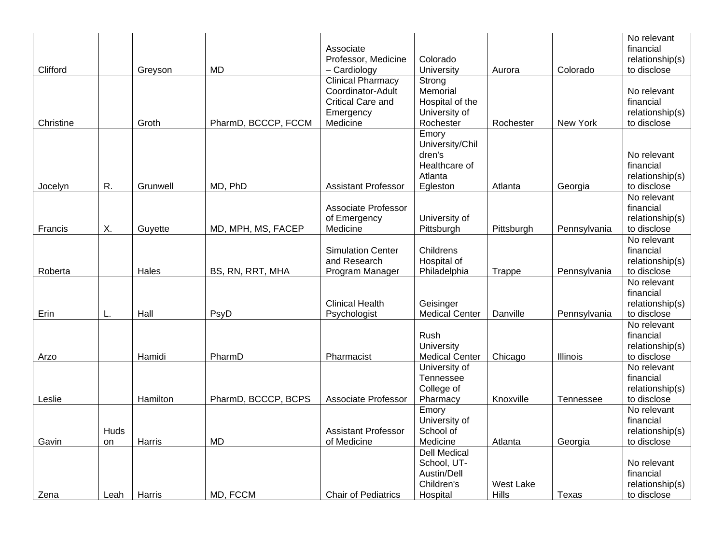| Clifford  |            | Greyson  | <b>MD</b>           | Associate<br>Professor, Medicine<br>- Cardiology                                            | Colorado<br>University                                                      | Aurora                    | Colorado        | No relevant<br>financial<br>relationship(s)<br>to disclose |
|-----------|------------|----------|---------------------|---------------------------------------------------------------------------------------------|-----------------------------------------------------------------------------|---------------------------|-----------------|------------------------------------------------------------|
| Christine |            | Groth    | PharmD, BCCCP, FCCM | <b>Clinical Pharmacy</b><br>Coordinator-Adult<br>Critical Care and<br>Emergency<br>Medicine | Strong<br>Memorial<br>Hospital of the<br>University of<br>Rochester         | Rochester                 | New York        | No relevant<br>financial<br>relationship(s)<br>to disclose |
| Jocelyn   | R.         | Grunwell | MD, PhD             | <b>Assistant Professor</b>                                                                  | Emory<br>University/Chil<br>dren's<br>Healthcare of<br>Atlanta<br>Egleston  | Atlanta                   | Georgia         | No relevant<br>financial<br>relationship(s)<br>to disclose |
| Francis   | Χ.         | Guyette  | MD, MPH, MS, FACEP  | Associate Professor<br>of Emergency<br>Medicine                                             | University of<br>Pittsburgh                                                 | Pittsburgh                | Pennsylvania    | No relevant<br>financial<br>relationship(s)<br>to disclose |
| Roberta   |            | Hales    | BS, RN, RRT, MHA    | <b>Simulation Center</b><br>and Research<br>Program Manager                                 | Childrens<br>Hospital of<br>Philadelphia                                    | <b>Trappe</b>             | Pennsylvania    | No relevant<br>financial<br>relationship(s)<br>to disclose |
| Erin      | L.         | Hall     | PsyD                | <b>Clinical Health</b><br>Psychologist                                                      | Geisinger<br><b>Medical Center</b>                                          | Danville                  | Pennsylvania    | No relevant<br>financial<br>relationship(s)<br>to disclose |
| Arzo      |            | Hamidi   | PharmD              | Pharmacist                                                                                  | Rush<br>University<br><b>Medical Center</b>                                 | Chicago                   | <b>Illinois</b> | No relevant<br>financial<br>relationship(s)<br>to disclose |
| Leslie    |            | Hamilton | PharmD, BCCCP, BCPS | <b>Associate Professor</b>                                                                  | University of<br>Tennessee<br>College of<br>Pharmacy                        | Knoxville                 | Tennessee       | No relevant<br>financial<br>relationship(s)<br>to disclose |
| Gavin     | Huds<br>on | Harris   | <b>MD</b>           | <b>Assistant Professor</b><br>of Medicine                                                   | Emory<br>University of<br>School of<br>Medicine                             | Atlanta                   | Georgia         | No relevant<br>financial<br>relationship(s)<br>to disclose |
| Zena      | Leah       | Harris   | MD, FCCM            | <b>Chair of Pediatrics</b>                                                                  | <b>Dell Medical</b><br>School, UT-<br>Austin/Dell<br>Children's<br>Hospital | <b>West Lake</b><br>Hills | Texas           | No relevant<br>financial<br>relationship(s)<br>to disclose |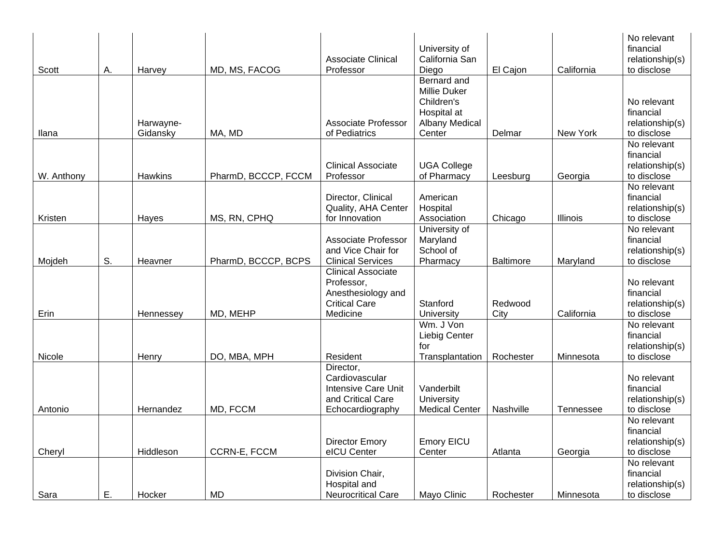| Scott      | А. | Harvey                | MD, MS, FACOG       | <b>Associate Clinical</b><br>Professor                                                             | University of<br>California San<br>Diego                                                    | El Cajon        | California      | No relevant<br>financial<br>relationship(s)<br>to disclose |
|------------|----|-----------------------|---------------------|----------------------------------------------------------------------------------------------------|---------------------------------------------------------------------------------------------|-----------------|-----------------|------------------------------------------------------------|
| Ilana      |    | Harwayne-<br>Gidansky | MA, MD              | <b>Associate Professor</b><br>of Pediatrics                                                        | Bernard and<br>Millie Duker<br>Children's<br>Hospital at<br><b>Albany Medical</b><br>Center | Delmar          | New York        | No relevant<br>financial<br>relationship(s)<br>to disclose |
| W. Anthony |    | Hawkins               | PharmD, BCCCP, FCCM | <b>Clinical Associate</b><br>Professor                                                             | <b>UGA College</b><br>of Pharmacy                                                           | Leesburg        | Georgia         | No relevant<br>financial<br>relationship(s)<br>to disclose |
| Kristen    |    | Hayes                 | MS, RN, CPHQ        | Director, Clinical<br>Quality, AHA Center<br>for Innovation                                        | American<br>Hospital<br>Association                                                         | Chicago         | <b>Illinois</b> | No relevant<br>financial<br>relationship(s)<br>to disclose |
| Mojdeh     | S. | Heavner               | PharmD, BCCCP, BCPS | <b>Associate Professor</b><br>and Vice Chair for<br><b>Clinical Services</b>                       | University of<br>Maryland<br>School of<br>Pharmacy                                          | Baltimore       | Maryland        | No relevant<br>financial<br>relationship(s)<br>to disclose |
| Erin       |    | Hennessey             | MD, MEHP            | <b>Clinical Associate</b><br>Professor,<br>Anesthesiology and<br><b>Critical Care</b><br>Medicine  | Stanford<br>University                                                                      | Redwood<br>City | California      | No relevant<br>financial<br>relationship(s)<br>to disclose |
| Nicole     |    | Henry                 | DO, MBA, MPH        | Resident                                                                                           | Wm. J Von<br>Liebig Center<br>for<br>Transplantation                                        | Rochester       | Minnesota       | No relevant<br>financial<br>relationship(s)<br>to disclose |
| Antonio    |    | Hernandez             | MD, FCCM            | Director,<br>Cardiovascular<br><b>Intensive Care Unit</b><br>and Critical Care<br>Echocardiography | Vanderbilt<br>University<br><b>Medical Center</b>                                           | Nashville       | Tennessee       | No relevant<br>financial<br>relationship(s)<br>to disclose |
| Cheryl     |    | Hiddleson             | CCRN-E, FCCM        | <b>Director Emory</b><br>eICU Center                                                               | <b>Emory EICU</b><br>Center                                                                 | Atlanta         | Georgia         | No relevant<br>financial<br>relationship(s)<br>to disclose |
| Sara       | Ε. | Hocker                | <b>MD</b>           | Division Chair,<br>Hospital and<br><b>Neurocritical Care</b>                                       | Mayo Clinic                                                                                 | Rochester       | Minnesota       | No relevant<br>financial<br>relationship(s)<br>to disclose |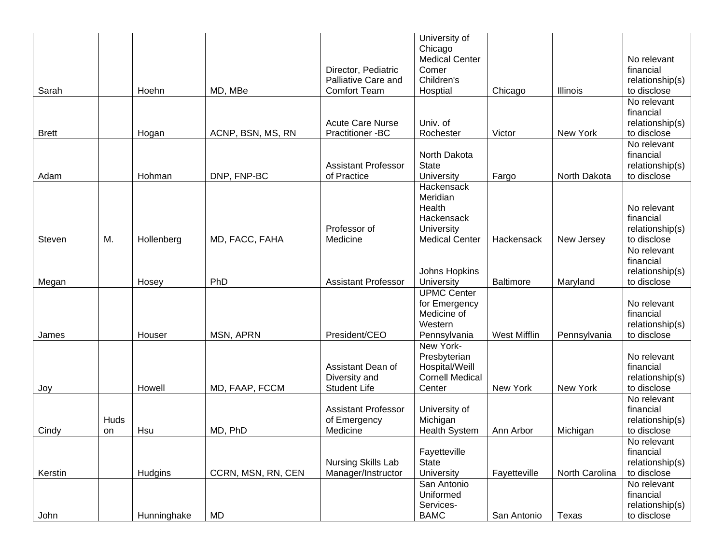| Sarah        |            | Hoehn       | MD, MBe            | Director, Pediatric<br>Palliative Care and<br><b>Comfort Team</b> | University of<br>Chicago<br><b>Medical Center</b><br>Comer<br>Children's<br>Hosptial  | Chicago             | <b>Illinois</b> | No relevant<br>financial<br>relationship(s)<br>to disclose |
|--------------|------------|-------------|--------------------|-------------------------------------------------------------------|---------------------------------------------------------------------------------------|---------------------|-----------------|------------------------------------------------------------|
| <b>Brett</b> |            | Hogan       | ACNP, BSN, MS, RN  | <b>Acute Care Nurse</b><br>Practitioner -BC                       | Univ. of<br>Rochester                                                                 | Victor              | New York        | No relevant<br>financial<br>relationship(s)<br>to disclose |
| Adam         |            | Hohman      | DNP, FNP-BC        | <b>Assistant Professor</b><br>of Practice                         | North Dakota<br><b>State</b><br>University                                            | Fargo               | North Dakota    | No relevant<br>financial<br>relationship(s)<br>to disclose |
| Steven       | M.         | Hollenberg  | MD, FACC, FAHA     | Professor of<br>Medicine                                          | Hackensack<br>Meridian<br>Health<br>Hackensack<br>University<br><b>Medical Center</b> | Hackensack          | New Jersey      | No relevant<br>financial<br>relationship(s)<br>to disclose |
| Megan        |            | Hosey       | PhD                | <b>Assistant Professor</b>                                        | Johns Hopkins<br>University                                                           | <b>Baltimore</b>    | Maryland        | No relevant<br>financial<br>relationship(s)<br>to disclose |
| James        |            | Houser      | MSN, APRN          | President/CEO                                                     | <b>UPMC Center</b><br>for Emergency<br>Medicine of<br>Western<br>Pennsylvania         | <b>West Mifflin</b> | Pennsylvania    | No relevant<br>financial<br>relationship(s)<br>to disclose |
| Joy          |            | Howell      | MD, FAAP, FCCM     | Assistant Dean of<br>Diversity and<br><b>Student Life</b>         | New York-<br>Presbyterian<br>Hospital/Weill<br><b>Cornell Medical</b><br>Center       | New York            | New York        | No relevant<br>financial<br>relationship(s)<br>to disclose |
| Cindy        | Huds<br>on | Hsu         | MD, PhD            | <b>Assistant Professor</b><br>of Emergency<br>Medicine            | University of<br>Michigan<br><b>Health System</b>                                     | Ann Arbor           | Michigan        | No relevant<br>financial<br>relationship(s)<br>to disclose |
| Kerstin      |            | Hudgins     | CCRN, MSN, RN, CEN | Nursing Skills Lab<br>Manager/Instructor                          | Fayetteville<br><b>State</b><br>University                                            | Fayetteville        | North Carolina  | No relevant<br>financial<br>relationship(s)<br>to disclose |
| John         |            | Hunninghake | <b>MD</b>          |                                                                   | San Antonio<br>Uniformed<br>Services-<br><b>BAMC</b>                                  | San Antonio         | Texas           | No relevant<br>financial<br>relationship(s)<br>to disclose |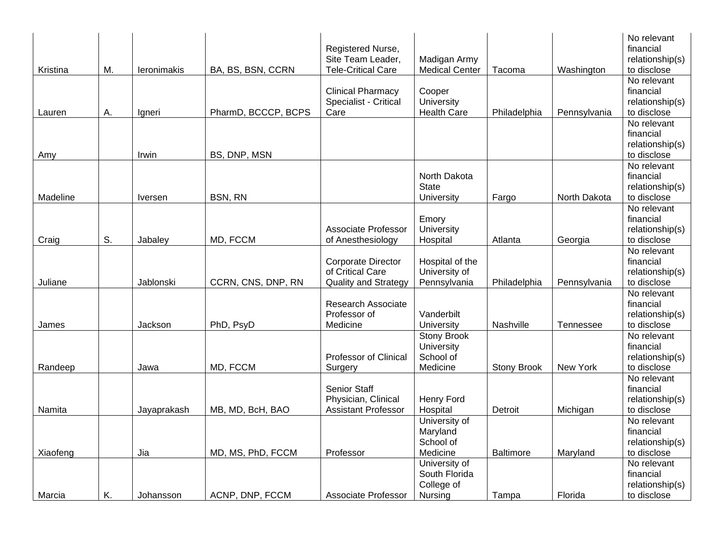| Kristina | М. | leronimakis    | BA, BS, BSN, CCRN   | Registered Nurse,<br>Site Team Leader,<br><b>Tele-Critical Care</b>          | Madigan Army<br><b>Medical Center</b>                     | Tacoma             | Washington   | No relevant<br>financial<br>relationship(s)<br>to disclose |
|----------|----|----------------|---------------------|------------------------------------------------------------------------------|-----------------------------------------------------------|--------------------|--------------|------------------------------------------------------------|
| Lauren   | А. | Igneri         | PharmD, BCCCP, BCPS | <b>Clinical Pharmacy</b><br>Specialist - Critical<br>Care                    | Cooper<br>University<br><b>Health Care</b>                | Philadelphia       | Pennsylvania | No relevant<br>financial<br>relationship(s)<br>to disclose |
| Amy      |    | Irwin          | BS, DNP, MSN        |                                                                              |                                                           |                    |              | No relevant<br>financial<br>relationship(s)<br>to disclose |
| Madeline |    | <b>Iversen</b> | BSN, RN             |                                                                              | North Dakota<br><b>State</b><br>University                | Fargo              | North Dakota | No relevant<br>financial<br>relationship(s)<br>to disclose |
| Craig    | S. | Jabaley        | MD, FCCM            | <b>Associate Professor</b><br>of Anesthesiology                              | Emory<br>University<br>Hospital                           | Atlanta            | Georgia      | No relevant<br>financial<br>relationship(s)<br>to disclose |
| Juliane  |    | Jablonski      | CCRN, CNS, DNP, RN  | <b>Corporate Director</b><br>of Critical Care<br><b>Quality and Strategy</b> | Hospital of the<br>University of<br>Pennsylvania          | Philadelphia       | Pennsylvania | No relevant<br>financial<br>relationship(s)<br>to disclose |
| James    |    | Jackson        | PhD, PsyD           | <b>Research Associate</b><br>Professor of<br>Medicine                        | Vanderbilt<br>University                                  | Nashville          | Tennessee    | No relevant<br>financial<br>relationship(s)<br>to disclose |
| Randeep  |    | Jawa           | MD, FCCM            | Professor of Clinical<br>Surgery                                             | <b>Stony Brook</b><br>University<br>School of<br>Medicine | <b>Stony Brook</b> | New York     | No relevant<br>financial<br>relationship(s)<br>to disclose |
| Namita   |    | Jayaprakash    | MB, MD, BcH, BAO    | <b>Senior Staff</b><br>Physician, Clinical<br><b>Assistant Professor</b>     | Henry Ford<br>Hospital                                    | Detroit            | Michigan     | No relevant<br>financial<br>relationship(s)<br>to disclose |
| Xiaofeng |    | Jia            | MD, MS, PhD, FCCM   | Professor                                                                    | University of<br>Maryland<br>School of<br>Medicine        | <b>Baltimore</b>   | Maryland     | No relevant<br>financial<br>relationship(s)<br>to disclose |
| Marcia   | Κ. | Johansson      | ACNP, DNP, FCCM     | Associate Professor                                                          | University of<br>South Florida<br>College of<br>Nursing   | Tampa              | Florida      | No relevant<br>financial<br>relationship(s)<br>to disclose |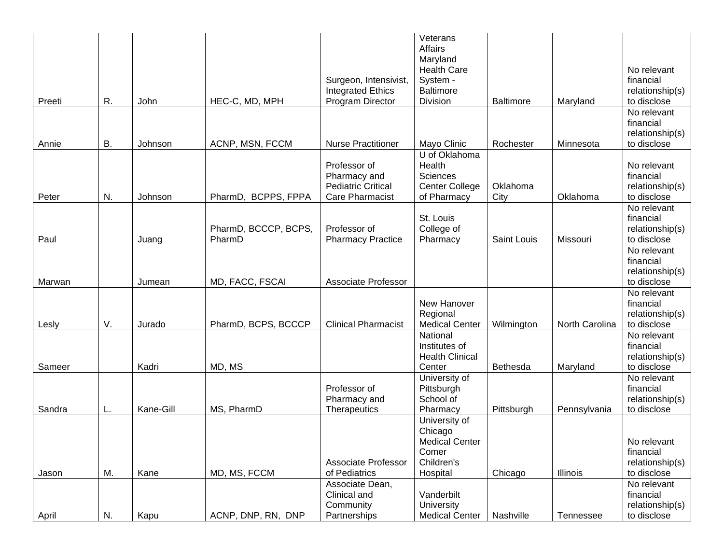|        |    |           |                               | Surgeon, Intensivist,<br><b>Integrated Ethics</b>                                   | Veterans<br><b>Affairs</b><br>Maryland<br><b>Health Care</b><br>System -<br><b>Baltimore</b> |                  |                | No relevant<br>financial<br>relationship(s)                |
|--------|----|-----------|-------------------------------|-------------------------------------------------------------------------------------|----------------------------------------------------------------------------------------------|------------------|----------------|------------------------------------------------------------|
| Preeti | R. | John      | HEC-C, MD, MPH                | Program Director                                                                    | Division                                                                                     | <b>Baltimore</b> | Maryland       | to disclose                                                |
|        |    |           |                               |                                                                                     |                                                                                              |                  |                | No relevant<br>financial<br>relationship(s)                |
| Annie  | В. | Johnson   | ACNP, MSN, FCCM               | <b>Nurse Practitioner</b>                                                           | Mayo Clinic                                                                                  | Rochester        | Minnesota      | to disclose                                                |
| Peter  | N. | Johnson   | <b>BCPPS, FPPA</b><br>PharmD, | Professor of<br>Pharmacy and<br><b>Pediatric Critical</b><br><b>Care Pharmacist</b> | U of Oklahoma<br>Health<br><b>Sciences</b><br>Center College<br>of Pharmacy                  | Oklahoma<br>City | Oklahoma       | No relevant<br>financial<br>relationship(s)<br>to disclose |
|        |    |           | PharmD, BCCCP, BCPS,          | Professor of                                                                        | St. Louis<br>College of                                                                      |                  |                | No relevant<br>financial<br>relationship(s)                |
| Paul   |    | Juang     | PharmD                        | <b>Pharmacy Practice</b>                                                            | Pharmacy                                                                                     | Saint Louis      | Missouri       | to disclose                                                |
| Marwan |    | Jumean    | MD, FACC, FSCAI               | <b>Associate Professor</b>                                                          |                                                                                              |                  |                | No relevant<br>financial<br>relationship(s)<br>to disclose |
|        |    |           |                               |                                                                                     |                                                                                              |                  |                | No relevant                                                |
| Lesly  | V. | Jurado    | PharmD, BCPS, BCCCP           | <b>Clinical Pharmacist</b>                                                          | New Hanover<br>Regional<br><b>Medical Center</b>                                             | Wilmington       | North Carolina | financial<br>relationship(s)<br>to disclose                |
|        |    |           |                               |                                                                                     | National<br>Institutes of<br><b>Health Clinical</b>                                          |                  |                | No relevant<br>financial<br>relationship(s)                |
| Sameer |    | Kadri     | MD, MS                        |                                                                                     | Center                                                                                       | Bethesda         | Maryland       | to disclose                                                |
| Sandra | L. | Kane-Gill | MS, PharmD                    | Professor of<br>Pharmacy and<br>Therapeutics                                        | University of<br>Pittsburgh<br>School of<br>Pharmacy                                         | Pittsburgh       | Pennsylvania   | No relevant<br>financial<br>relationship(s)<br>to disclose |
| Jason  | M. | Kane      | MD, MS, FCCM                  | <b>Associate Professor</b><br>of Pediatrics                                         | University of<br>Chicago<br><b>Medical Center</b><br>Comer<br>Children's<br>Hospital         | Chicago          | Illinois       | No relevant<br>financial<br>relationship(s)<br>to disclose |
|        |    |           |                               | Associate Dean,                                                                     |                                                                                              |                  |                | No relevant                                                |
| April  | N. | Kapu      | ACNP, DNP, RN, DNP            | Clinical and<br>Community<br>Partnerships                                           | Vanderbilt<br>University<br><b>Medical Center</b>                                            | Nashville        | Tennessee      | financial<br>relationship(s)<br>to disclose                |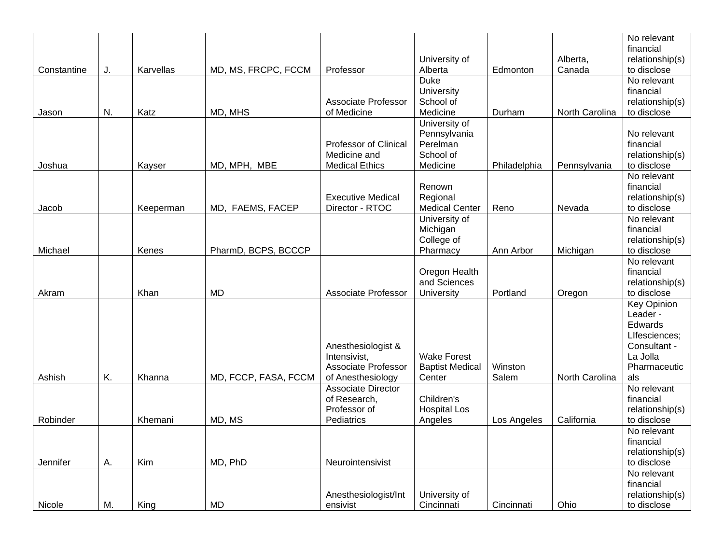|             |    |           |                      |                                                |                          |                  |                    | No relevant<br>financial       |
|-------------|----|-----------|----------------------|------------------------------------------------|--------------------------|------------------|--------------------|--------------------------------|
|             |    | Karvellas | MD, MS, FRCPC, FCCM  | Professor                                      | University of<br>Alberta | Edmonton         | Alberta,<br>Canada | relationship(s)<br>to disclose |
| Constantine | J. |           |                      |                                                | <b>Duke</b>              |                  |                    | No relevant                    |
|             |    |           |                      |                                                | University               |                  |                    | financial                      |
|             |    |           |                      | Associate Professor                            | School of                |                  |                    | relationship(s)                |
| Jason       | N. | Katz      | MD, MHS              | of Medicine                                    | Medicine                 | Durham           | North Carolina     | to disclose                    |
|             |    |           |                      |                                                | University of            |                  |                    |                                |
|             |    |           |                      |                                                | Pennsylvania             |                  |                    | No relevant                    |
|             |    |           |                      | <b>Professor of Clinical</b>                   | Perelman                 |                  |                    | financial                      |
|             |    |           |                      | Medicine and                                   | School of                |                  |                    | relationship(s)                |
| Joshua      |    | Kayser    | MD, MPH, MBE         | <b>Medical Ethics</b>                          | Medicine                 | Philadelphia     | Pennsylvania       | to disclose                    |
|             |    |           |                      |                                                |                          |                  |                    | No relevant                    |
|             |    |           |                      |                                                | Renown                   |                  |                    | financial                      |
|             |    |           |                      | <b>Executive Medical</b>                       | Regional                 |                  |                    | relationship(s)                |
| Jacob       |    | Keeperman | MD, FAEMS, FACEP     | Director - RTOC                                | <b>Medical Center</b>    | Reno             | Nevada             | to disclose                    |
|             |    |           |                      |                                                | University of            |                  |                    | No relevant                    |
|             |    |           |                      |                                                | Michigan                 |                  |                    | financial                      |
|             |    |           |                      |                                                | College of               |                  |                    | relationship(s)                |
| Michael     |    | Kenes     | PharmD, BCPS, BCCCP  |                                                | Pharmacy                 | Ann Arbor        | Michigan           | to disclose                    |
|             |    |           |                      |                                                |                          |                  |                    | No relevant                    |
|             |    |           |                      |                                                | Oregon Health            |                  |                    | financial                      |
|             |    |           |                      |                                                | and Sciences             |                  |                    | relationship(s)                |
| Akram       |    | Khan      | <b>MD</b>            | <b>Associate Professor</b>                     | University               | Portland         | Oregon             | to disclose                    |
|             |    |           |                      |                                                |                          |                  |                    | <b>Key Opinion</b>             |
|             |    |           |                      |                                                |                          |                  |                    | Leader -                       |
|             |    |           |                      |                                                |                          |                  |                    | Edwards                        |
|             |    |           |                      |                                                |                          |                  |                    | LIfesciences;                  |
|             |    |           |                      | Anesthesiologist &                             |                          |                  |                    | Consultant -                   |
|             |    |           |                      | Intensivist.                                   | <b>Wake Forest</b>       |                  |                    | La Jolla                       |
|             | K. |           |                      | <b>Associate Professor</b>                     | <b>Baptist Medical</b>   | Winston<br>Salem | North Carolina     | Pharmaceutic                   |
| Ashish      |    | Khanna    | MD, FCCP, FASA, FCCM | of Anesthesiology<br><b>Associate Director</b> | Center                   |                  |                    | als<br>No relevant             |
|             |    |           |                      | of Research,                                   |                          |                  |                    |                                |
|             |    |           |                      | Professor of                                   | Children's               |                  |                    | financial                      |
| Robinder    |    | Khemani   |                      | Pediatrics                                     | <b>Hospital Los</b>      |                  | California         | relationship(s)<br>to disclose |
|             |    |           | MD, MS               |                                                | Angeles                  | Los Angeles      |                    | No relevant                    |
|             |    |           |                      |                                                |                          |                  |                    | financial                      |
|             |    |           |                      |                                                |                          |                  |                    | relationship(s)                |
| Jennifer    | А. | Kim       | MD, PhD              | Neurointensivist                               |                          |                  |                    | to disclose                    |
|             |    |           |                      |                                                |                          |                  |                    | No relevant                    |
|             |    |           |                      |                                                |                          |                  |                    | financial                      |
|             |    |           |                      | Anesthesiologist/Int                           | University of            |                  |                    | relationship(s)                |
| Nicole      | М. | King      | <b>MD</b>            | ensivist                                       | Cincinnati               | Cincinnati       | Ohio               | to disclose                    |
|             |    |           |                      |                                                |                          |                  |                    |                                |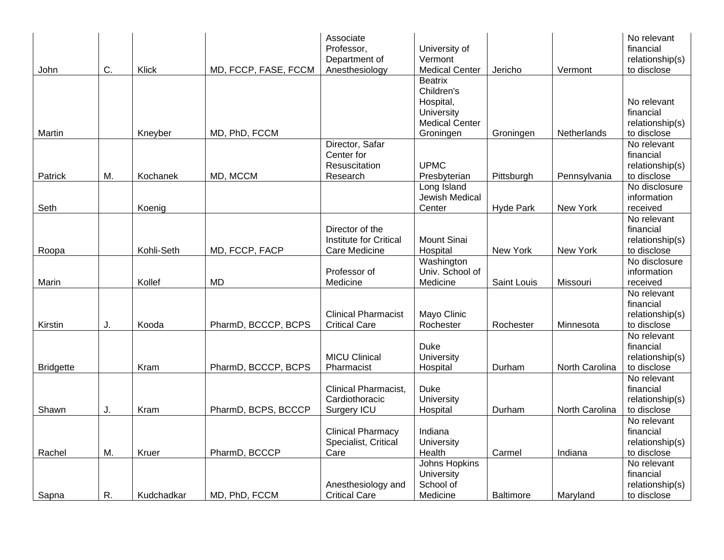| John             | C. | Klick      | MD, FCCP, FASE, FCCM | Associate<br>Professor,<br>Department of<br>Anesthesiology | University of<br>Vermont<br><b>Medical Center</b>       | Jericho          | Vermont            | No relevant<br>financial<br>relationship(s)<br>to disclose |
|------------------|----|------------|----------------------|------------------------------------------------------------|---------------------------------------------------------|------------------|--------------------|------------------------------------------------------------|
|                  |    |            |                      |                                                            | <b>Beatrix</b><br>Children's<br>Hospital,<br>University |                  |                    | No relevant<br>financial                                   |
| Martin           |    | Kneyber    | MD, PhD, FCCM        |                                                            | <b>Medical Center</b><br>Groningen                      | Groningen        | <b>Netherlands</b> | relationship(s)<br>to disclose                             |
|                  |    |            |                      | Director, Safar                                            |                                                         |                  |                    | No relevant                                                |
|                  |    |            |                      | Center for                                                 |                                                         |                  |                    | financial                                                  |
|                  |    |            |                      | Resuscitation                                              | <b>UPMC</b>                                             |                  |                    | relationship(s)                                            |
| Patrick          | М. | Kochanek   | MD, MCCM             | Research                                                   | Presbyterian                                            | Pittsburgh       | Pennsylvania       | to disclose                                                |
|                  |    |            |                      |                                                            | Long Island                                             |                  |                    | No disclosure                                              |
|                  |    |            |                      |                                                            | Jewish Medical<br>Center                                |                  | New York           | information<br>received                                    |
| Seth             |    | Koenig     |                      |                                                            |                                                         | <b>Hyde Park</b> |                    | No relevant                                                |
|                  |    |            |                      | Director of the                                            |                                                         |                  |                    | financial                                                  |
|                  |    |            |                      | <b>Institute for Critical</b>                              | <b>Mount Sinai</b>                                      |                  |                    | relationship(s)                                            |
| Roopa            |    | Kohli-Seth | MD, FCCP, FACP       | Care Medicine                                              | Hospital                                                | New York         | New York           | to disclose                                                |
|                  |    |            |                      |                                                            | Washington                                              |                  |                    | No disclosure                                              |
|                  |    |            |                      | Professor of                                               | Univ. School of                                         |                  |                    | information                                                |
| Marin            |    | Kollef     | <b>MD</b>            | Medicine                                                   | Medicine                                                | Saint Louis      | Missouri           | received                                                   |
|                  |    |            |                      |                                                            |                                                         |                  |                    | No relevant                                                |
|                  |    |            |                      |                                                            |                                                         |                  |                    | financial                                                  |
|                  |    |            |                      | <b>Clinical Pharmacist</b>                                 | Mayo Clinic                                             |                  |                    | relationship(s)                                            |
| Kirstin          | J. | Kooda      | PharmD, BCCCP, BCPS  | <b>Critical Care</b>                                       | Rochester                                               | Rochester        | Minnesota          | to disclose                                                |
|                  |    |            |                      |                                                            |                                                         |                  |                    | No relevant                                                |
|                  |    |            |                      |                                                            | <b>Duke</b>                                             |                  |                    | financial                                                  |
|                  |    |            |                      | <b>MICU Clinical</b>                                       | University                                              |                  |                    | relationship(s)                                            |
| <b>Bridgette</b> |    | Kram       | PharmD, BCCCP, BCPS  | Pharmacist                                                 | Hospital                                                | Durham           | North Carolina     | to disclose                                                |
|                  |    |            |                      |                                                            |                                                         |                  |                    | No relevant                                                |
|                  |    |            |                      | Clinical Pharmacist,                                       | <b>Duke</b>                                             |                  |                    | financial                                                  |
|                  |    |            |                      | Cardiothoracic                                             | University                                              |                  |                    | relationship(s)                                            |
| Shawn            | J. | Kram       | PharmD, BCPS, BCCCP  | Surgery ICU                                                | Hospital                                                | Durham           | North Carolina     | to disclose                                                |
|                  |    |            |                      |                                                            |                                                         |                  |                    | No relevant                                                |
|                  |    |            |                      | <b>Clinical Pharmacy</b>                                   | Indiana                                                 |                  |                    | financial                                                  |
|                  |    |            |                      | Specialist, Critical                                       | University                                              |                  |                    | relationship(s)                                            |
| Rachel           | M. | Kruer      | PharmD, BCCCP        | Care                                                       | Health                                                  | Carmel           | Indiana            | to disclose                                                |
|                  |    |            |                      |                                                            | Johns Hopkins                                           |                  |                    | No relevant                                                |
|                  |    |            |                      |                                                            | University                                              |                  |                    | financial                                                  |
|                  |    |            |                      | Anesthesiology and                                         | School of                                               |                  |                    | relationship(s)                                            |
| Sapna            | R. | Kudchadkar | MD, PhD, FCCM        | <b>Critical Care</b>                                       | Medicine                                                | <b>Baltimore</b> | Maryland           | to disclose                                                |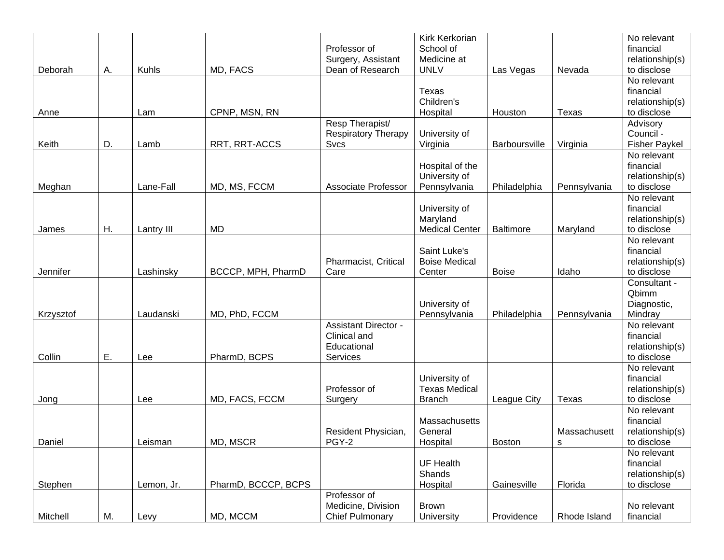| Deborah   | Α. | Kuhls      | MD, FACS            | Professor of<br>Surgery, Assistant<br>Dean of Research                 | Kirk Kerkorian<br>School of<br>Medicine at<br><b>UNLV</b> | Las Vegas            | Nevada                    | No relevant<br>financial<br>relationship(s)<br>to disclose |
|-----------|----|------------|---------------------|------------------------------------------------------------------------|-----------------------------------------------------------|----------------------|---------------------------|------------------------------------------------------------|
| Anne      |    | Lam        | CPNP, MSN, RN       |                                                                        | Texas<br>Children's<br>Hospital                           | Houston              | <b>Texas</b>              | No relevant<br>financial<br>relationship(s)<br>to disclose |
| Keith     | D. | Lamb       | RRT, RRT-ACCS       | Resp Therapist/<br><b>Respiratory Therapy</b><br><b>Svcs</b>           | University of<br>Virginia                                 | <b>Barboursville</b> | Virginia                  | Advisory<br>Council -<br><b>Fisher Paykel</b>              |
| Meghan    |    | Lane-Fall  | MD, MS, FCCM        | <b>Associate Professor</b>                                             | Hospital of the<br>University of<br>Pennsylvania          | Philadelphia         | Pennsylvania              | No relevant<br>financial<br>relationship(s)<br>to disclose |
| James     | Η. | Lantry III | <b>MD</b>           |                                                                        | University of<br>Maryland<br><b>Medical Center</b>        | <b>Baltimore</b>     | Maryland                  | No relevant<br>financial<br>relationship(s)<br>to disclose |
| Jennifer  |    | Lashinsky  | BCCCP, MPH, PharmD  | Pharmacist, Critical<br>Care                                           | Saint Luke's<br><b>Boise Medical</b><br>Center            | <b>Boise</b>         | Idaho                     | No relevant<br>financial<br>relationship(s)<br>to disclose |
| Krzysztof |    | Laudanski  | MD, PhD, FCCM       |                                                                        | University of<br>Pennsylvania                             | Philadelphia         | Pennsylvania              | Consultant -<br>Qbimm<br>Diagnostic,<br>Mindray            |
| Collin    | Ε. | Lee        | PharmD, BCPS        | <b>Assistant Director -</b><br>Clinical and<br>Educational<br>Services |                                                           |                      |                           | No relevant<br>financial<br>relationship(s)<br>to disclose |
| Jong      |    | Lee        | MD, FACS, FCCM      | Professor of<br>Surgery                                                | University of<br><b>Texas Medical</b><br><b>Branch</b>    | League City          | Texas                     | No relevant<br>financial<br>relationship(s)<br>to disclose |
| Daniel    |    | Leisman    | MD, MSCR            | Resident Physician,<br>PGY-2                                           | Massachusetts<br>General<br>Hospital                      | <b>Boston</b>        | Massachusett<br>${\sf s}$ | No relevant<br>financial<br>relationship(s)<br>to disclose |
| Stephen   |    | Lemon, Jr. | PharmD, BCCCP, BCPS |                                                                        | <b>UF Health</b><br>Shands<br>Hospital                    | Gainesville          | Florida                   | No relevant<br>financial<br>relationship(s)<br>to disclose |
| Mitchell  | Μ. | Levy       | MD, MCCM            | Professor of<br>Medicine, Division<br><b>Chief Pulmonary</b>           | <b>Brown</b><br>University                                | Providence           | Rhode Island              | No relevant<br>financial                                   |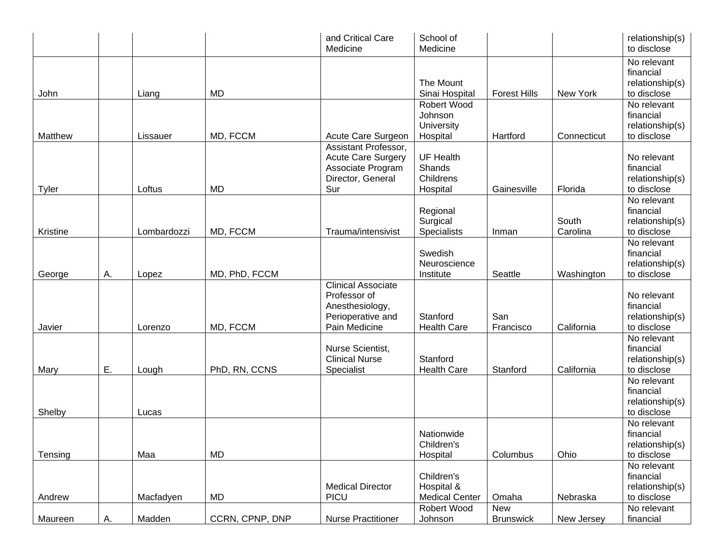|                          |    |             |                 | and Critical Care<br>Medicine                                                                      | School of<br>Medicine                                  |                         |                   | relationship(s)<br>to disclose                                            |
|--------------------------|----|-------------|-----------------|----------------------------------------------------------------------------------------------------|--------------------------------------------------------|-------------------------|-------------------|---------------------------------------------------------------------------|
| John                     |    | Liang       | <b>MD</b>       |                                                                                                    | The Mount<br>Sinai Hospital                            | <b>Forest Hills</b>     | New York          | No relevant<br>financial<br>relationship(s)<br>to disclose                |
| Matthew                  |    | Lissauer    | MD, FCCM        | Acute Care Surgeon                                                                                 | Robert Wood<br>Johnson<br>University<br>Hospital       | Hartford                | Connecticut       | No relevant<br>financial<br>relationship(s)<br>to disclose                |
|                          |    | Loftus      | <b>MD</b>       | Assistant Professor,<br><b>Acute Care Surgery</b><br>Associate Program<br>Director, General        | <b>UF Health</b><br>Shands<br>Childrens                |                         | Florida           | No relevant<br>financial<br>relationship(s)                               |
| <b>Tyler</b><br>Kristine |    | Lombardozzi | MD, FCCM        | Sur<br>Trauma/intensivist                                                                          | Hospital<br>Regional<br>Surgical<br><b>Specialists</b> | Gainesville<br>Inman    | South<br>Carolina | to disclose<br>No relevant<br>financial<br>relationship(s)<br>to disclose |
| George                   | Α. | Lopez       | MD, PhD, FCCM   |                                                                                                    | Swedish<br>Neuroscience<br>Institute                   | Seattle                 | Washington        | No relevant<br>financial<br>relationship(s)<br>to disclose                |
| Javier                   |    | Lorenzo     | MD, FCCM        | <b>Clinical Associate</b><br>Professor of<br>Anesthesiology,<br>Perioperative and<br>Pain Medicine | Stanford<br><b>Health Care</b>                         | San<br>Francisco        | California        | No relevant<br>financial<br>relationship(s)<br>to disclose                |
| Mary                     | Ε. | Lough       | PhD, RN, CCNS   | Nurse Scientist,<br><b>Clinical Nurse</b><br>Specialist                                            | Stanford<br><b>Health Care</b>                         | Stanford                | California        | No relevant<br>financial<br>relationship(s)<br>to disclose                |
| Shelby                   |    | Lucas       |                 |                                                                                                    |                                                        |                         |                   | No relevant<br>financial<br>relationship(s)<br>to disclose                |
| Tensing                  |    | Maa         | <b>MD</b>       |                                                                                                    | Nationwide<br>Children's<br>Hospital                   | Columbus                | Ohio              | No relevant<br>financial<br>relationship(s)<br>to disclose                |
| Andrew                   |    | Macfadyen   | MD              | <b>Medical Director</b><br><b>PICU</b>                                                             | Children's<br>Hospital &<br><b>Medical Center</b>      | Omaha                   | Nebraska          | No relevant<br>financial<br>relationship(s)<br>to disclose                |
| Maureen                  | А. | Madden      | CCRN, CPNP, DNP | <b>Nurse Practitioner</b>                                                                          | Robert Wood<br>Johnson                                 | New<br><b>Brunswick</b> | New Jersey        | No relevant<br>financial                                                  |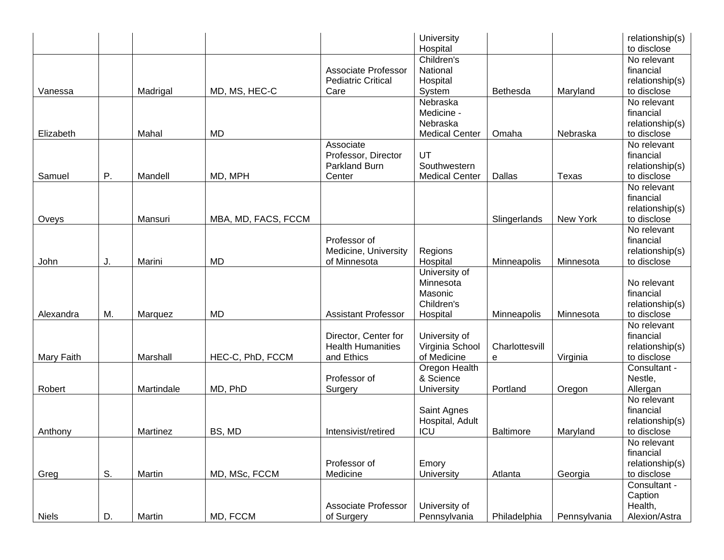|              |    |            |                     |                            | University                     |                  |              | relationship(s)                |
|--------------|----|------------|---------------------|----------------------------|--------------------------------|------------------|--------------|--------------------------------|
|              |    |            |                     |                            | Hospital                       |                  |              | to disclose                    |
|              |    |            |                     |                            | Children's                     |                  |              | No relevant                    |
|              |    |            |                     | <b>Associate Professor</b> | National                       |                  |              | financial                      |
|              |    |            |                     | <b>Pediatric Critical</b>  | Hospital                       |                  |              | relationship(s)                |
| Vanessa      |    | Madrigal   | MD, MS, HEC-C       | Care                       | System                         | <b>Bethesda</b>  | Maryland     | to disclose                    |
|              |    |            |                     |                            | Nebraska                       |                  |              | No relevant                    |
|              |    |            |                     |                            | Medicine -                     |                  |              | financial                      |
|              |    |            |                     |                            | Nebraska                       |                  |              | relationship(s)                |
| Elizabeth    |    | Mahal      | <b>MD</b>           |                            | <b>Medical Center</b>          | Omaha            | Nebraska     | to disclose                    |
|              |    |            |                     | Associate                  |                                |                  |              | No relevant                    |
|              |    |            |                     | Professor, Director        | UT                             |                  |              | financial                      |
|              |    |            |                     | Parkland Burn              | Southwestern                   |                  |              | relationship(s)                |
| Samuel       | Ρ. | Mandell    | MD, MPH             | Center                     | <b>Medical Center</b>          | Dallas           | Texas        | to disclose                    |
|              |    |            |                     |                            |                                |                  |              | No relevant                    |
|              |    |            |                     |                            |                                |                  |              | financial                      |
|              |    |            |                     |                            |                                |                  |              | relationship(s)                |
| Oveys        |    | Mansuri    | MBA, MD, FACS, FCCM |                            |                                | Slingerlands     | New York     | to disclose                    |
|              |    |            |                     |                            |                                |                  |              | No relevant                    |
|              |    |            |                     | Professor of               |                                |                  |              | financial                      |
|              |    |            |                     | Medicine, University       | Regions                        |                  |              | relationship(s)                |
| John         | J. | Marini     | <b>MD</b>           | of Minnesota               | Hospital                       | Minneapolis      | Minnesota    | to disclose                    |
|              |    |            |                     |                            | University of                  |                  |              |                                |
|              |    |            |                     |                            | Minnesota                      |                  |              | No relevant                    |
|              |    |            |                     |                            | Masonic                        |                  |              | financial                      |
|              |    |            |                     |                            | Children's                     |                  |              | relationship(s)                |
| Alexandra    | M. | Marquez    | <b>MD</b>           | <b>Assistant Professor</b> | Hospital                       | Minneapolis      | Minnesota    | to disclose                    |
|              |    |            |                     |                            |                                |                  |              | No relevant                    |
|              |    |            |                     | Director, Center for       | University of                  |                  |              | financial                      |
|              |    |            |                     | <b>Health Humanities</b>   |                                |                  |              |                                |
|              |    | Marshall   | HEC-C, PhD, FCCM    |                            | Virginia School<br>of Medicine | Charlottesvill   |              | relationship(s)<br>to disclose |
| Mary Faith   |    |            |                     | and Ethics                 |                                | е                | Virginia     |                                |
|              |    |            |                     |                            | Oregon Health                  |                  |              | Consultant -                   |
|              |    |            |                     | Professor of               | & Science                      |                  |              | Nestle,                        |
| Robert       |    | Martindale | MD, PhD             | Surgery                    | University                     | Portland         | Oregon       | Allergan                       |
|              |    |            |                     |                            |                                |                  |              | No relevant                    |
|              |    |            |                     |                            | Saint Agnes                    |                  |              | financial                      |
|              |    |            |                     |                            | Hospital, Adult                |                  |              | relationship(s)                |
| Anthony      |    | Martinez   | BS, MD              | Intensivist/retired        | ICU                            | <b>Baltimore</b> | Maryland     | to disclose                    |
|              |    |            |                     |                            |                                |                  |              | No relevant                    |
|              |    |            |                     |                            |                                |                  |              | financial                      |
|              |    |            |                     | Professor of               | Emory                          |                  |              | relationship(s)                |
| Greg         | S. | Martin     | MD, MSc, FCCM       | Medicine                   | University                     | Atlanta          | Georgia      | to disclose                    |
|              |    |            |                     |                            |                                |                  |              | Consultant -                   |
|              |    |            |                     |                            |                                |                  |              | Caption                        |
|              |    |            |                     | <b>Associate Professor</b> | University of                  |                  |              | Health,                        |
| <b>Niels</b> | D. | Martin     | MD, FCCM            | of Surgery                 | Pennsylvania                   | Philadelphia     | Pennsylvania | Alexion/Astra                  |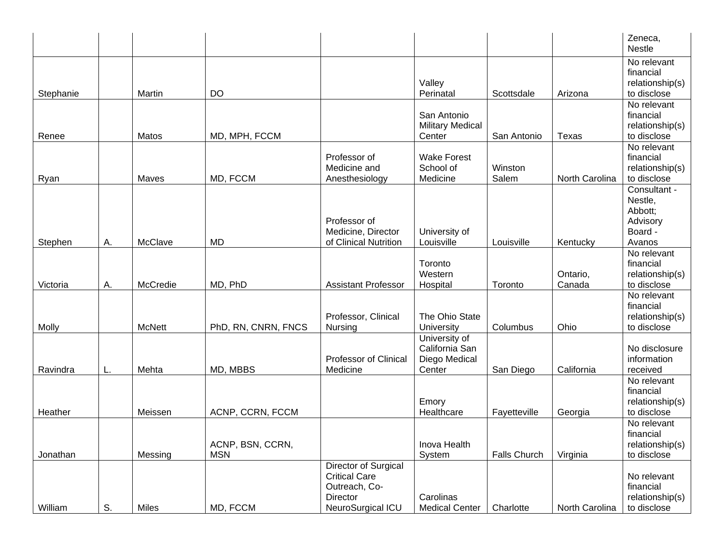|           |    |               |                     |                            |                                   |                     |                    | Zeneca,<br><b>Nestle</b>       |
|-----------|----|---------------|---------------------|----------------------------|-----------------------------------|---------------------|--------------------|--------------------------------|
|           |    |               |                     |                            |                                   |                     |                    | No relevant                    |
|           |    |               |                     |                            |                                   |                     |                    | financial                      |
|           |    |               |                     |                            | Valley                            |                     |                    | relationship(s)                |
| Stephanie |    | Martin        | <b>DO</b>           |                            | Perinatal                         | Scottsdale          | Arizona            | to disclose                    |
|           |    |               |                     |                            |                                   |                     |                    | No relevant                    |
|           |    |               |                     |                            | San Antonio                       |                     |                    | financial                      |
| Renee     |    | Matos         | MD, MPH, FCCM       |                            | <b>Military Medical</b><br>Center | San Antonio         | Texas              | relationship(s)<br>to disclose |
|           |    |               |                     |                            |                                   |                     |                    | No relevant                    |
|           |    |               |                     | Professor of               | <b>Wake Forest</b>                |                     |                    | financial                      |
|           |    |               |                     | Medicine and               | School of                         | Winston             |                    | relationship(s)                |
| Ryan      |    | Maves         | MD, FCCM            | Anesthesiology             | Medicine                          | Salem               | North Carolina     | to disclose                    |
|           |    |               |                     |                            |                                   |                     |                    | Consultant -                   |
|           |    |               |                     |                            |                                   |                     |                    | Nestle,                        |
|           |    |               |                     |                            |                                   |                     |                    | Abbott;                        |
|           |    |               |                     | Professor of               |                                   |                     |                    | Advisory                       |
|           |    |               |                     | Medicine, Director         | University of                     |                     |                    | Board -                        |
| Stephen   | А. | McClave       | <b>MD</b>           | of Clinical Nutrition      | Louisville                        | Louisville          | Kentucky           | Avanos                         |
|           |    |               |                     |                            |                                   |                     |                    | No relevant                    |
|           |    |               |                     |                            | Toronto<br>Western                |                     |                    | financial                      |
| Victoria  | А. | McCredie      | MD, PhD             | <b>Assistant Professor</b> | Hospital                          | Toronto             | Ontario,<br>Canada | relationship(s)<br>to disclose |
|           |    |               |                     |                            |                                   |                     |                    | No relevant                    |
|           |    |               |                     |                            |                                   |                     |                    | financial                      |
|           |    |               |                     | Professor, Clinical        | The Ohio State                    |                     |                    | relationship(s)                |
| Molly     |    | <b>McNett</b> | PhD, RN, CNRN, FNCS | Nursing                    | University                        | Columbus            | Ohio               | to disclose                    |
|           |    |               |                     |                            | University of                     |                     |                    |                                |
|           |    |               |                     |                            | California San                    |                     |                    | No disclosure                  |
|           |    |               |                     | Professor of Clinical      | Diego Medical                     |                     |                    | information                    |
| Ravindra  | L. | Mehta         | MD, MBBS            | Medicine                   | Center                            | San Diego           | California         | received                       |
|           |    |               |                     |                            |                                   |                     |                    | No relevant                    |
|           |    |               |                     |                            |                                   |                     |                    | financial                      |
|           |    |               |                     |                            | Emory                             |                     |                    | relationship(s)                |
| Heather   |    | Meissen       | ACNP, CCRN, FCCM    |                            | Healthcare                        | Fayetteville        | Georgia            | to disclose<br>No relevant     |
|           |    |               |                     |                            |                                   |                     |                    | financial                      |
|           |    |               | ACNP, BSN, CCRN,    |                            | Inova Health                      |                     |                    | relationship(s)                |
| Jonathan  |    | Messing       | <b>MSN</b>          |                            | System                            | <b>Falls Church</b> | Virginia           | to disclose                    |
|           |    |               |                     | Director of Surgical       |                                   |                     |                    |                                |
|           |    |               |                     | <b>Critical Care</b>       |                                   |                     |                    | No relevant                    |
|           |    |               |                     | Outreach, Co-              |                                   |                     |                    | financial                      |
|           |    |               |                     | Director                   | Carolinas                         |                     |                    | relationship(s)                |
| William   | S. | Miles         | MD, FCCM            | NeuroSurgical ICU          | <b>Medical Center</b>             | Charlotte           | North Carolina     | to disclose                    |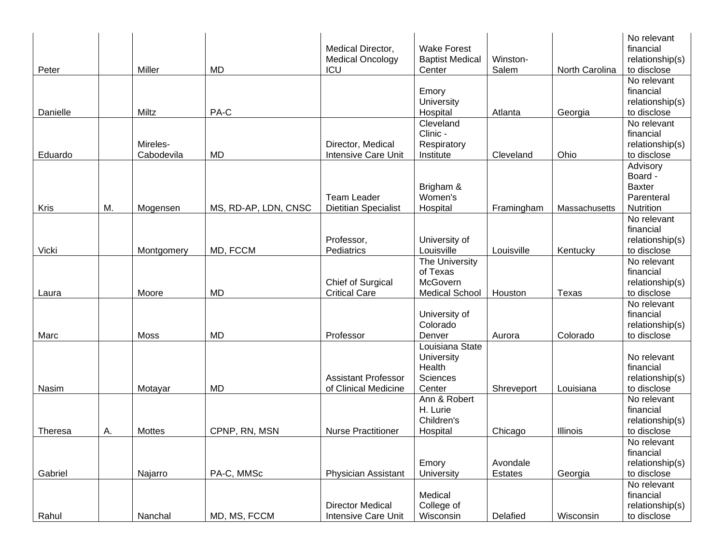|          |    |             |                      |                             |                        |            |                | No relevant     |
|----------|----|-------------|----------------------|-----------------------------|------------------------|------------|----------------|-----------------|
|          |    |             |                      | Medical Director,           | <b>Wake Forest</b>     |            |                | financial       |
|          |    |             |                      | <b>Medical Oncology</b>     | <b>Baptist Medical</b> | Winston-   |                | relationship(s) |
| Peter    |    | Miller      | <b>MD</b>            | ICU                         | Center                 | Salem      | North Carolina | to disclose     |
|          |    |             |                      |                             |                        |            |                | No relevant     |
|          |    |             |                      |                             | Emory                  |            |                | financial       |
|          |    |             |                      |                             | University             |            |                | relationship(s) |
| Danielle |    | Miltz       | PA-C                 |                             | Hospital               | Atlanta    | Georgia        | to disclose     |
|          |    |             |                      |                             | Cleveland              |            |                | No relevant     |
|          |    |             |                      |                             | Clinic-                |            |                | financial       |
|          |    | Mireles-    |                      | Director, Medical           | Respiratory            |            |                | relationship(s) |
| Eduardo  |    | Cabodevila  | MD                   | Intensive Care Unit         | Institute              | Cleveland  | Ohio           | to disclose     |
|          |    |             |                      |                             |                        |            |                | Advisory        |
|          |    |             |                      |                             |                        |            |                | Board -         |
|          |    |             |                      |                             | Brigham &              |            |                | <b>Baxter</b>   |
|          |    |             |                      | <b>Team Leader</b>          | Women's                |            |                | Parenteral      |
| Kris     | M. | Mogensen    | MS, RD-AP, LDN, CNSC | <b>Dietitian Specialist</b> | Hospital               | Framingham | Massachusetts  | Nutrition       |
|          |    |             |                      |                             |                        |            |                | No relevant     |
|          |    |             |                      |                             |                        |            |                | financial       |
|          |    |             |                      | Professor,                  | University of          |            |                | relationship(s) |
| Vicki    |    | Montgomery  | MD, FCCM             | Pediatrics                  | Louisville             | Louisville | Kentucky       | to disclose     |
|          |    |             |                      |                             | The University         |            |                | No relevant     |
|          |    |             |                      |                             | of Texas               |            |                | financial       |
|          |    |             |                      | Chief of Surgical           | McGovern               |            |                | relationship(s) |
| Laura    |    | Moore       | <b>MD</b>            | <b>Critical Care</b>        | <b>Medical School</b>  | Houston    | Texas          | to disclose     |
|          |    |             |                      |                             |                        |            |                | No relevant     |
|          |    |             |                      |                             | University of          |            |                | financial       |
|          |    |             |                      |                             | Colorado               |            |                | relationship(s) |
| Marc     |    | <b>Moss</b> | <b>MD</b>            | Professor                   | Denver                 | Aurora     | Colorado       | to disclose     |
|          |    |             |                      |                             | Louisiana State        |            |                |                 |
|          |    |             |                      |                             | University             |            |                | No relevant     |
|          |    |             |                      |                             | Health                 |            |                | financial       |
|          |    |             |                      | <b>Assistant Professor</b>  | Sciences               |            |                | relationship(s) |
| Nasim    |    | Motayar     | <b>MD</b>            | of Clinical Medicine        | Center                 | Shreveport | Louisiana      | to disclose     |
|          |    |             |                      |                             | Ann & Robert           |            |                | No relevant     |
|          |    |             |                      |                             | H. Lurie               |            |                | financial       |
|          |    |             |                      |                             | Children's             |            |                | relationship(s) |
| Theresa  | А. | Mottes      | CPNP, RN, MSN        | <b>Nurse Practitioner</b>   | Hospital               | Chicago    | Illinois       | to disclose     |
|          |    |             |                      |                             |                        |            |                | No relevant     |
|          |    |             |                      |                             |                        |            |                | financial       |
|          |    |             |                      |                             | Emory                  | Avondale   |                | relationship(s) |
| Gabriel  |    | Najarro     | PA-C, MMSc           | <b>Physician Assistant</b>  | University             | Estates    | Georgia        | to disclose     |
|          |    |             |                      |                             |                        |            |                | No relevant     |
|          |    |             |                      |                             | Medical                |            |                | financial       |
|          |    |             |                      | <b>Director Medical</b>     | College of             |            |                | relationship(s) |
| Rahul    |    | Nanchal     | MD, MS, FCCM         | Intensive Care Unit         | Wisconsin              | Delafied   | Wisconsin      | to disclose     |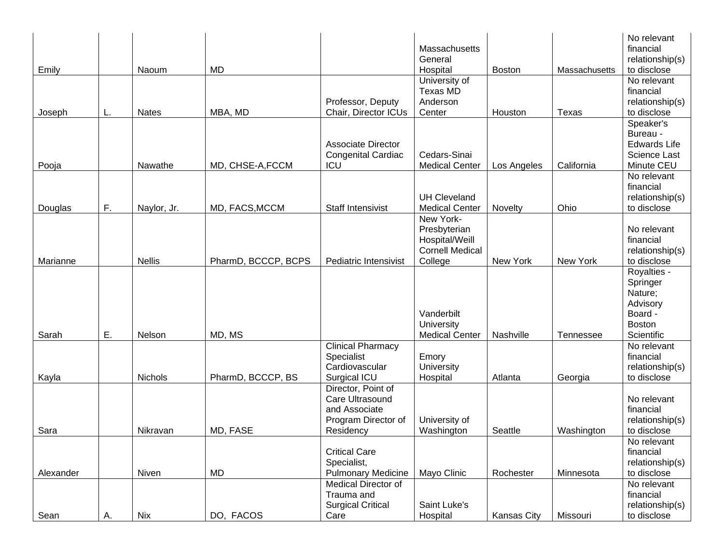|           |    |               |                     |                            |                        |                    |                  | No relevant              |
|-----------|----|---------------|---------------------|----------------------------|------------------------|--------------------|------------------|--------------------------|
|           |    |               |                     |                            | Massachusetts          |                    |                  | financial                |
|           |    |               |                     |                            | General                |                    |                  | relationship(s)          |
| Emily     |    | Naoum         | <b>MD</b>           |                            | Hospital               | <b>Boston</b>      | Massachusetts    | to disclose              |
|           |    |               |                     |                            | University of          |                    |                  | No relevant              |
|           |    |               |                     |                            | Texas MD               |                    |                  | financial                |
|           |    |               |                     | Professor, Deputy          | Anderson               |                    |                  | relationship(s)          |
| Joseph    | L. | <b>Nates</b>  | MBA, MD             | Chair, Director ICUs       | Center                 | Houston            | <b>Texas</b>     | to disclose              |
|           |    |               |                     |                            |                        |                    |                  | Speaker's                |
|           |    |               |                     |                            |                        |                    |                  | Bureau -                 |
|           |    |               |                     | <b>Associate Director</b>  |                        |                    |                  | <b>Edwards Life</b>      |
|           |    |               |                     | <b>Congenital Cardiac</b>  | Cedars-Sinai           |                    |                  | Science Last             |
| Pooja     |    | Nawathe       | MD, CHSE-A, FCCM    | ICU                        | <b>Medical Center</b>  | Los Angeles        | California       | Minute CEU               |
|           |    |               |                     |                            |                        |                    |                  | No relevant              |
|           |    |               |                     |                            |                        |                    |                  | financial                |
|           |    |               |                     |                            | <b>UH Cleveland</b>    |                    |                  | relationship(s)          |
| Douglas   | F. | Naylor, Jr.   | MD, FACS, MCCM      | Staff Intensivist          | <b>Medical Center</b>  | Novelty            | Ohio             | to disclose              |
|           |    |               |                     |                            | New York-              |                    |                  |                          |
|           |    |               |                     |                            | Presbyterian           |                    |                  | No relevant              |
|           |    |               |                     |                            | Hospital/Weill         |                    |                  | financial                |
|           |    |               |                     |                            | <b>Cornell Medical</b> |                    |                  | relationship(s)          |
| Marianne  |    | <b>Nellis</b> | PharmD, BCCCP, BCPS | Pediatric Intensivist      | College                | New York           | New York         | to disclose              |
|           |    |               |                     |                            |                        |                    |                  | Royalties -              |
|           |    |               |                     |                            |                        |                    |                  | Springer                 |
|           |    |               |                     |                            |                        |                    |                  | Nature;                  |
|           |    |               |                     |                            |                        |                    |                  | Advisory                 |
|           |    |               |                     |                            | Vanderbilt             |                    |                  | Board -                  |
|           |    |               |                     |                            | University             |                    |                  | <b>Boston</b>            |
| Sarah     | Ε. | Nelson        | MD, MS              |                            | <b>Medical Center</b>  | Nashville          |                  | Scientific               |
|           |    |               |                     |                            |                        |                    | <b>Tennessee</b> |                          |
|           |    |               |                     | <b>Clinical Pharmacy</b>   |                        |                    |                  | No relevant              |
|           |    |               |                     | Specialist                 | Emory                  |                    |                  | financial                |
|           |    | Nichols       |                     | Cardiovascular             | University             |                    |                  | relationship(s)          |
| Kayla     |    |               | PharmD, BCCCP, BS   | Surgical ICU               | Hospital               | Atlanta            | Georgia          | to disclose              |
|           |    |               |                     | Director, Point of         |                        |                    |                  |                          |
|           |    |               |                     | Care Ultrasound            |                        |                    |                  | No relevant<br>financial |
|           |    |               |                     | and Associate              |                        |                    |                  |                          |
|           |    |               |                     | Program Director of        | University of          |                    |                  | relationship(s)          |
| Sara      |    | Nikravan      | MD, FASE            | Residency                  | Washington             | Seattle            | Washington       | to disclose              |
|           |    |               |                     |                            |                        |                    |                  | No relevant              |
|           |    |               |                     | <b>Critical Care</b>       |                        |                    |                  | financial                |
|           |    |               |                     | Specialist,                |                        |                    |                  | relationship(s)          |
| Alexander |    | Niven         | <b>MD</b>           | <b>Pulmonary Medicine</b>  | Mayo Clinic            | Rochester          | Minnesota        | to disclose              |
|           |    |               |                     | <b>Medical Director of</b> |                        |                    |                  | No relevant              |
|           |    |               |                     | Trauma and                 |                        |                    |                  | financial                |
|           |    |               |                     | <b>Surgical Critical</b>   | Saint Luke's           |                    |                  | relationship(s)          |
| Sean      | А. | <b>Nix</b>    | DO, FACOS           | Care                       | Hospital               | <b>Kansas City</b> | Missouri         | to disclose              |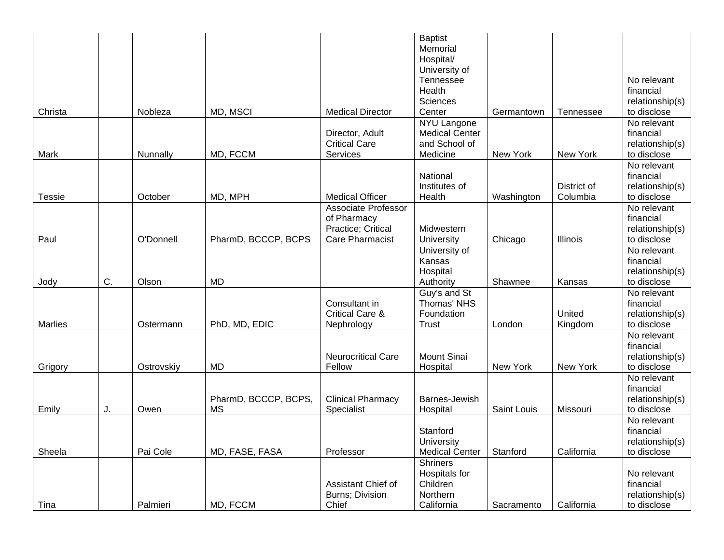|               |    |            |                      |                            | <b>Baptist</b>        |             |             |                 |
|---------------|----|------------|----------------------|----------------------------|-----------------------|-------------|-------------|-----------------|
|               |    |            |                      |                            | Memorial              |             |             |                 |
|               |    |            |                      |                            | Hospital/             |             |             |                 |
|               |    |            |                      |                            | University of         |             |             |                 |
|               |    |            |                      |                            | Tennessee             |             |             | No relevant     |
|               |    |            |                      |                            | Health                |             |             | financial       |
|               |    |            |                      |                            | Sciences              |             |             | relationship(s) |
| Christa       |    | Nobleza    | MD, MSCI             | <b>Medical Director</b>    | Center                | Germantown  | Tennessee   | to disclose     |
|               |    |            |                      |                            | NYU Langone           |             |             | No relevant     |
|               |    |            |                      | Director, Adult            | <b>Medical Center</b> |             |             | financial       |
|               |    |            |                      | <b>Critical Care</b>       | and School of         |             |             | relationship(s) |
| Mark          |    | Nunnally   | MD, FCCM             | Services                   | Medicine              | New York    | New York    | to disclose     |
|               |    |            |                      |                            |                       |             |             | No relevant     |
|               |    |            |                      |                            | National              |             |             | financial       |
|               |    |            |                      |                            | Institutes of         |             | District of | relationship(s) |
| <b>Tessie</b> |    | October    | MD, MPH              | <b>Medical Officer</b>     | Health                | Washington  | Columbia    | to disclose     |
|               |    |            |                      | <b>Associate Professor</b> |                       |             |             | No relevant     |
|               |    |            |                      | of Pharmacy                |                       |             |             | financial       |
|               |    |            |                      | Practice; Critical         | Midwestern            |             |             | relationship(s) |
| Paul          |    | O'Donnell  | PharmD, BCCCP, BCPS  | <b>Care Pharmacist</b>     | University            | Chicago     | Illinois    | to disclose     |
|               |    |            |                      |                            | University of         |             |             | No relevant     |
|               |    |            |                      |                            | Kansas                |             |             | financial       |
|               |    |            |                      |                            | Hospital              |             |             | relationship(s) |
| Jody          | C. | Olson      | <b>MD</b>            |                            | Authority             | Shawnee     | Kansas      | to disclose     |
|               |    |            |                      |                            | Guy's and St          |             |             | No relevant     |
|               |    |            |                      | Consultant in              | Thomas' NHS           |             |             | financial       |
|               |    |            |                      | <b>Critical Care &amp;</b> | Foundation            |             | United      | relationship(s) |
| Marlies       |    | Ostermann  | PhD, MD, EDIC        | Nephrology                 | Trust                 | London      | Kingdom     | to disclose     |
|               |    |            |                      |                            |                       |             |             | No relevant     |
|               |    |            |                      |                            |                       |             |             | financial       |
|               |    |            |                      | <b>Neurocritical Care</b>  | <b>Mount Sinai</b>    |             |             | relationship(s) |
| Grigory       |    | Ostrovskiy | <b>MD</b>            | Fellow                     | Hospital              | New York    | New York    | to disclose     |
|               |    |            |                      |                            |                       |             |             | No relevant     |
|               |    |            |                      |                            |                       |             |             | financial       |
|               |    |            | PharmD, BCCCP, BCPS, | <b>Clinical Pharmacy</b>   | Barnes-Jewish         |             |             | relationship(s) |
| Emily         | J. | Owen       | <b>MS</b>            | Specialist                 | Hospital              | Saint Louis | Missouri    | to disclose     |
|               |    |            |                      |                            |                       |             |             | No relevant     |
|               |    |            |                      |                            | Stanford              |             |             | financial       |
|               |    |            |                      |                            | University            |             |             | relationship(s) |
| Sheela        |    | Pai Cole   | MD, FASE, FASA       | Professor                  | <b>Medical Center</b> | Stanford    | California  | to disclose     |
|               |    |            |                      |                            | Shriners              |             |             |                 |
|               |    |            |                      |                            | Hospitals for         |             |             | No relevant     |
|               |    |            |                      | Assistant Chief of         | Children              |             |             | financial       |
|               |    |            |                      | Burns; Division            | Northern              |             |             | relationship(s) |
| Tina          |    | Palmieri   | MD, FCCM             | Chief                      | California            | Sacramento  | California  | to disclose     |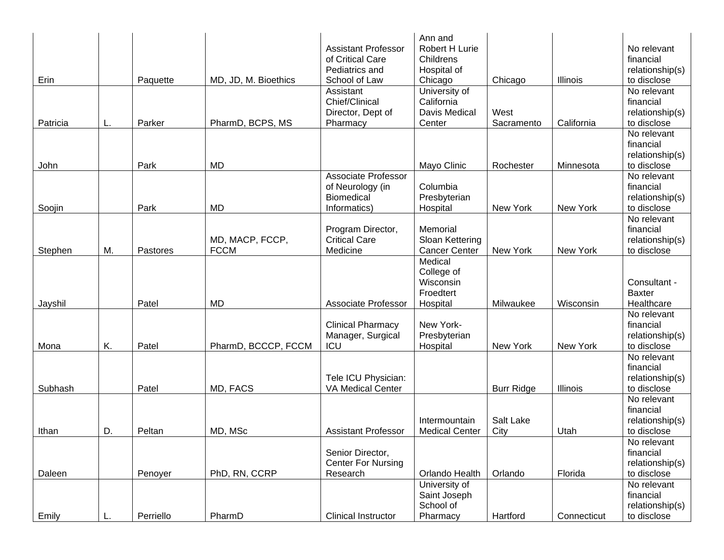|          |    |           |                      |                                                | Ann and               |                   |             |                            |
|----------|----|-----------|----------------------|------------------------------------------------|-----------------------|-------------------|-------------|----------------------------|
|          |    |           |                      | <b>Assistant Professor</b>                     | Robert H Lurie        |                   |             | No relevant                |
|          |    |           |                      | of Critical Care                               | Childrens             |                   |             | financial                  |
|          |    |           |                      | Pediatrics and                                 | Hospital of           |                   |             | relationship(s)            |
| Erin     |    | Paquette  | MD, JD, M. Bioethics | School of Law                                  | Chicago               | Chicago           | Illinois    | to disclose                |
|          |    |           |                      | Assistant                                      | University of         |                   |             | No relevant                |
|          |    |           |                      | Chief/Clinical                                 | California            |                   |             | financial                  |
|          |    |           |                      | Director, Dept of                              | Davis Medical         | West              |             | relationship(s)            |
| Patricia | L. | Parker    | PharmD, BCPS, MS     | Pharmacy                                       | Center                | Sacramento        | California  | to disclose                |
|          |    |           |                      |                                                |                       |                   |             | No relevant                |
|          |    |           |                      |                                                |                       |                   |             | financial                  |
|          |    | Park      |                      |                                                |                       |                   |             | relationship(s)            |
| John     |    |           | <b>MD</b>            |                                                | Mayo Clinic           | Rochester         | Minnesota   | to disclose<br>No relevant |
|          |    |           |                      | <b>Associate Professor</b><br>of Neurology (in | Columbia              |                   |             | financial                  |
|          |    |           |                      | <b>Biomedical</b>                              | Presbyterian          |                   |             | relationship(s)            |
| Soojin   |    | Park      | MD                   | Informatics)                                   | Hospital              | New York          | New York    | to disclose                |
|          |    |           |                      |                                                |                       |                   |             | No relevant                |
|          |    |           |                      | Program Director,                              | Memorial              |                   |             | financial                  |
|          |    |           | MD, MACP, FCCP,      | <b>Critical Care</b>                           | Sloan Kettering       |                   |             | relationship(s)            |
| Stephen  | М. | Pastores  | <b>FCCM</b>          | Medicine                                       | <b>Cancer Center</b>  | New York          | New York    | to disclose                |
|          |    |           |                      |                                                | Medical               |                   |             |                            |
|          |    |           |                      |                                                | College of            |                   |             |                            |
|          |    |           |                      |                                                | Wisconsin             |                   |             | Consultant -               |
|          |    |           |                      |                                                | Froedtert             |                   |             | <b>Baxter</b>              |
| Jayshil  |    | Patel     | MD                   | Associate Professor                            | Hospital              | Milwaukee         | Wisconsin   | Healthcare                 |
|          |    |           |                      |                                                |                       |                   |             | No relevant                |
|          |    |           |                      | <b>Clinical Pharmacy</b>                       | New York-             |                   |             | financial                  |
|          |    |           |                      | Manager, Surgical                              | Presbyterian          |                   |             | relationship(s)            |
| Mona     | K. | Patel     | PharmD, BCCCP, FCCM  | ICU                                            | Hospital              | New York          | New York    | to disclose                |
|          |    |           |                      |                                                |                       |                   |             | No relevant                |
|          |    |           |                      |                                                |                       |                   |             | financial                  |
|          |    |           |                      | Tele ICU Physician:                            |                       |                   |             | relationship(s)            |
| Subhash  |    | Patel     | MD, FACS             | <b>VA Medical Center</b>                       |                       | <b>Burr Ridge</b> | Illinois    | to disclose                |
|          |    |           |                      |                                                |                       |                   |             | No relevant                |
|          |    |           |                      |                                                |                       |                   |             | financial                  |
|          |    |           |                      |                                                | Intermountain         | Salt Lake         |             | relationship(s)            |
| Ithan    | D. | Peltan    | MD, MSc              | <b>Assistant Professor</b>                     | <b>Medical Center</b> | City              | Utah        | to disclose                |
|          |    |           |                      |                                                |                       |                   |             | No relevant                |
|          |    |           |                      | Senior Director,                               |                       |                   |             | financial                  |
|          |    |           |                      | <b>Center For Nursing</b>                      |                       |                   |             | relationship(s)            |
| Daleen   |    | Penoyer   | PhD, RN, CCRP        | Research                                       | Orlando Health        | Orlando           | Florida     | to disclose                |
|          |    |           |                      |                                                | University of         |                   |             | No relevant                |
|          |    |           |                      |                                                | Saint Joseph          |                   |             | financial                  |
|          |    |           |                      |                                                | School of             |                   |             | relationship(s)            |
| Emily    |    | Perriello | PharmD               | <b>Clinical Instructor</b>                     | Pharmacy              | Hartford          | Connecticut | to disclose                |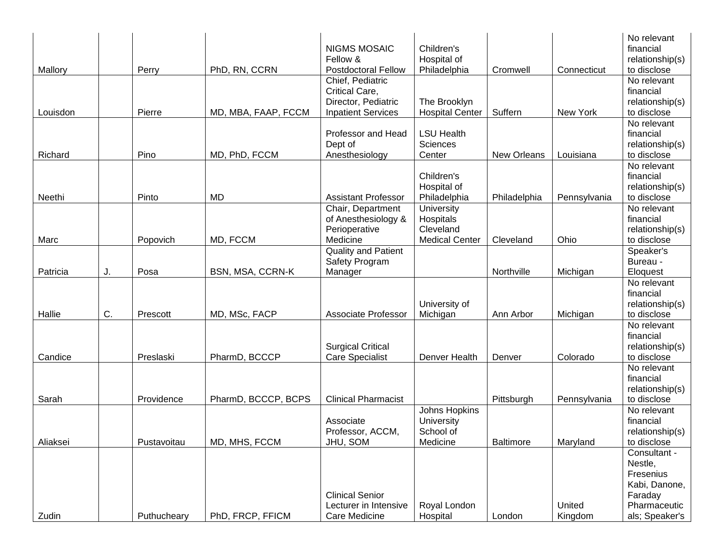|          |    |             |                         |                            |                        |              |              | No relevant     |
|----------|----|-------------|-------------------------|----------------------------|------------------------|--------------|--------------|-----------------|
|          |    |             |                         | <b>NIGMS MOSAIC</b>        | Children's             |              |              | financial       |
|          |    |             |                         | Fellow &                   | Hospital of            |              |              | relationship(s) |
| Mallory  |    | Perry       | PhD, RN, CCRN           | <b>Postdoctoral Fellow</b> | Philadelphia           | Cromwell     | Connecticut  | to disclose     |
|          |    |             |                         | Chief, Pediatric           |                        |              |              | No relevant     |
|          |    |             |                         | Critical Care,             |                        |              |              | financial       |
|          |    |             |                         | Director, Pediatric        | The Brooklyn           |              |              | relationship(s) |
| Louisdon |    | Pierre      | MD, MBA, FAAP, FCCM     | <b>Inpatient Services</b>  | <b>Hospital Center</b> | Suffern      | New York     | to disclose     |
|          |    |             |                         |                            |                        |              |              | No relevant     |
|          |    |             |                         | Professor and Head         | <b>LSU Health</b>      |              |              | financial       |
|          |    |             |                         | Dept of                    | <b>Sciences</b>        |              |              | relationship(s) |
| Richard  |    | Pino        | MD, PhD, FCCM           | Anesthesiology             | Center                 | New Orleans  | Louisiana    | to disclose     |
|          |    |             |                         |                            |                        |              |              | No relevant     |
|          |    |             |                         |                            | Children's             |              |              | financial       |
|          |    |             |                         |                            | Hospital of            |              |              | relationship(s) |
| Neethi   |    | Pinto       | MD                      | <b>Assistant Professor</b> | Philadelphia           | Philadelphia | Pennsylvania | to disclose     |
|          |    |             |                         | Chair, Department          | University             |              |              | No relevant     |
|          |    |             |                         | of Anesthesiology &        | Hospitals              |              |              | financial       |
|          |    |             |                         | Perioperative              | Cleveland              |              |              | relationship(s) |
| Marc     |    | Popovich    | MD, FCCM                | Medicine                   | <b>Medical Center</b>  | Cleveland    | Ohio         | to disclose     |
|          |    |             |                         | <b>Quality and Patient</b> |                        |              |              | Speaker's       |
|          |    |             |                         | Safety Program             |                        |              |              | Bureau -        |
| Patricia | J. | Posa        | <b>BSN, MSA, CCRN-K</b> | Manager                    |                        | Northville   | Michigan     | Eloquest        |
|          |    |             |                         |                            |                        |              |              | No relevant     |
|          |    |             |                         |                            |                        |              |              | financial       |
|          |    |             |                         |                            | University of          |              |              | relationship(s) |
| Hallie   | C. | Prescott    | MD, MSc, FACP           | <b>Associate Professor</b> | Michigan               | Ann Arbor    | Michigan     | to disclose     |
|          |    |             |                         |                            |                        |              |              | No relevant     |
|          |    |             |                         |                            |                        |              |              | financial       |
|          |    |             |                         | <b>Surgical Critical</b>   |                        |              |              | relationship(s) |
| Candice  |    | Preslaski   | PharmD, BCCCP           | <b>Care Specialist</b>     | Denver Health          | Denver       | Colorado     | to disclose     |
|          |    |             |                         |                            |                        |              |              | No relevant     |
|          |    |             |                         |                            |                        |              |              | financial       |
|          |    |             |                         |                            |                        |              |              | relationship(s) |
| Sarah    |    | Providence  | PharmD, BCCCP, BCPS     | <b>Clinical Pharmacist</b> |                        | Pittsburgh   | Pennsylvania | to disclose     |
|          |    |             |                         |                            | Johns Hopkins          |              |              | No relevant     |
|          |    |             |                         | Associate                  | University             |              |              | financial       |
|          |    |             |                         | Professor, ACCM,           | School of              |              |              | relationship(s) |
| Aliaksei |    | Pustavoitau | MD, MHS, FCCM           | JHU, SOM                   | Medicine               | Baltimore    | Maryland     | to disclose     |
|          |    |             |                         |                            |                        |              |              | Consultant -    |
|          |    |             |                         |                            |                        |              |              | Nestle,         |
|          |    |             |                         |                            |                        |              |              | Fresenius       |
|          |    |             |                         |                            |                        |              |              | Kabi, Danone,   |
|          |    |             |                         | <b>Clinical Senior</b>     |                        |              |              | Faraday         |
|          |    |             |                         | Lecturer in Intensive      | Royal London           |              | United       | Pharmaceutic    |
| Zudin    |    | Puthucheary | PhD, FRCP, FFICM        | Care Medicine              | Hospital               | London       | Kingdom      | als; Speaker's  |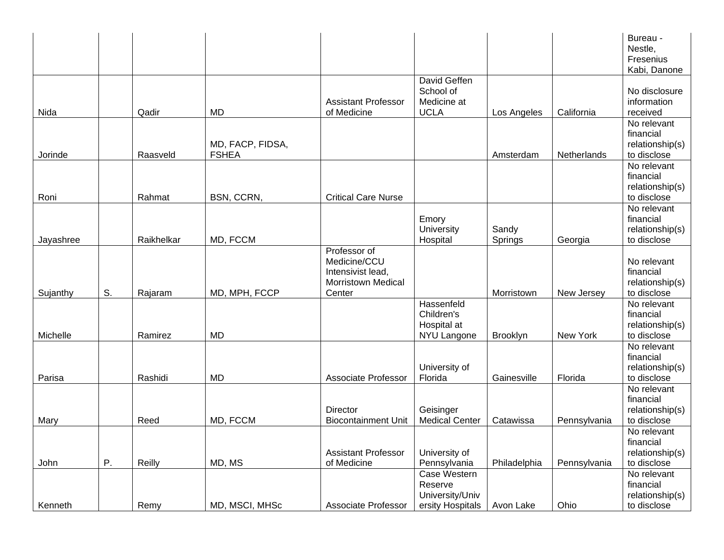|           |    |            |                                  |                                                                                          |                                                                |                         |              | Bureau -<br>Nestle,<br>Fresenius<br>Kabi, Danone           |
|-----------|----|------------|----------------------------------|------------------------------------------------------------------------------------------|----------------------------------------------------------------|-------------------------|--------------|------------------------------------------------------------|
| Nida      |    | Qadir      | MD                               | <b>Assistant Professor</b><br>of Medicine                                                | David Geffen<br>School of<br>Medicine at<br><b>UCLA</b>        | Los Angeles             | California   | No disclosure<br>information<br>received                   |
| Jorinde   |    | Raasveld   | MD, FACP, FIDSA,<br><b>FSHEA</b> |                                                                                          |                                                                | Amsterdam               | Netherlands  | No relevant<br>financial<br>relationship(s)<br>to disclose |
| Roni      |    | Rahmat     | BSN, CCRN,                       | <b>Critical Care Nurse</b>                                                               |                                                                |                         |              | No relevant<br>financial<br>relationship(s)<br>to disclose |
| Jayashree |    | Raikhelkar | MD, FCCM                         |                                                                                          | Emory<br>University<br>Hospital                                | Sandy<br><b>Springs</b> | Georgia      | No relevant<br>financial<br>relationship(s)<br>to disclose |
| Sujanthy  | S. | Rajaram    | MD, MPH, FCCP                    | Professor of<br>Medicine/CCU<br>Intensivist lead,<br><b>Morristown Medical</b><br>Center |                                                                | Morristown              | New Jersey   | No relevant<br>financial<br>relationship(s)<br>to disclose |
| Michelle  |    | Ramirez    | <b>MD</b>                        |                                                                                          | Hassenfeld<br>Children's<br>Hospital at<br>NYU Langone         | Brooklyn                | New York     | No relevant<br>financial<br>relationship(s)<br>to disclose |
| Parisa    |    | Rashidi    | <b>MD</b>                        | Associate Professor                                                                      | University of<br>Florida                                       | Gainesville             | Florida      | No relevant<br>financial<br>relationship(s)<br>to disclose |
| Mary      |    | Reed       | MD, FCCM                         | <b>Director</b><br><b>Biocontainment Unit</b>                                            | Geisinger<br><b>Medical Center</b>                             | Catawissa               | Pennsylvania | No relevant<br>financial<br>relationship(s)<br>to disclose |
| John      | Ρ. | Reilly     | MD, MS                           | <b>Assistant Professor</b><br>of Medicine                                                | University of<br>Pennsylvania                                  | Philadelphia            | Pennsylvania | No relevant<br>financial<br>relationship(s)<br>to disclose |
| Kenneth   |    | Remy       | MD, MSCI, MHSc                   | Associate Professor                                                                      | Case Western<br>Reserve<br>University/Univ<br>ersity Hospitals | Avon Lake               | Ohio         | No relevant<br>financial<br>relationship(s)<br>to disclose |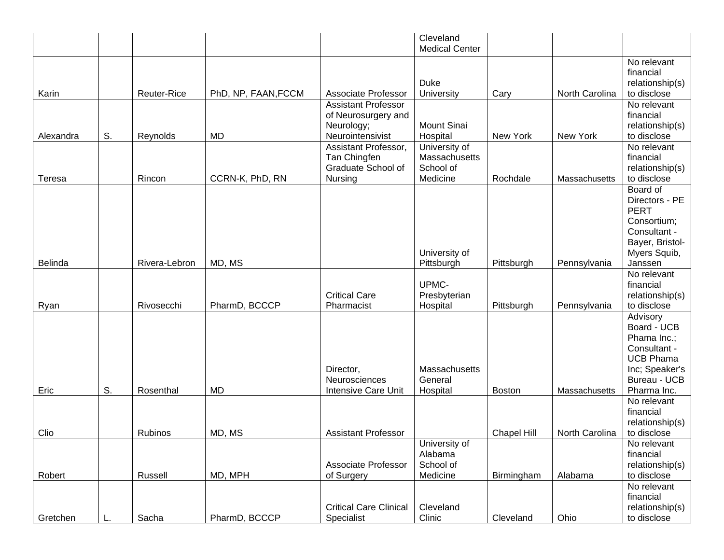|           |    |               |                     |                                   | Cleveland<br><b>Medical Center</b> |                    |                |                              |
|-----------|----|---------------|---------------------|-----------------------------------|------------------------------------|--------------------|----------------|------------------------------|
|           |    |               |                     |                                   |                                    |                    |                | No relevant<br>financial     |
|           |    |               |                     |                                   | <b>Duke</b>                        |                    |                | relationship(s)              |
| Karin     |    | Reuter-Rice   | PhD, NP, FAAN, FCCM | <b>Associate Professor</b>        | University                         | Cary               | North Carolina | to disclose                  |
|           |    |               |                     | <b>Assistant Professor</b>        |                                    |                    |                | No relevant<br>financial     |
|           |    |               |                     | of Neurosurgery and<br>Neurology; | <b>Mount Sinai</b>                 |                    |                | relationship(s)              |
| Alexandra | S. | Reynolds      | <b>MD</b>           | Neurointensivist                  | Hospital                           | New York           | New York       | to disclose                  |
|           |    |               |                     | Assistant Professor,              | University of                      |                    |                | No relevant                  |
|           |    |               |                     | Tan Chingfen                      | Massachusetts                      |                    |                | financial                    |
|           |    |               |                     | Graduate School of                | School of                          |                    |                | relationship(s)              |
| Teresa    |    | Rincon        | CCRN-K, PhD, RN     | Nursing                           | Medicine                           | Rochdale           | Massachusetts  | to disclose                  |
|           |    |               |                     |                                   |                                    |                    |                | Board of                     |
|           |    |               |                     |                                   |                                    |                    |                | Directors - PE               |
|           |    |               |                     |                                   |                                    |                    |                | <b>PERT</b>                  |
|           |    |               |                     |                                   |                                    |                    |                | Consortium;                  |
|           |    |               |                     |                                   |                                    |                    |                | Consultant -                 |
|           |    |               |                     |                                   |                                    |                    |                | Bayer, Bristol-              |
|           |    |               |                     |                                   | University of                      |                    |                | Myers Squib,                 |
| Belinda   |    | Rivera-Lebron | MD, MS              |                                   | Pittsburgh                         | Pittsburgh         | Pennsylvania   | Janssen                      |
|           |    |               |                     |                                   | UPMC-                              |                    |                | No relevant<br>financial     |
|           |    |               |                     | <b>Critical Care</b>              | Presbyterian                       |                    |                | relationship(s)              |
| Ryan      |    | Rivosecchi    | PharmD, BCCCP       | Pharmacist                        | Hospital                           | Pittsburgh         | Pennsylvania   | to disclose                  |
|           |    |               |                     |                                   |                                    |                    |                | Advisory                     |
|           |    |               |                     |                                   |                                    |                    |                | Board - UCB                  |
|           |    |               |                     |                                   |                                    |                    |                | Phama Inc.;                  |
|           |    |               |                     |                                   |                                    |                    |                | Consultant -                 |
|           |    |               |                     |                                   |                                    |                    |                | <b>UCB Phama</b>             |
|           |    |               |                     | Director,                         | Massachusetts                      |                    |                | Inc; Speaker's               |
|           |    |               |                     | Neurosciences                     | General                            |                    |                | <b>Bureau - UCB</b>          |
| Eric      | S. | Rosenthal     | <b>MD</b>           | Intensive Care Unit               | Hospital                           | <b>Boston</b>      | Massachusetts  | Pharma Inc.                  |
|           |    |               |                     |                                   |                                    |                    |                | No relevant                  |
|           |    |               |                     |                                   |                                    |                    |                | financial                    |
|           |    |               |                     |                                   |                                    |                    |                | relationship(s)              |
| Clio      |    | Rubinos       | MD, MS              | <b>Assistant Professor</b>        |                                    | <b>Chapel Hill</b> | North Carolina | to disclose                  |
|           |    |               |                     |                                   | University of                      |                    |                | No relevant                  |
|           |    |               |                     | Associate Professor               | Alabama<br>School of               |                    |                | financial<br>relationship(s) |
| Robert    |    | Russell       | MD, MPH             | of Surgery                        | Medicine                           | Birmingham         | Alabama        | to disclose                  |
|           |    |               |                     |                                   |                                    |                    |                | No relevant                  |
|           |    |               |                     |                                   |                                    |                    |                | financial                    |
|           |    |               |                     | <b>Critical Care Clinical</b>     | Cleveland                          |                    |                | relationship(s)              |
| Gretchen  |    | Sacha         | PharmD, BCCCP       | Specialist                        | Clinic                             | Cleveland          | Ohio           | to disclose                  |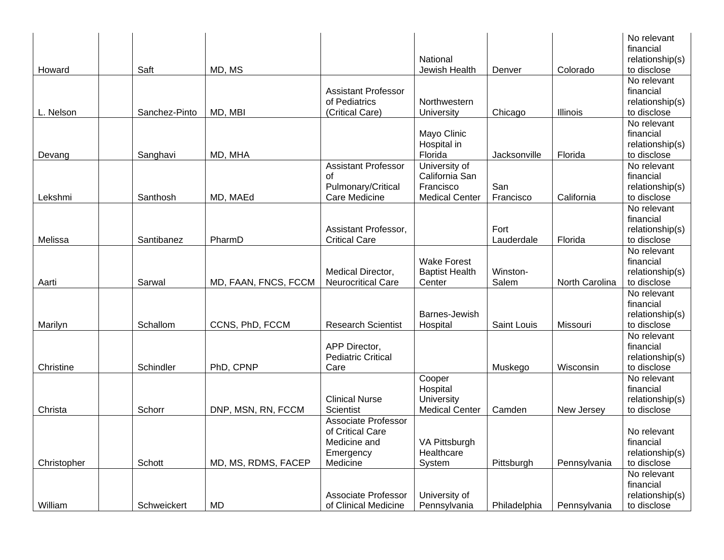|             |               |                      |                            |                       |              |                | No relevant     |
|-------------|---------------|----------------------|----------------------------|-----------------------|--------------|----------------|-----------------|
|             |               |                      |                            |                       |              |                | financial       |
|             |               |                      |                            | National              |              |                | relationship(s) |
| Howard      | Saft          | MD, MS               |                            | Jewish Health         | Denver       | Colorado       | to disclose     |
|             |               |                      |                            |                       |              |                | No relevant     |
|             |               |                      | <b>Assistant Professor</b> |                       |              |                | financial       |
|             |               |                      | of Pediatrics              | Northwestern          |              |                | relationship(s) |
| L. Nelson   | Sanchez-Pinto | MD, MBI              | (Critical Care)            | University            | Chicago      | Illinois       | to disclose     |
|             |               |                      |                            |                       |              |                | No relevant     |
|             |               |                      |                            | Mayo Clinic           |              |                | financial       |
|             |               |                      |                            | Hospital in           |              |                | relationship(s) |
| Devang      | Sanghavi      | MD, MHA              |                            | Florida               | Jacksonville | Florida        | to disclose     |
|             |               |                      | <b>Assistant Professor</b> | University of         |              |                | No relevant     |
|             |               |                      | οf                         | California San        |              |                | financial       |
|             |               |                      | Pulmonary/Critical         | Francisco             | San          |                | relationship(s) |
| Lekshmi     | Santhosh      | MD, MAEd             | Care Medicine              | <b>Medical Center</b> | Francisco    | California     | to disclose     |
|             |               |                      |                            |                       |              |                | No relevant     |
|             |               |                      |                            |                       |              |                | financial       |
|             |               |                      | Assistant Professor,       |                       | Fort         |                | relationship(s) |
| Melissa     | Santibanez    | PharmD               | <b>Critical Care</b>       |                       | Lauderdale   | Florida        | to disclose     |
|             |               |                      |                            |                       |              |                | No relevant     |
|             |               |                      |                            | <b>Wake Forest</b>    |              |                | financial       |
|             |               |                      | Medical Director,          | <b>Baptist Health</b> | Winston-     |                | relationship(s) |
| Aarti       | Sarwal        | MD, FAAN, FNCS, FCCM | <b>Neurocritical Care</b>  | Center                | Salem        | North Carolina | to disclose     |
|             |               |                      |                            |                       |              |                | No relevant     |
|             |               |                      |                            |                       |              |                | financial       |
|             |               |                      |                            | Barnes-Jewish         |              |                | relationship(s) |
| Marilyn     | Schallom      | CCNS, PhD, FCCM      | <b>Research Scientist</b>  |                       | Saint Louis  |                | to disclose     |
|             |               |                      |                            | Hospital              |              | Missouri       | No relevant     |
|             |               |                      |                            |                       |              |                |                 |
|             |               |                      | APP Director,              |                       |              |                | financial       |
|             |               |                      | <b>Pediatric Critical</b>  |                       |              |                | relationship(s) |
| Christine   | Schindler     | PhD, CPNP            | Care                       |                       | Muskego      | Wisconsin      | to disclose     |
|             |               |                      |                            | Cooper                |              |                | No relevant     |
|             |               |                      |                            | Hospital              |              |                | financial       |
|             |               |                      | <b>Clinical Nurse</b>      | University            |              |                | relationship(s) |
| Christa     | Schorr        | DNP, MSN, RN, FCCM   | <b>Scientist</b>           | <b>Medical Center</b> | Camden       | New Jersey     | to disclose     |
|             |               |                      | Associate Professor        |                       |              |                |                 |
|             |               |                      | of Critical Care           |                       |              |                | No relevant     |
|             |               |                      | Medicine and               | VA Pittsburgh         |              |                | financial       |
|             |               |                      | Emergency                  | Healthcare            |              |                | relationship(s) |
| Christopher | Schott        | MD, MS, RDMS, FACEP  | Medicine                   | System                | Pittsburgh   | Pennsylvania   | to disclose     |
|             |               |                      |                            |                       |              |                | No relevant     |
|             |               |                      |                            |                       |              |                | financial       |
|             |               |                      | <b>Associate Professor</b> | University of         |              |                | relationship(s) |
| William     | Schweickert   | <b>MD</b>            | of Clinical Medicine       | Pennsylvania          | Philadelphia | Pennsylvania   | to disclose     |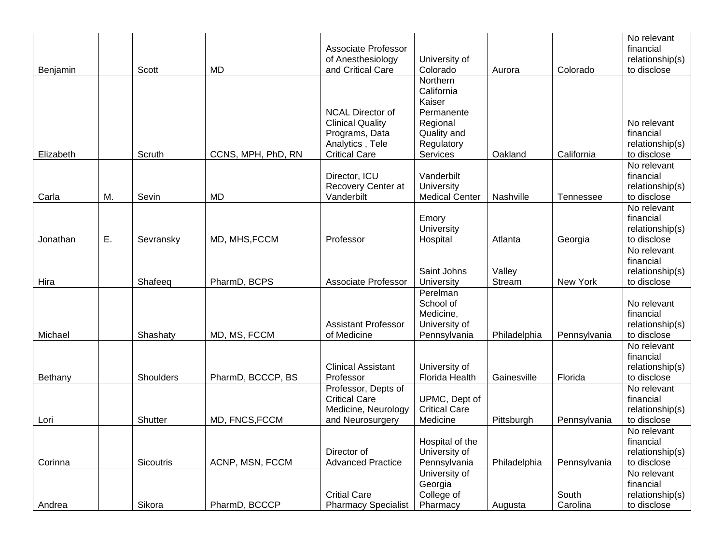| Benjamin  |    | Scott            | <b>MD</b>          | <b>Associate Professor</b><br>of Anesthesiology<br>and Critical Care                                            | University of<br>Colorado                                                                           | Aurora           | Colorado          | No relevant<br>financial<br>relationship(s)<br>to disclose |
|-----------|----|------------------|--------------------|-----------------------------------------------------------------------------------------------------------------|-----------------------------------------------------------------------------------------------------|------------------|-------------------|------------------------------------------------------------|
| Elizabeth |    | Scruth           | CCNS, MPH, PhD, RN | <b>NCAL Director of</b><br><b>Clinical Quality</b><br>Programs, Data<br>Analytics, Tele<br><b>Critical Care</b> | Northern<br>California<br>Kaiser<br>Permanente<br>Regional<br>Quality and<br>Regulatory<br>Services | Oakland          | California        | No relevant<br>financial<br>relationship(s)<br>to disclose |
| Carla     | M. | Sevin            | <b>MD</b>          | Director, ICU<br>Recovery Center at<br>Vanderbilt                                                               | Vanderbilt<br>University<br><b>Medical Center</b>                                                   | Nashville        | Tennessee         | No relevant<br>financial<br>relationship(s)<br>to disclose |
| Jonathan  | Ε. | Sevransky        | MD, MHS, FCCM      | Professor                                                                                                       | Emory<br>University<br>Hospital                                                                     | Atlanta          | Georgia           | No relevant<br>financial<br>relationship(s)<br>to disclose |
| Hira      |    | Shafeeq          | PharmD, BCPS       | <b>Associate Professor</b>                                                                                      | Saint Johns<br>University                                                                           | Valley<br>Stream | New York          | No relevant<br>financial<br>relationship(s)<br>to disclose |
| Michael   |    | Shashaty         | MD, MS, FCCM       | <b>Assistant Professor</b><br>of Medicine                                                                       | Perelman<br>School of<br>Medicine,<br>University of<br>Pennsylvania                                 | Philadelphia     | Pennsylvania      | No relevant<br>financial<br>relationship(s)<br>to disclose |
| Bethany   |    | Shoulders        | PharmD, BCCCP, BS  | <b>Clinical Assistant</b><br>Professor                                                                          | University of<br>Florida Health                                                                     | Gainesville      | Florida           | No relevant<br>financial<br>relationship(s)<br>to disclose |
| Lori      |    | Shutter          | MD, FNCS, FCCM     | Professor, Depts of<br><b>Critical Care</b><br>Medicine, Neurology<br>and Neurosurgery                          | UPMC, Dept of<br><b>Critical Care</b><br>Medicine                                                   | Pittsburgh       | Pennsylvania      | No relevant<br>financial<br>relationship(s)<br>to disclose |
| Corinna   |    | <b>Sicoutris</b> | ACNP, MSN, FCCM    | Director of<br><b>Advanced Practice</b>                                                                         | Hospital of the<br>University of<br>Pennsylvania                                                    | Philadelphia     | Pennsylvania      | No relevant<br>financial<br>relationship(s)<br>to disclose |
| Andrea    |    | Sikora           | PharmD, BCCCP      | <b>Critial Care</b><br><b>Pharmacy Specialist</b>                                                               | University of<br>Georgia<br>College of<br>Pharmacy                                                  | Augusta          | South<br>Carolina | No relevant<br>financial<br>relationship(s)<br>to disclose |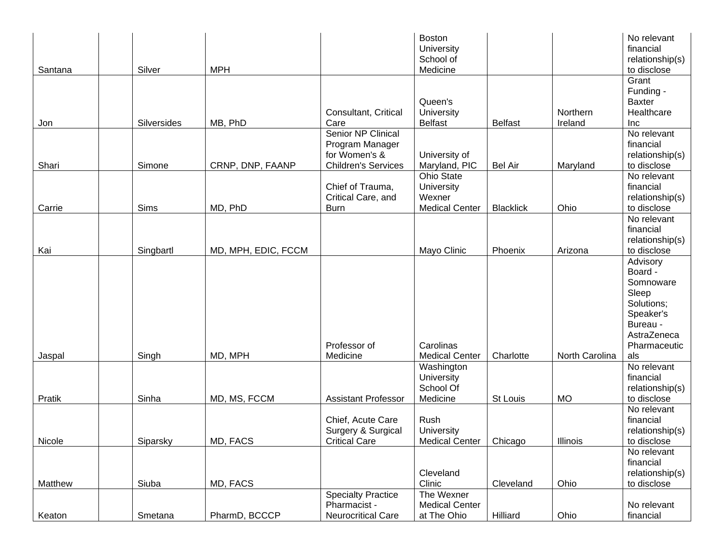| Santana | Silver      | <b>MPH</b>          |                                                                                      | Boston<br>University<br>School of<br>Medicine               |                  |                     | No relevant<br>financial<br>relationship(s)<br>to disclose                                      |
|---------|-------------|---------------------|--------------------------------------------------------------------------------------|-------------------------------------------------------------|------------------|---------------------|-------------------------------------------------------------------------------------------------|
| Jon     | Silversides | MB, PhD             | Consultant, Critical<br>Care                                                         | Queen's<br>University<br><b>Belfast</b>                     | <b>Belfast</b>   | Northern<br>Ireland | Grant<br>Funding -<br><b>Baxter</b><br>Healthcare<br>Inc                                        |
| Shari   | Simone      | CRNP, DNP, FAANP    | Senior NP Clinical<br>Program Manager<br>for Women's &<br><b>Children's Services</b> | University of<br>Maryland, PIC                              | <b>Bel Air</b>   | Maryland            | No relevant<br>financial<br>relationship(s)<br>to disclose                                      |
| Carrie  | Sims        | MD, PhD             | Chief of Trauma,<br>Critical Care, and<br><b>Burn</b>                                | Ohio State<br>University<br>Wexner<br><b>Medical Center</b> | <b>Blacklick</b> | Ohio                | No relevant<br>financial<br>relationship(s)<br>to disclose                                      |
| Kai     | Singbartl   | MD, MPH, EDIC, FCCM |                                                                                      | Mayo Clinic                                                 | Phoenix          | Arizona             | No relevant<br>financial<br>relationship(s)<br>to disclose                                      |
|         |             |                     |                                                                                      |                                                             |                  |                     | Advisory<br>Board -<br>Somnoware<br>Sleep<br>Solutions;<br>Speaker's<br>Bureau -<br>AstraZeneca |
| Jaspal  | Singh       | MD, MPH             | Professor of<br>Medicine                                                             | Carolinas<br><b>Medical Center</b>                          | Charlotte        | North Carolina      | Pharmaceutic<br>als                                                                             |
| Pratik  | Sinha       | MD, MS, FCCM        | <b>Assistant Professor</b>                                                           | Washington<br>University<br>School Of<br>Medicine           | St Louis         | <b>MO</b>           | No relevant<br>financial<br>relationship(s)<br>to disclose                                      |
| Nicole  | Siparsky    | MD, FACS            | Chief, Acute Care<br>Surgery & Surgical<br><b>Critical Care</b>                      | Rush<br>University<br>Medical Center   Chicago              |                  | Illinois            | No relevant<br>financial<br>relationship(s)<br>to disclose                                      |
| Matthew | Siuba       | MD, FACS            |                                                                                      | Cleveland<br>Clinic                                         | Cleveland        | Ohio                | No relevant<br>financial<br>relationship(s)<br>to disclose                                      |
| Keaton  | Smetana     | PharmD, BCCCP       | <b>Specialty Practice</b><br>Pharmacist -<br>Neurocritical Care                      | The Wexner<br><b>Medical Center</b><br>at The Ohio          | Hilliard         | Ohio                | No relevant<br>financial                                                                        |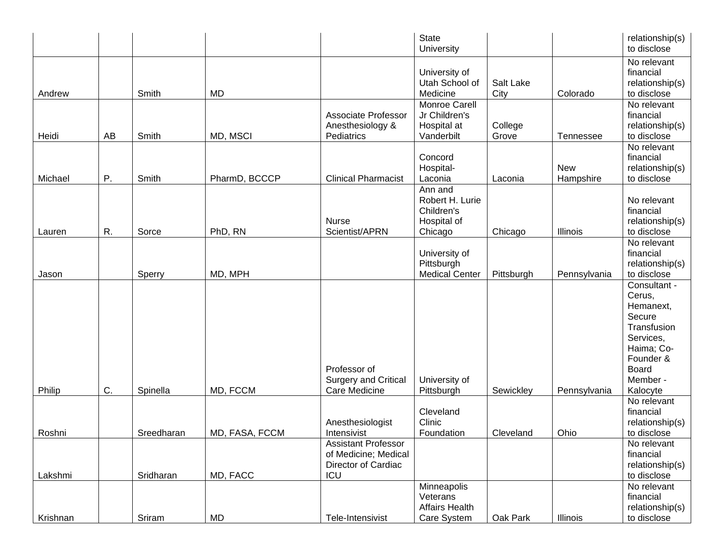|          |    |            |                |                                                                                  | <b>State</b><br>University                                         |                   |                         | relationship(s)<br>to disclose                                                                                                               |
|----------|----|------------|----------------|----------------------------------------------------------------------------------|--------------------------------------------------------------------|-------------------|-------------------------|----------------------------------------------------------------------------------------------------------------------------------------------|
| Andrew   |    | Smith      | <b>MD</b>      |                                                                                  | University of<br>Utah School of<br>Medicine                        | Salt Lake<br>City | Colorado                | No relevant<br>financial<br>relationship(s)<br>to disclose                                                                                   |
| Heidi    | AB | Smith      | MD, MSCI       | <b>Associate Professor</b><br>Anesthesiology &<br>Pediatrics                     | Monroe Carell<br>Jr Children's<br>Hospital at<br>Vanderbilt        | College<br>Grove  | Tennessee               | No relevant<br>financial<br>relationship(s)<br>to disclose                                                                                   |
| Michael  | Ρ. | Smith      | PharmD, BCCCP  | <b>Clinical Pharmacist</b>                                                       | Concord<br>Hospital-<br>Laconia                                    | Laconia           | <b>New</b><br>Hampshire | No relevant<br>financial<br>relationship(s)<br>to disclose                                                                                   |
| Lauren   | R. | Sorce      | PhD, RN        | <b>Nurse</b><br>Scientist/APRN                                                   | Ann and<br>Robert H. Lurie<br>Children's<br>Hospital of<br>Chicago | Chicago           | Illinois                | No relevant<br>financial<br>relationship(s)<br>to disclose                                                                                   |
| Jason    |    | Sperry     | MD, MPH        |                                                                                  | University of<br>Pittsburgh<br><b>Medical Center</b>               | Pittsburgh        | Pennsylvania            | No relevant<br>financial<br>relationship(s)<br>to disclose                                                                                   |
| Philip   | C. | Spinella   | MD, FCCM       | Professor of<br>Surgery and Critical<br>Care Medicine                            | University of<br>Pittsburgh                                        | Sewickley         | Pennsylvania            | Consultant -<br>Cerus,<br>Hemanext,<br>Secure<br>Transfusion<br>Services,<br>Haima; Co-<br>Founder &<br><b>Board</b><br>Member -<br>Kalocyte |
| Roshni   |    | Sreedharan | MD, FASA, FCCM | Anesthesiologist<br>Intensivist                                                  | Cleveland<br>Clinic<br>Foundation                                  | Cleveland         | Ohio                    | No relevant<br>financial<br>relationship(s)<br>to disclose                                                                                   |
| Lakshmi  |    | Sridharan  | MD, FACC       | <b>Assistant Professor</b><br>of Medicine; Medical<br>Director of Cardiac<br>ICU |                                                                    |                   |                         | No relevant<br>financial<br>relationship(s)<br>to disclose                                                                                   |
| Krishnan |    | Sriram     | MD             | Tele-Intensivist                                                                 | Minneapolis<br>Veterans<br><b>Affairs Health</b><br>Care System    | Oak Park          | Illinois                | No relevant<br>financial<br>relationship(s)<br>to disclose                                                                                   |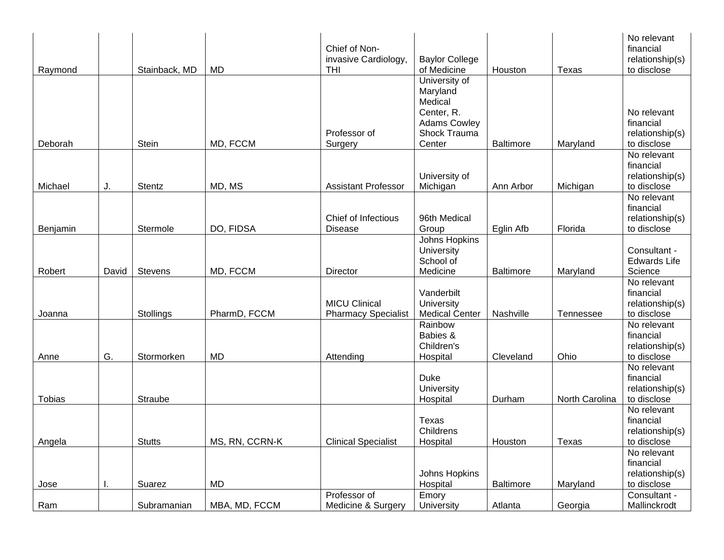|          |       |                |                | Chief of Non-<br>invasive Cardiology,              | <b>Baylor College</b>                                                     |                  |                | No relevant<br>financial<br>relationship(s)                |
|----------|-------|----------------|----------------|----------------------------------------------------|---------------------------------------------------------------------------|------------------|----------------|------------------------------------------------------------|
| Raymond  |       | Stainback, MD  | <b>MD</b>      | THI                                                | of Medicine                                                               | Houston          | Texas          | to disclose                                                |
|          |       |                |                |                                                    | University of<br>Maryland<br>Medical<br>Center, R.<br><b>Adams Cowley</b> |                  |                | No relevant<br>financial                                   |
|          |       |                |                | Professor of                                       | Shock Trauma                                                              |                  |                | relationship(s)                                            |
| Deborah  |       | Stein          | MD, FCCM       | Surgery                                            | Center                                                                    | <b>Baltimore</b> | Maryland       | to disclose                                                |
| Michael  | J.    | Stentz         | MD, MS         | <b>Assistant Professor</b>                         | University of<br>Michigan                                                 | Ann Arbor        | Michigan       | No relevant<br>financial<br>relationship(s)<br>to disclose |
|          |       |                |                |                                                    |                                                                           |                  |                | No relevant                                                |
| Benjamin |       | Stermole       | DO, FIDSA      | Chief of Infectious<br><b>Disease</b>              | 96th Medical<br>Group                                                     | Eglin Afb        | Florida        | financial<br>relationship(s)<br>to disclose                |
| Robert   | David | <b>Stevens</b> | MD, FCCM       | Director                                           | Johns Hopkins<br>University<br>School of<br>Medicine                      | <b>Baltimore</b> | Maryland       | Consultant -<br><b>Edwards Life</b><br>Science             |
| Joanna   |       | Stollings      | PharmD, FCCM   | <b>MICU Clinical</b><br><b>Pharmacy Specialist</b> | Vanderbilt<br>University<br><b>Medical Center</b>                         | Nashville        | Tennessee      | No relevant<br>financial<br>relationship(s)<br>to disclose |
| Anne     | G.    | Stormorken     | <b>MD</b>      | Attending                                          | Rainbow<br>Babies &<br>Children's<br>Hospital                             | Cleveland        | Ohio           | No relevant<br>financial<br>relationship(s)<br>to disclose |
| Tobias   |       | Straube        |                |                                                    | <b>Duke</b><br>University<br>Hospital                                     | Durham           | North Carolina | No relevant<br>financial<br>relationship(s)<br>to disclose |
| Angela   |       | <b>Stutts</b>  | MS, RN, CCRN-K | <b>Clinical Specialist</b>                         | <b>Texas</b><br>Childrens<br>Hospital                                     | Houston          | Texas          | No relevant<br>financial<br>relationship(s)<br>to disclose |
| Jose     |       | Suarez         | <b>MD</b>      |                                                    | Johns Hopkins<br>Hospital                                                 | <b>Baltimore</b> | Maryland       | No relevant<br>financial<br>relationship(s)<br>to disclose |
|          |       |                |                | Professor of                                       | Emory                                                                     |                  |                | Consultant -                                               |
| Ram      |       | Subramanian    | MBA, MD, FCCM  | Medicine & Surgery                                 | University                                                                | Atlanta          | Georgia        | Mallinckrodt                                               |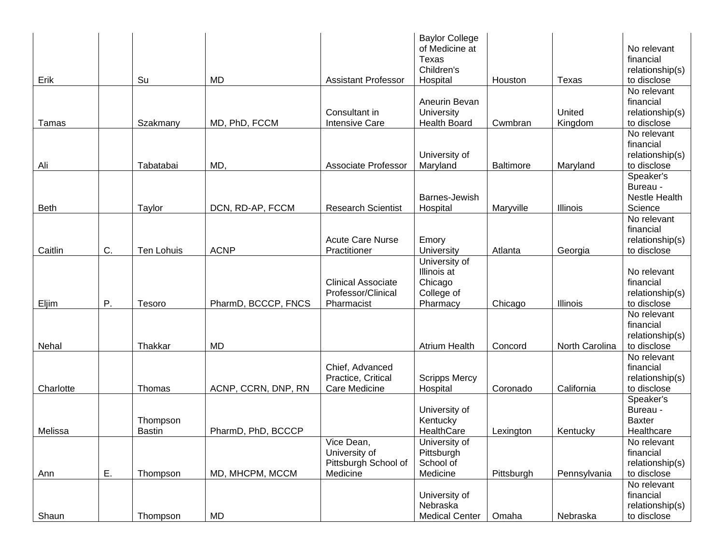|             |    |               |                     |                            | <b>Baylor College</b> |                  |                |                                |
|-------------|----|---------------|---------------------|----------------------------|-----------------------|------------------|----------------|--------------------------------|
|             |    |               |                     |                            | of Medicine at        |                  |                | No relevant                    |
|             |    |               |                     |                            | Texas                 |                  |                | financial                      |
|             |    |               |                     |                            | Children's            |                  |                | relationship(s)                |
| Erik        |    | Su            | <b>MD</b>           | <b>Assistant Professor</b> | Hospital              | Houston          | Texas          | to disclose                    |
|             |    |               |                     |                            | Aneurin Bevan         |                  |                | No relevant<br>financial       |
|             |    |               |                     | Consultant in              | University            |                  | United         |                                |
| Tamas       |    |               | MD, PhD, FCCM       | <b>Intensive Care</b>      | <b>Health Board</b>   | Cwmbran          |                | relationship(s)<br>to disclose |
|             |    | Szakmany      |                     |                            |                       |                  | Kingdom        | No relevant                    |
|             |    |               |                     |                            |                       |                  |                | financial                      |
|             |    |               |                     |                            | University of         |                  |                | relationship(s)                |
| Ali         |    | Tabatabai     | MD,                 | <b>Associate Professor</b> | Maryland              | <b>Baltimore</b> | Maryland       | to disclose                    |
|             |    |               |                     |                            |                       |                  |                | Speaker's                      |
|             |    |               |                     |                            |                       |                  |                | Bureau -                       |
|             |    |               |                     |                            | Barnes-Jewish         |                  |                | <b>Nestle Health</b>           |
| <b>Beth</b> |    | Taylor        | DCN, RD-AP, FCCM    | <b>Research Scientist</b>  | Hospital              | Maryville        | Illinois       | Science                        |
|             |    |               |                     |                            |                       |                  |                | No relevant                    |
|             |    |               |                     |                            |                       |                  |                | financial                      |
|             |    |               |                     | <b>Acute Care Nurse</b>    | Emory                 |                  |                | relationship(s)                |
| Caitlin     | C. | Ten Lohuis    | <b>ACNP</b>         | Practitioner               | University            | Atlanta          | Georgia        | to disclose                    |
|             |    |               |                     |                            | University of         |                  |                |                                |
|             |    |               |                     |                            | Illinois at           |                  |                | No relevant                    |
|             |    |               |                     | <b>Clinical Associate</b>  | Chicago               |                  |                | financial                      |
|             |    |               |                     | Professor/Clinical         | College of            |                  |                | relationship(s)                |
| Eljim       | Ρ. | Tesoro        | PharmD, BCCCP, FNCS | Pharmacist                 | Pharmacy              | Chicago          | Illinois       | to disclose                    |
|             |    |               |                     |                            |                       |                  |                | No relevant                    |
|             |    |               |                     |                            |                       |                  |                | financial                      |
|             |    |               |                     |                            |                       |                  |                | relationship(s)                |
| Nehal       |    | Thakkar       | <b>MD</b>           |                            | <b>Atrium Health</b>  | Concord          | North Carolina | to disclose                    |
|             |    |               |                     |                            |                       |                  |                | No relevant                    |
|             |    |               |                     | Chief, Advanced            |                       |                  |                | financial                      |
|             |    |               |                     | Practice, Critical         | <b>Scripps Mercy</b>  |                  |                | relationship(s)                |
| Charlotte   |    | Thomas        | ACNP, CCRN, DNP, RN | Care Medicine              | Hospital              | Coronado         | California     | to disclose                    |
|             |    |               |                     |                            |                       |                  |                | Speaker's                      |
|             |    |               |                     |                            | University of         |                  |                | Bureau -                       |
|             |    | Thompson      |                     |                            | Kentucky              |                  |                | <b>Baxter</b>                  |
| Melissa     |    | <b>Bastin</b> | PharmD, PhD, BCCCP  |                            | HealthCare            | Lexington        | Kentucky       | Healthcare                     |
|             |    |               |                     | Vice Dean,                 | University of         |                  |                | No relevant                    |
|             |    |               |                     | University of              | Pittsburgh            |                  |                | financial                      |
|             |    |               |                     | Pittsburgh School of       | School of             |                  |                | relationship(s)                |
| Ann         | Ε. | Thompson      | MD, MHCPM, MCCM     | Medicine                   | Medicine              | Pittsburgh       | Pennsylvania   | to disclose                    |
|             |    |               |                     |                            |                       |                  |                | No relevant                    |
|             |    |               |                     |                            | University of         |                  |                | financial                      |
|             |    |               |                     |                            | Nebraska              |                  |                | relationship(s)                |
| Shaun       |    | Thompson      | MD                  |                            | <b>Medical Center</b> | Omaha            | Nebraska       | to disclose                    |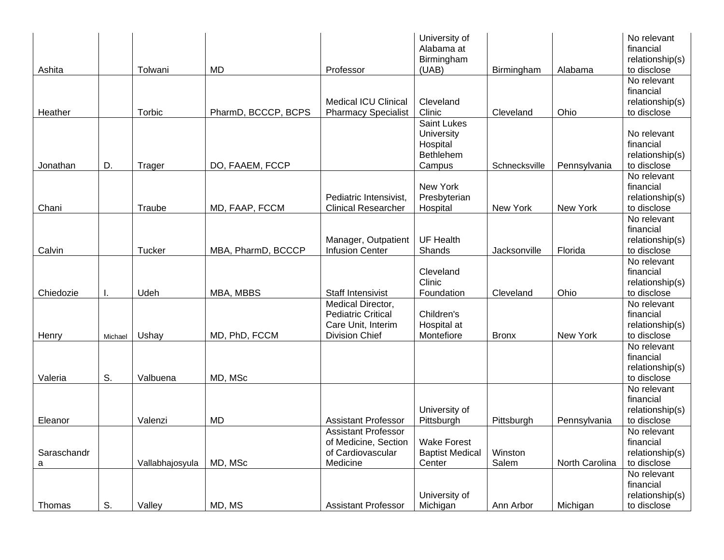|             |         |                 |                     |                             | University of<br>Alabama at<br>Birmingham |               |                | No relevant<br>financial<br>relationship(s) |
|-------------|---------|-----------------|---------------------|-----------------------------|-------------------------------------------|---------------|----------------|---------------------------------------------|
| Ashita      |         | Tolwani         | <b>MD</b>           | Professor                   | (UAB)                                     | Birmingham    | Alabama        | to disclose                                 |
|             |         |                 |                     |                             |                                           |               |                | No relevant<br>financial                    |
|             |         |                 |                     | <b>Medical ICU Clinical</b> | Cleveland                                 |               |                | relationship(s)                             |
| Heather     |         | Torbic          | PharmD, BCCCP, BCPS | <b>Pharmacy Specialist</b>  | Clinic                                    | Cleveland     | Ohio           | to disclose                                 |
|             |         |                 |                     |                             | Saint Lukes                               |               |                |                                             |
|             |         |                 |                     |                             | University                                |               |                | No relevant                                 |
|             |         |                 |                     |                             | Hospital                                  |               |                | financial                                   |
|             |         |                 |                     |                             | Bethlehem                                 |               |                | relationship(s)                             |
| Jonathan    | D.      | Trager          | DO, FAAEM, FCCP     |                             | Campus                                    | Schnecksville | Pennsylvania   | to disclose                                 |
|             |         |                 |                     |                             |                                           |               |                | No relevant                                 |
|             |         |                 |                     |                             | New York                                  |               |                | financial                                   |
|             |         |                 |                     | Pediatric Intensivist,      | Presbyterian                              |               |                | relationship(s)                             |
| Chani       |         | Traube          | MD, FAAP, FCCM      | <b>Clinical Researcher</b>  | Hospital                                  | New York      | New York       | to disclose                                 |
|             |         |                 |                     |                             |                                           |               |                | No relevant                                 |
|             |         |                 |                     |                             |                                           |               |                | financial                                   |
|             |         |                 |                     | Manager, Outpatient         | <b>UF Health</b>                          |               |                | relationship(s)                             |
| Calvin      |         | Tucker          | MBA, PharmD, BCCCP  | <b>Infusion Center</b>      | Shands                                    | Jacksonville  | Florida        | to disclose                                 |
|             |         |                 |                     |                             |                                           |               |                | No relevant                                 |
|             |         |                 |                     |                             | Cleveland                                 |               |                | financial                                   |
|             |         |                 |                     |                             | Clinic                                    |               |                | relationship(s)                             |
| Chiedozie   | I.      | Udeh            | MBA, MBBS           | <b>Staff Intensivist</b>    | Foundation                                | Cleveland     | Ohio           | to disclose                                 |
|             |         |                 |                     | Medical Director,           |                                           |               |                | No relevant                                 |
|             |         |                 |                     | <b>Pediatric Critical</b>   | Children's                                |               |                | financial                                   |
|             |         |                 |                     | Care Unit, Interim          | Hospital at                               |               |                | relationship(s)                             |
| Henry       | Michael | Ushay           | MD, PhD, FCCM       | <b>Division Chief</b>       | Montefiore                                | <b>Bronx</b>  | New York       | to disclose                                 |
|             |         |                 |                     |                             |                                           |               |                | No relevant<br>financial                    |
|             |         |                 |                     |                             |                                           |               |                | relationship(s)                             |
| Valeria     | S.      | Valbuena        | MD, MSc             |                             |                                           |               |                | to disclose                                 |
|             |         |                 |                     |                             |                                           |               |                | No relevant                                 |
|             |         |                 |                     |                             |                                           |               |                | financial                                   |
|             |         |                 |                     |                             | University of                             |               |                | relationship(s)                             |
| Eleanor     |         | Valenzi         | <b>MD</b>           | <b>Assistant Professor</b>  | Pittsburgh                                | Pittsburgh    | Pennsylvania   | to disclose                                 |
|             |         |                 |                     | <b>Assistant Professor</b>  |                                           |               |                | No relevant                                 |
|             |         |                 |                     | of Medicine, Section        | <b>Wake Forest</b>                        |               |                | financial                                   |
| Saraschandr |         |                 |                     | of Cardiovascular           | <b>Baptist Medical</b>                    | Winston       |                | relationship(s)                             |
| a           |         | Vallabhajosyula | MD, MSc             | Medicine                    | Center                                    | Salem         | North Carolina | to disclose                                 |
|             |         |                 |                     |                             |                                           |               |                | No relevant                                 |
|             |         |                 |                     |                             |                                           |               |                | financial                                   |
|             |         |                 |                     |                             | University of                             |               |                | relationship(s)                             |
| Thomas      | S.      | Valley          | MD, MS              | <b>Assistant Professor</b>  | Michigan                                  | Ann Arbor     | Michigan       | to disclose                                 |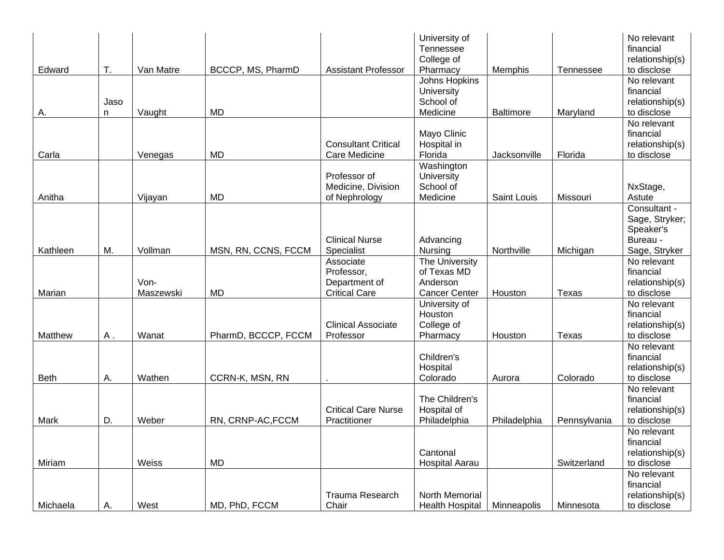|             |      |           |                     |                                             | University of<br>Tennessee |                  |              | No relevant<br>financial       |
|-------------|------|-----------|---------------------|---------------------------------------------|----------------------------|------------------|--------------|--------------------------------|
|             |      |           |                     |                                             | College of                 |                  |              | relationship(s)                |
| Edward      | T.   | Van Matre | BCCCP, MS, PharmD   | <b>Assistant Professor</b>                  | Pharmacy<br>Johns Hopkins  | <b>Memphis</b>   | Tennessee    | to disclose<br>No relevant     |
|             |      |           |                     |                                             | University                 |                  |              | financial                      |
|             | Jaso |           |                     |                                             | School of                  |                  |              | relationship(s)                |
| А.          | n    | Vaught    | <b>MD</b>           |                                             | Medicine                   | <b>Baltimore</b> | Maryland     | to disclose                    |
|             |      |           |                     |                                             |                            |                  |              | No relevant                    |
|             |      |           |                     |                                             | Mayo Clinic                |                  |              | financial                      |
| Carla       |      |           | <b>MD</b>           | <b>Consultant Critical</b><br>Care Medicine | Hospital in<br>Florida     |                  | Florida      | relationship(s)<br>to disclose |
|             |      | Venegas   |                     |                                             | Washington                 | Jacksonville     |              |                                |
|             |      |           |                     | Professor of                                | University                 |                  |              |                                |
|             |      |           |                     | Medicine, Division                          | School of                  |                  |              | NxStage,                       |
| Anitha      |      | Vijayan   | <b>MD</b>           | of Nephrology                               | Medicine                   | Saint Louis      | Missouri     | Astute                         |
|             |      |           |                     |                                             |                            |                  |              | Consultant -                   |
|             |      |           |                     |                                             |                            |                  |              | Sage, Stryker;                 |
|             |      |           |                     |                                             |                            |                  |              | Speaker's                      |
| Kathleen    | M.   | Vollman   | MSN, RN, CCNS, FCCM | <b>Clinical Nurse</b><br>Specialist         | Advancing<br>Nursing       | Northville       | Michigan     | Bureau -<br>Sage, Stryker      |
|             |      |           |                     | Associate                                   | The University             |                  |              | No relevant                    |
|             |      |           |                     | Professor,                                  | of Texas MD                |                  |              | financial                      |
|             |      | Von-      |                     | Department of                               | Anderson                   |                  |              | relationship(s)                |
| Marian      |      | Maszewski | MD                  | <b>Critical Care</b>                        | <b>Cancer Center</b>       | Houston          | Texas        | to disclose                    |
|             |      |           |                     |                                             | University of              |                  |              | No relevant                    |
|             |      |           |                     |                                             | Houston                    |                  |              | financial                      |
|             |      |           |                     | <b>Clinical Associate</b>                   | College of                 |                  |              | relationship(s)                |
| Matthew     | Α.   | Wanat     | PharmD, BCCCP, FCCM | Professor                                   | Pharmacy                   | Houston          | Texas        | to disclose<br>No relevant     |
|             |      |           |                     |                                             | Children's                 |                  |              | financial                      |
|             |      |           |                     |                                             | Hospital                   |                  |              | relationship(s)                |
| <b>Beth</b> | А.   | Wathen    | CCRN-K, MSN, RN     |                                             | Colorado                   | Aurora           | Colorado     | to disclose                    |
|             |      |           |                     |                                             |                            |                  |              | No relevant                    |
|             |      |           |                     |                                             | The Children's             |                  |              | financial                      |
|             |      |           |                     | <b>Critical Care Nurse</b>                  | Hospital of                |                  |              | relationship(s)                |
| Mark        | D.   | Weber     | RN, CRNP-AC, FCCM   | Practitioner                                | Philadelphia               | Philadelphia     | Pennsylvania | to disclose                    |
|             |      |           |                     |                                             |                            |                  |              | No relevant<br>financial       |
|             |      |           |                     |                                             | Cantonal                   |                  |              | relationship(s)                |
| Miriam      |      | Weiss     | MD                  |                                             | <b>Hospital Aarau</b>      |                  | Switzerland  | to disclose                    |
|             |      |           |                     |                                             |                            |                  |              | No relevant                    |
|             |      |           |                     |                                             |                            |                  |              | financial                      |
|             |      |           |                     | Trauma Research                             | North Memorial             |                  |              | relationship(s)                |
| Michaela    | Α.   | West      | MD, PhD, FCCM       | Chair                                       | <b>Health Hospital</b>     | Minneapolis      | Minnesota    | to disclose                    |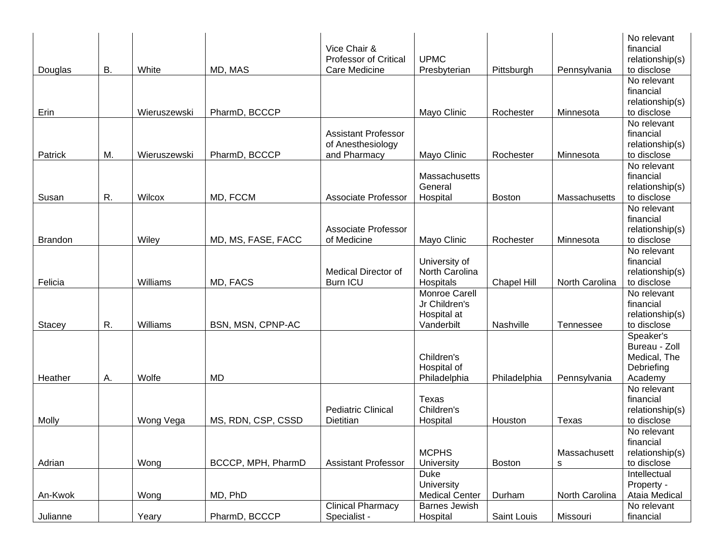|                |           |              |                    | Vice Chair &<br><b>Professor of Critical</b>                    | <b>UPMC</b>                                                 |                    |                   | No relevant<br>financial<br>relationship(s)                         |
|----------------|-----------|--------------|--------------------|-----------------------------------------------------------------|-------------------------------------------------------------|--------------------|-------------------|---------------------------------------------------------------------|
| Douglas        | <b>B.</b> | White        | MD, MAS            | Care Medicine                                                   | Presbyterian                                                | Pittsburgh         | Pennsylvania      | to disclose                                                         |
| Erin           |           | Wieruszewski | PharmD, BCCCP      |                                                                 | Mayo Clinic                                                 | Rochester          | Minnesota         | No relevant<br>financial<br>relationship(s)<br>to disclose          |
| Patrick        | M.        | Wieruszewski | PharmD, BCCCP      | <b>Assistant Professor</b><br>of Anesthesiology<br>and Pharmacy | Mayo Clinic                                                 | Rochester          | Minnesota         | No relevant<br>financial<br>relationship(s)<br>to disclose          |
| Susan          | R.        | Wilcox       | MD, FCCM           | <b>Associate Professor</b>                                      | Massachusetts<br>General<br>Hospital                        | <b>Boston</b>      | Massachusetts     | No relevant<br>financial<br>relationship(s)<br>to disclose          |
| <b>Brandon</b> |           | Wiley        | MD, MS, FASE, FACC | <b>Associate Professor</b><br>of Medicine                       | Mayo Clinic                                                 | Rochester          | Minnesota         | No relevant<br>financial<br>relationship(s)<br>to disclose          |
| Felicia        |           | Williams     | MD, FACS           | <b>Medical Director of</b><br><b>Burn ICU</b>                   | University of<br>North Carolina<br>Hospitals                | <b>Chapel Hill</b> | North Carolina    | No relevant<br>financial<br>relationship(s)<br>to disclose          |
| Stacey         | R.        | Williams     | BSN, MSN, CPNP-AC  |                                                                 | Monroe Carell<br>Jr Children's<br>Hospital at<br>Vanderbilt | Nashville          | Tennessee         | No relevant<br>financial<br>relationship(s)<br>to disclose          |
| Heather        | А.        | Wolfe        | <b>MD</b>          |                                                                 | Children's<br>Hospital of<br>Philadelphia                   | Philadelphia       | Pennsylvania      | Speaker's<br>Bureau - Zoll<br>Medical, The<br>Debriefing<br>Academy |
| Molly          |           | Wong Vega    | MS, RDN, CSP, CSSD | <b>Pediatric Clinical</b><br>Dietitian                          | Texas<br>Children's<br>Hospital                             | Houston            | Texas             | No relevant<br>financial<br>relationship(s)<br>to disclose          |
| Adrian         |           | Wong         | BCCCP, MPH, PharmD | <b>Assistant Professor</b>                                      | <b>MCPHS</b><br>University                                  | <b>Boston</b>      | Massachusett<br>s | No relevant<br>financial<br>relationship(s)<br>to disclose          |
| An-Kwok        |           | Wong         | MD, PhD            |                                                                 | <b>Duke</b><br>University<br><b>Medical Center</b>          | Durham             | North Carolina    | Intellectual<br>Property -<br>Ataia Medical                         |
|                |           |              |                    | <b>Clinical Pharmacy</b>                                        | <b>Barnes Jewish</b>                                        |                    |                   | No relevant                                                         |
| Julianne       |           | Yeary        | PharmD, BCCCP      | Specialist -                                                    | Hospital                                                    | Saint Louis        | Missouri          | financial                                                           |